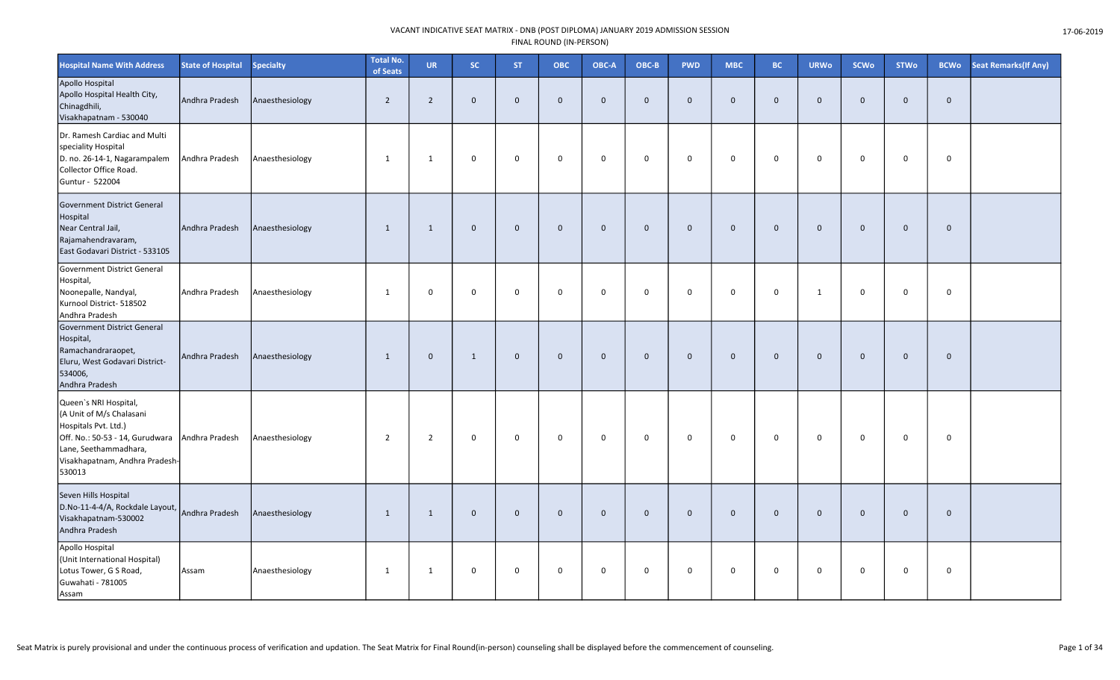| <b>Hospital Name With Address</b>                                                                                                                                                 | <b>State of Hospital</b> | <b>Specialty</b> | <b>Total No.</b><br>of Seats | <b>UR</b>      | <b>SC</b>    | <b>ST</b>      | ОВС          | OBC-A       | OBC-B        | <b>PWD</b>   | <b>MBC</b>              | <b>BC</b>    | <b>URWo</b>  | <b>SCWo</b>  | <b>STWo</b>  | <b>BCWo</b>    | <b>Seat Remarks (If Any)</b> |
|-----------------------------------------------------------------------------------------------------------------------------------------------------------------------------------|--------------------------|------------------|------------------------------|----------------|--------------|----------------|--------------|-------------|--------------|--------------|-------------------------|--------------|--------------|--------------|--------------|----------------|------------------------------|
| Apollo Hospital<br>Apollo Hospital Health City,<br>Chinagdhili,<br>Visakhapatnam - 530040                                                                                         | Andhra Pradesh           | Anaesthesiology  | $\overline{2}$               | $\overline{2}$ | $\mathbf 0$  | $\overline{0}$ | $\mathbf{0}$ | $\mathbf 0$ | $\mathbf{0}$ | $\mathbf 0$  | $\overline{0}$          | $\Omega$     | $\mathbf{0}$ | $\mathbf{0}$ | $\mathbf 0$  | $\overline{0}$ |                              |
| Dr. Ramesh Cardiac and Multi<br>speciality Hospital<br>D. no. 26-14-1, Nagarampalem<br>Collector Office Road.<br>Guntur - 522004                                                  | Andhra Pradesh           | Anaesthesiology  | 1                            | $\mathbf{1}$   | 0            | $\mathbf 0$    | $\Omega$     | $\mathbf 0$ | $\mathbf 0$  | 0            | $\mathbf 0$             | $\Omega$     | $\mathbf 0$  | $\mathbf 0$  | 0            | $\mathbf 0$    |                              |
| Government District General<br>Hospital<br>Near Central Jail,<br>Rajamahendravaram,<br>East Godavari District - 533105                                                            | Andhra Pradesh           | Anaesthesiology  | $\mathbf{1}$                 | 1              | $\mathbf 0$  | $\mathbf 0$    | $\mathbf 0$  | $\mathbf 0$ | $\mathbf 0$  | $\mathbf 0$  | $\mathbf{0}$            | $\mathbf 0$  | $\mathbf 0$  | $\mathbf 0$  | $\mathbf 0$  | $\overline{0}$ |                              |
| Government District General<br>Hospital,<br>Noonepalle, Nandyal,<br>Kurnool District- 518502<br>Andhra Pradesh                                                                    | Andhra Pradesh           | Anaesthesiology  | $\mathbf{1}$                 | $\mathbf 0$    | 0            | $\mathbf 0$    | $\mathbf 0$  | $\mathbf 0$ | $\mathbf 0$  | $\mathbf 0$  | $\mathbf 0$             | $\Omega$     | $\mathbf{1}$ | $\mathbf 0$  | $\mathbf 0$  | $\mathbf 0$    |                              |
| Government District General<br>Hospital,<br>Ramachandraraopet,<br>Eluru, West Godavari District-<br>534006,<br>Andhra Pradesh                                                     | Andhra Pradesh           | Anaesthesiology  | 1                            | $\mathbf{0}$   | 1            | $\mathbf{0}$   | $\Omega$     | $\mathbf 0$ | $\mathbf{0}$ | $\mathbf{0}$ | $\overline{0}$          | $\Omega$     | $\mathbf{0}$ | $\mathbf 0$  | $\mathbf{0}$ | $\overline{0}$ |                              |
| Queen's NRI Hospital,<br>(A Unit of M/s Chalasani<br>Hospitals Pvt. Ltd.)<br>Off. No.: 50-53 - 14, Gurudwara<br>Lane, Seethammadhara,<br>Visakhapatnam, Andhra Pradesh-<br>530013 | Andhra Pradesh           | Anaesthesiology  | $\overline{2}$               | $\overline{2}$ | 0            | $\mathbf 0$    | $\mathbf 0$  | $\mathbf 0$ | $\mathbf 0$  | 0            | $\mathbf 0$             | $\mathbf 0$  | $\mathbf 0$  | $\mathbf 0$  | 0            | $\mathbf 0$    |                              |
| Seven Hills Hospital<br>D.No-11-4-4/A, Rockdale Layout,<br>Visakhapatnam-530002<br>Andhra Pradesh                                                                                 | Andhra Pradesh           | Anaesthesiology  | $\mathbf{1}$                 | 1              | $\mathbf{0}$ | $\overline{0}$ | $\mathbf{0}$ | $\mathbf 0$ | $\mathbf{0}$ | $\mathbf{0}$ | $\mathbf 0$             | $\mathbf{0}$ | $\mathbf{0}$ | $\mathbf{0}$ | $\mathbf{0}$ | $\overline{0}$ |                              |
| Apollo Hospital<br>(Unit International Hospital)<br>Lotus Tower, G S Road,<br>Guwahati - 781005<br>Assam                                                                          | Assam                    | Anaesthesiology  | $\mathbf{1}$                 | 1              | 0            | $\mathbf 0$    | $\mathbf 0$  | $\mathbf 0$ | $\mathbf 0$  | 0            | $\overline{\mathbf{0}}$ | $\mathbf 0$  | $\mathbf 0$  | $\mathbf 0$  | 0            | $\mathbf 0$    |                              |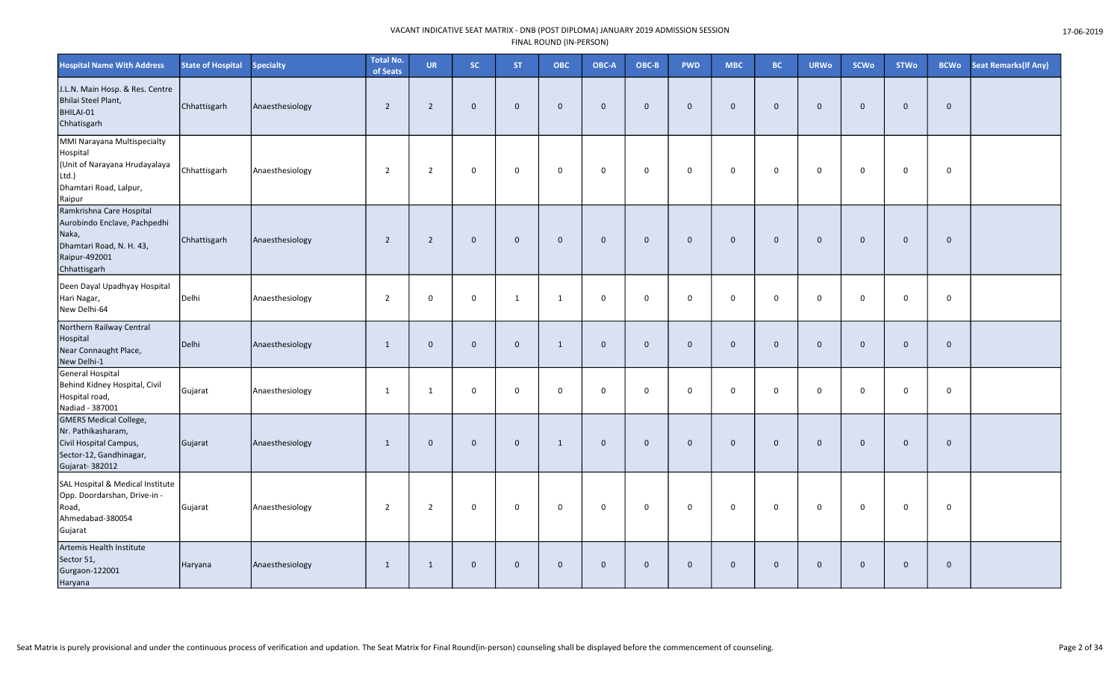| <b>Hospital Name With Address</b>                                                                                              | <b>State of Hospital</b> | <b>Specialty</b> | <b>Total No.</b><br>of Seats | <b>UR</b>      | SC.         | <b>ST</b>    | <b>OBC</b>   | OBC-A       | OBC-B        | <b>PWD</b>  | <b>MBC</b>  | <b>BC</b>    | <b>URWo</b>    | <b>SCWo</b>  | <b>STWo</b>  | <b>BCWo</b>  | Seat Remarks (If Any) |
|--------------------------------------------------------------------------------------------------------------------------------|--------------------------|------------------|------------------------------|----------------|-------------|--------------|--------------|-------------|--------------|-------------|-------------|--------------|----------------|--------------|--------------|--------------|-----------------------|
| J.L.N. Main Hosp. & Res. Centre<br>Bhilai Steel Plant,<br>BHILAI-01<br>Chhatisgarh                                             | Chhattisgarh             | Anaesthesiology  | $\overline{2}$               | $\overline{2}$ | $\mathbf 0$ | $\Omega$     | $\mathbf 0$  | $\mathbf 0$ | $\mathbf{0}$ | $\mathbf 0$ | $\mathbf 0$ | $\mathbf 0$  | $\mathbf 0$    | $\mathbf 0$  | $\mathbf 0$  | $\mathbf{0}$ |                       |
| MMI Narayana Multispecialty<br>Hospital<br>(Unit of Narayana Hrudayalaya<br>$Ltd.$ )<br>Dhamtari Road, Lalpur,<br>Raipur       | Chhattisgarh             | Anaesthesiology  | $\overline{2}$               | $\overline{2}$ | 0           | 0            | 0            | $\mathbf 0$ | $\mathbf 0$  | $\mathbf 0$ | $\mathbf 0$ | $\mathbf 0$  | $\mathbf 0$    | $\mathbf 0$  | $\mathbf 0$  | $\mathbf 0$  |                       |
| Ramkrishna Care Hospital<br>Aurobindo Enclave, Pachpedhi<br>Naka,<br>Dhamtari Road, N. H. 43,<br>Raipur-492001<br>Chhattisgarh | Chhattisgarh             | Anaesthesiology  | $\overline{2}$               | $\overline{2}$ | $\mathbf 0$ | $\mathbf{0}$ | $\mathbf{0}$ | $\mathbf 0$ | $\mathbf 0$  | $\mathbf 0$ | $\mathbf 0$ | $\mathbf 0$  | $\mathbf{0}$   | $\mathbf{0}$ | $\mathbf 0$  | $\mathbf 0$  |                       |
| Deen Dayal Upadhyay Hospital<br>Hari Nagar,<br>New Delhi-64                                                                    | Delhi                    | Anaesthesiology  | $\overline{2}$               | $\mathbf 0$    | $\mathsf 0$ | $\mathbf{1}$ | 1            | $\mathbf 0$ | $\mathbf 0$  | $\mathsf 0$ | 0           | 0            | $\mathbf 0$    | $\Omega$     | $\mathbf 0$  | $\mathbf 0$  |                       |
| Northern Railway Central<br>Hospital<br>Near Connaught Place,<br>New Delhi-1                                                   | Delhi                    | Anaesthesiology  | 1                            | $\Omega$       | $\mathbf 0$ | $\mathbf{0}$ | $\mathbf{1}$ | $\mathbf 0$ | $\Omega$     | $\mathbf 0$ | $\mathbf 0$ | $\mathbf{0}$ | $\overline{0}$ | $\Omega$     | $\mathbf 0$  | $\mathbf 0$  |                       |
| General Hospital<br>Behind Kidney Hospital, Civil<br>Hospital road,<br>Nadiad - 387001                                         | Gujarat                  | Anaesthesiology  | 1                            | 1              | 0           | 0            | 0            | $\mathbf 0$ | $\mathbf 0$  | $\mathbf 0$ | 0           | $\mathbf 0$  | $\mathbf 0$    | 0            | $\mathbf 0$  | $\mathbf 0$  |                       |
| <b>GMERS Medical College,</b><br>Nr. Pathikasharam,<br>Civil Hospital Campus,<br>Sector-12, Gandhinagar,<br>Gujarat- 382012    | Gujarat                  | Anaesthesiology  | 1                            | $\mathbf{0}$   | $\mathbf 0$ | $\mathbf 0$  | $\mathbf{1}$ | $\mathbf 0$ | $\mathbf{0}$ | $\mathbf 0$ | $\mathbf 0$ | $\mathbf 0$  | $\overline{0}$ | $\mathbf 0$  | $\mathbf{0}$ | $\mathbf 0$  |                       |
| SAL Hospital & Medical Institute<br>Opp. Doordarshan, Drive-in -<br>Road,<br>Ahmedabad-380054<br>Gujarat                       | Gujarat                  | Anaesthesiology  | $\overline{2}$               | $\overline{2}$ | 0           | $\mathbf 0$  | $\mathbf 0$  | $\mathbf 0$ | $\mathbf 0$  | $\mathbf 0$ | $\mathbf 0$ | $\mathbf 0$  | $\mathbf 0$    | $\mathbf 0$  | $\mathbf 0$  | $\mathbf 0$  |                       |
| Artemis Health Institute<br>Sector 51,<br>Gurgaon-122001<br>Haryana                                                            | Haryana                  | Anaesthesiology  | 1                            | 1              | $\mathbf 0$ | $\mathbf 0$  | $\mathbf 0$  | $\mathbf 0$ | $\mathbf{0}$ | $\mathbf 0$ | $\mathbf 0$ | $\mathbf 0$  | $\mathbf 0$    | $\mathbf{0}$ | $\mathbf 0$  | $\mathbf 0$  |                       |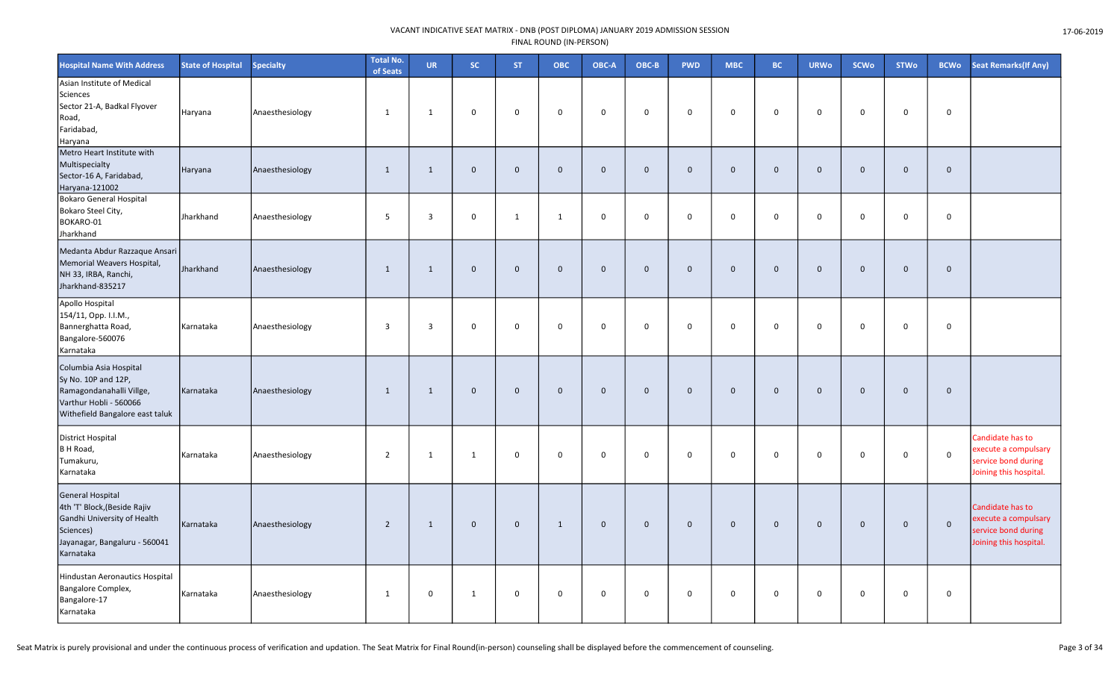| <b>Hospital Name With Address</b>                                                                                                                 | <b>State of Hospital</b> | <b>Specialty</b> | <b>Total No.</b><br>of Seats | <b>UR</b>   | sc.          | <b>ST</b>    | ОВС          | OBC-A       | OBC-B       | <b>PWD</b>   | <b>MBC</b>   | <b>BC</b>    | <b>URWo</b>    | <b>SCWo</b>  | <b>STWo</b>  | <b>BCWo</b>  | Seat Remarks(If Any)                                                                      |
|---------------------------------------------------------------------------------------------------------------------------------------------------|--------------------------|------------------|------------------------------|-------------|--------------|--------------|--------------|-------------|-------------|--------------|--------------|--------------|----------------|--------------|--------------|--------------|-------------------------------------------------------------------------------------------|
| Asian Institute of Medical<br>Sciences<br>Sector 21-A, Badkal Flyover<br>Road,<br>Faridabad,<br>Haryana                                           | Haryana                  | Anaesthesiology  | 1                            | 1           | 0            | $\mathbf 0$  | $\mathbf 0$  | $\mathbf 0$ | $\mathbf 0$ | $\mathbf 0$  | $\mathbf 0$  | 0            | $\mathbf 0$    | $\Omega$     | $\mathbf 0$  | $\mathbf 0$  |                                                                                           |
| Metro Heart Institute with<br>Multispecialty<br>Sector-16 A, Faridabad,<br>Haryana-121002                                                         | Haryana                  | Anaesthesiology  | 1                            | 1           | $\mathbf 0$  | $\Omega$     | $\mathbf{0}$ | $\mathbf 0$ | $\Omega$    | $\mathbf{0}$ | $\mathbf{0}$ | $\mathbf{0}$ | $\overline{0}$ | $\Omega$     | $\mathbf{0}$ | $\mathbf{0}$ |                                                                                           |
| <b>Bokaro General Hospital</b><br>Bokaro Steel City,<br>BOKARO-01<br>Jharkhand                                                                    | Jharkhand                | Anaesthesiology  | 5                            | 3           | 0            | $\mathbf{1}$ | $\mathbf{1}$ | $\mathbf 0$ | $\mathbf 0$ | $\mathbf 0$  | $\mathbf 0$  | 0            | $\mathbf 0$    | $\mathbf 0$  | $\mathbf 0$  | 0            |                                                                                           |
| Medanta Abdur Razzaque Ansari<br>Memorial Weavers Hospital,<br>NH 33, IRBA, Ranchi,<br>Jharkhand-835217                                           | Jharkhand                | Anaesthesiology  | 1                            | 1           | $\mathbf 0$  | $\Omega$     | $\mathbf 0$  | $\mathbf 0$ | $\Omega$    | $\mathbf 0$  | $\mathbf{0}$ | $\mathbf{0}$ | $\mathbf 0$    | $\mathbf{0}$ | $\mathbf{0}$ | $\mathbf{0}$ |                                                                                           |
| Apollo Hospital<br>154/11, Opp. I.I.M.,<br>Bannerghatta Road,<br>Bangalore-560076<br>Karnataka                                                    | Karnataka                | Anaesthesiology  | $\overline{3}$               | 3           | 0            | $\mathbf 0$  | 0            | $\mathbf 0$ | $\mathbf 0$ | $\mathbf 0$  | $\mathbf 0$  | 0            | $\mathbf 0$    | $\mathbf 0$  | $\mathbf 0$  | $\mathbf 0$  |                                                                                           |
| Columbia Asia Hospital<br>Sy No. 10P and 12P,<br>Ramagondanahalli Villge,<br>Varthur Hobli - 560066<br>Withefield Bangalore east taluk            | Karnataka                | Anaesthesiology  | 1                            | 1           | $\mathbf 0$  | $\mathbf 0$  | $\mathbf 0$  | $\mathbf 0$ | $\mathbf 0$ | $\mathbf 0$  | $\mathbf 0$  | $\mathbf 0$  | $\overline{0}$ | $\mathbf 0$  | $\mathbf 0$  | $\mathbf 0$  |                                                                                           |
| <b>District Hospital</b><br>B H Road,<br>Tumakuru,<br>Karnataka                                                                                   | Karnataka                | Anaesthesiology  | $\overline{2}$               | 1           | $\mathbf{1}$ | $\Omega$     | $\mathbf 0$  | $\mathbf 0$ | $\mathbf 0$ | $\mathbf 0$  | $\mathbf 0$  | $\mathbf 0$  | $\mathbf 0$    | $\mathbf 0$  | $\mathbf 0$  | $\mathsf 0$  | Candidate has to<br>execute a compulsary<br>service bond during<br>Joining this hospital. |
| <b>General Hospital</b><br>4th 'T' Block, (Beside Rajiv<br>Gandhi University of Health<br>Sciences)<br>Jayanagar, Bangaluru - 560041<br>Karnataka | Karnataka                | Anaesthesiology  | $\overline{2}$               | 1           | $\mathbf 0$  | $\Omega$     | 1            | $\mathbf 0$ | $\mathbf 0$ | $\mathbf 0$  | $\mathbf 0$  | $\mathbf{0}$ | $\mathbf 0$    | $\Omega$     | $\mathbf 0$  | $\mathbf 0$  | Candidate has to<br>execute a compulsary<br>service bond during<br>Joining this hospital. |
| Hindustan Aeronautics Hospital<br>Bangalore Complex,<br>Bangalore-17<br>Karnataka                                                                 | Karnataka                | Anaesthesiology  | 1                            | $\mathbf 0$ | $\mathbf{1}$ | 0            | $\mathbf 0$  | $\mathbf 0$ | $\mathbf 0$ | $\mathbf 0$  | $\mathbf 0$  | 0            | $\mathbf 0$    | $\mathbf 0$  | $\mathbf 0$  | $\mathbf 0$  |                                                                                           |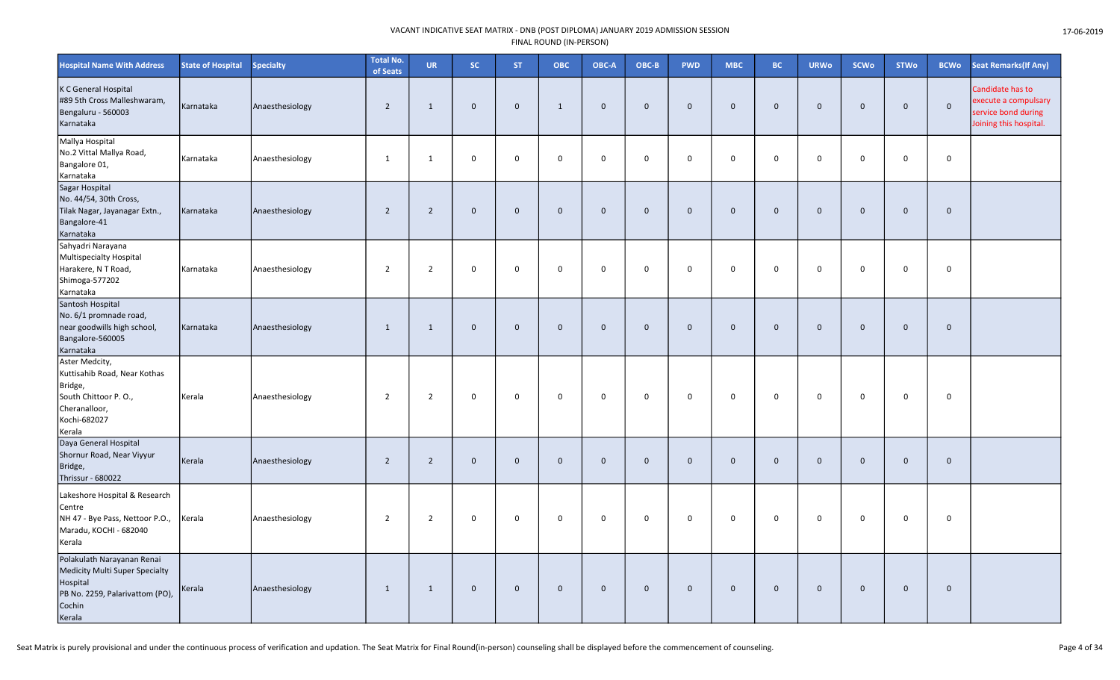| <b>Hospital Name With Address</b>                                                                                               | <b>State of Hospital</b> | <b>Specialty</b> | Total No.<br>of Seats | <b>UR</b>      | sc.         | <b>ST</b>    | ОВС          | OBC-A        | OBC-B       | <b>PWD</b>  | <b>MBC</b>  | <b>BC</b>    | <b>URWo</b>    | <b>SCWo</b>  | <b>STWo</b>  | <b>BCWo</b>  | <b>Seat Remarks (If Any)</b>                                                              |
|---------------------------------------------------------------------------------------------------------------------------------|--------------------------|------------------|-----------------------|----------------|-------------|--------------|--------------|--------------|-------------|-------------|-------------|--------------|----------------|--------------|--------------|--------------|-------------------------------------------------------------------------------------------|
| K C General Hospital<br>#89 5th Cross Malleshwaram,<br>Bengaluru - 560003<br>Karnataka                                          | Karnataka                | Anaesthesiology  | $\overline{2}$        | 1              | $\mathbf 0$ | $\mathbf{0}$ | $\mathbf{1}$ | $\mathbf 0$  | $\Omega$    | $\mathbf 0$ | $\mathbf 0$ | $\mathbf 0$  | $\overline{0}$ | $\mathbf{0}$ | $\mathbf{0}$ | $\mathbf 0$  | Candidate has to<br>execute a compulsary<br>service bond during<br>Joining this hospital. |
| Mallya Hospital<br>No.2 Vittal Mallya Road,<br>Bangalore 01,<br>Karnataka                                                       | Karnataka                | Anaesthesiology  | 1                     | 1              | $\mathbf 0$ | $\Omega$     | $\mathbf 0$  | $\mathbf 0$  | $\mathbf 0$ | $\mathsf 0$ | $\mathbf 0$ | $\mathsf{O}$ | $\mathbf 0$    | 0            | $\mathbf 0$  | $\mathbf 0$  |                                                                                           |
| Sagar Hospital<br>No. 44/54, 30th Cross,<br>Tilak Nagar, Jayanagar Extn.,<br>Bangalore-41<br>Karnataka                          | Karnataka                | Anaesthesiology  | $\overline{2}$        | $\overline{2}$ | $\mathbf 0$ | $\mathbf 0$  | $\mathbf{0}$ | $\mathbf{0}$ | $\Omega$    | $\mathbf 0$ | $\mathbf 0$ | $\mathbf{0}$ | $\overline{0}$ | $\Omega$     | $\mathbf 0$  | $\mathbf 0$  |                                                                                           |
| Sahyadri Narayana<br>Multispecialty Hospital<br>Harakere, N T Road,<br>Shimoga-577202<br>Karnataka                              | Karnataka                | Anaesthesiology  | $\overline{2}$        | 2              | 0           | $\Omega$     | $\Omega$     | $\mathbf 0$  | $\Omega$    | $\mathbf 0$ | $\mathbf 0$ | 0            | $\mathbf 0$    | $\Omega$     | $\Omega$     | $\mathbf 0$  |                                                                                           |
| Santosh Hospital<br>No. 6/1 promnade road,<br>near goodwills high school,<br>Bangalore-560005<br>Karnataka                      | Karnataka                | Anaesthesiology  | $\overline{1}$        | 1              | $\mathbf 0$ | $\Omega$     | $\mathbf 0$  | $\mathbf 0$  | $\Omega$    | $\mathbf 0$ | $\mathbf 0$ | $\mathbf 0$  | $\overline{0}$ | $\Omega$     | $\mathbf{0}$ | $\mathbf{0}$ |                                                                                           |
| Aster Medcity,<br>Kuttisahib Road, Near Kothas<br>Bridge,<br>South Chittoor P.O.,<br>Cheranalloor,<br>Kochi-682027<br>Kerala    | Kerala                   | Anaesthesiology  | $\overline{2}$        | $\overline{2}$ | 0           | $\mathbf 0$  | 0            | $\mathbf 0$  | $\mathbf 0$ | $\mathbf 0$ | $\mathbf 0$ | $\mathbf 0$  | $\mathbf 0$    | $\mathbf 0$  | $\mathbf 0$  | $\mathbf 0$  |                                                                                           |
| Daya General Hospital<br>Shornur Road, Near Viyyur<br>Bridge,<br>Thrissur - 680022                                              | Kerala                   | Anaesthesiology  | $\overline{2}$        | $\overline{2}$ | $\mathbf 0$ | $\Omega$     | $\mathbf 0$  | $\mathbf 0$  | $\Omega$    | $\mathbf 0$ | $\mathbf 0$ | $\Omega$     | $\overline{0}$ | $\Omega$     | $\mathbf 0$  | $\mathbf 0$  |                                                                                           |
| Lakeshore Hospital & Research<br>Centre<br>NH 47 - Bye Pass, Nettoor P.O.,<br>Maradu, KOCHI - 682040<br>Kerala                  | Kerala                   | Anaesthesiology  | $\overline{2}$        | $\overline{2}$ | $\mathbf 0$ | $\Omega$     | $\mathbf 0$  | $\mathbf 0$  | $\mathbf 0$ | $\mathsf 0$ | $\Omega$    | $\mathsf{O}$ | $\mathbf 0$    | $\mathsf 0$  | $\Omega$     | 0            |                                                                                           |
| Polakulath Narayanan Renai<br>Medicity Multi Super Specialty<br>Hospital<br>PB No. 2259, Palarivattom (PO),<br>Cochin<br>Kerala | Kerala                   | Anaesthesiology  | 1                     | 1              | $\mathbf 0$ | $\mathbf 0$  | $\mathbf 0$  | $\mathbf 0$  | $\mathbf 0$ | $\mathbf 0$ | $\mathbf 0$ | $\mathbf 0$  | $\overline{0}$ | $\mathbf 0$  | $\mathbf 0$  | $\mathbf 0$  |                                                                                           |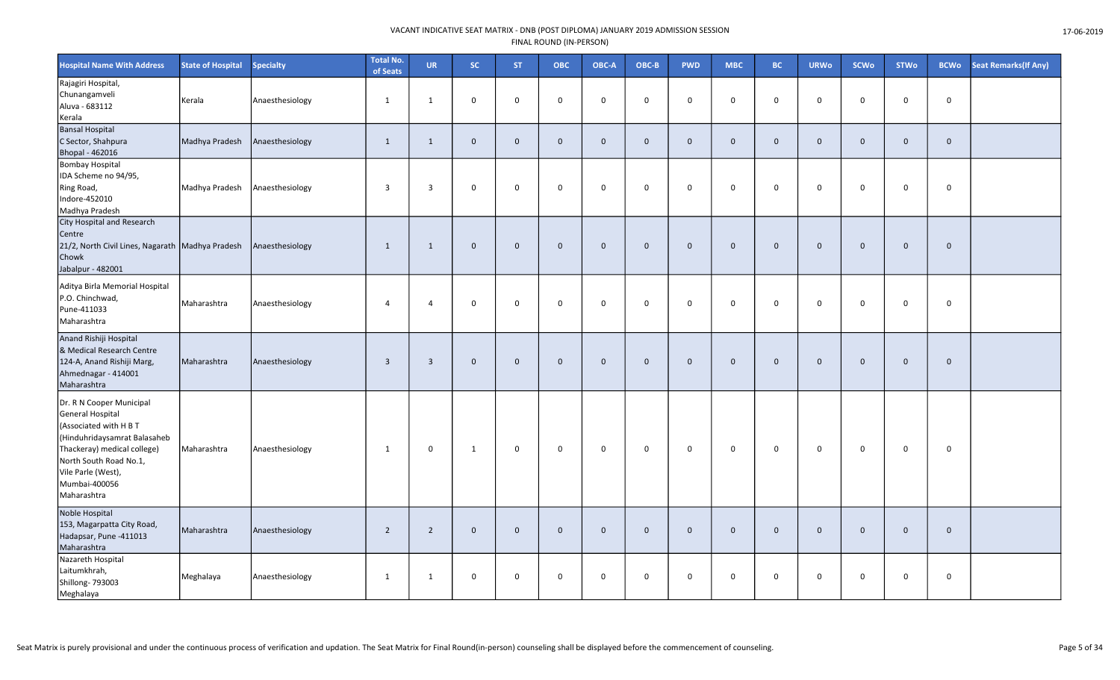| <b>Hospital Name With Address</b>                                                                                                                                                                                     | <b>State of Hospital</b> | <b>Specialty</b> | <b>Total No.</b><br>of Seats | <b>UR</b>               | SC.          | ST.          | <b>OBC</b>   | OBC-A        | $OBC-B$      | <b>PWD</b>   | MBC          | <b>BC</b>    | <b>URWo</b>  | SCWo        | <b>STWo</b> | <b>BCWo</b>  | <b>Seat Remarks (If Any)</b> |
|-----------------------------------------------------------------------------------------------------------------------------------------------------------------------------------------------------------------------|--------------------------|------------------|------------------------------|-------------------------|--------------|--------------|--------------|--------------|--------------|--------------|--------------|--------------|--------------|-------------|-------------|--------------|------------------------------|
| Rajagiri Hospital,<br>Chunangamveli<br>Aluva - 683112<br>Kerala                                                                                                                                                       | Kerala                   | Anaesthesiology  | 1                            | 1                       | $\mathbf 0$  | $\mathbf 0$  | $\mathbf 0$  | $\Omega$     | $\mathbf{0}$ | $\mathbf 0$  | $\mathbf 0$  | $\mathbf 0$  | $\mathbf 0$  | $\mathbf 0$ | $\mathbf 0$ | $\mathsf{o}$ |                              |
| <b>Bansal Hospital</b><br>C Sector, Shahpura<br>Bhopal - 462016                                                                                                                                                       | Madhya Pradesh           | Anaesthesiology  | $\mathbf{1}$                 | 1                       | $\mathbf 0$  | $\mathbf 0$  | $\mathbf 0$  | $\mathbf 0$  | $\mathbf{0}$ | $\mathbf 0$  | $\mathbf 0$  | $\mathbf 0$  | $\mathbf{0}$ | $\mathbf 0$ | $\mathbf 0$ | $\mathbf{0}$ |                              |
| <b>Bombay Hospital</b><br>IDA Scheme no 94/95,<br>Ring Road,<br>Indore-452010<br>Madhya Pradesh                                                                                                                       | Madhya Pradesh           | Anaesthesiology  | $\overline{\mathbf{3}}$      | $\overline{3}$          | $\mathbf 0$  | $\mathbf 0$  | $\mathbf 0$  | $\mathbf 0$  | $\mathbf 0$  | $\mathbf 0$  | $\Omega$     | $\mathbf 0$  | $\mathbf 0$  | $\mathbf 0$ | $\mathbf 0$ | $\mathbf 0$  |                              |
| <b>City Hospital and Research</b><br>Centre<br>21/2, North Civil Lines, Nagarath   Madhya Pradesh<br>Chowk<br>Jabalpur - 482001                                                                                       |                          | Anaesthesiology  | $\mathbf{1}$                 | 1                       | $\mathbf 0$  | $\mathbf 0$  | $\mathbf 0$  | $\Omega$     | $\mathbf{0}$ | $\mathbf 0$  | $\mathbf 0$  | $\mathbf 0$  | $\mathbf 0$  | $\mathbf 0$ | $\mathbf 0$ | $\mathbf 0$  |                              |
| Aditya Birla Memorial Hospital<br>P.O. Chinchwad,<br>Pune-411033<br>Maharashtra                                                                                                                                       | Maharashtra              | Anaesthesiology  | $\overline{4}$               | $\overline{4}$          | $\mathbf 0$  | $\mathbf 0$  | $\mathbf 0$  | $\mathbf 0$  | $\mathbf 0$  | $\mathsf 0$  | $\Omega$     | $\mathbf 0$  | $\mathbf 0$  | 0           | $\pmb{0}$   | $\mathbf 0$  |                              |
| Anand Rishiji Hospital<br>& Medical Research Centre<br>124-A, Anand Rishiji Marg,<br>Ahmednagar - 414001<br>Maharashtra                                                                                               | Maharashtra              | Anaesthesiology  | $\overline{\mathbf{3}}$      | $\overline{\mathbf{3}}$ | $\mathbf 0$  | $\mathbf 0$  | $\mathbf 0$  | $\mathbf{0}$ | $\mathbf 0$  | $\mathsf{O}$ | $\mathbf 0$  | $\mathbf 0$  | $\mathbf 0$  | $\mathbf 0$ | $\mathbf 0$ | $\mathbf 0$  |                              |
| Dr. R N Cooper Municipal<br>General Hospital<br>(Associated with H B T<br>(Hinduhridaysamrat Balasaheb<br>Thackeray) medical college)<br>North South Road No.1,<br>Vile Parle (West),<br>Mumbai-400056<br>Maharashtra | Maharashtra              | Anaesthesiology  | $\mathbf{1}$                 | $\mathbf 0$             | $\mathbf{1}$ | $\mathsf 0$  | $\mathsf 0$  | 0            | $\mathbf{0}$ | $\mathsf 0$  | $\mathsf 0$  | $\mathbf 0$  | $\mathsf{O}$ | 0           | $\mathbf 0$ | $\mathsf 0$  |                              |
| Noble Hospital<br>153, Magarpatta City Road,<br>Hadapsar, Pune -411013<br>Maharashtra                                                                                                                                 | Maharashtra              | Anaesthesiology  | $\overline{2}$               | $\overline{2}$          | $\mathbf{0}$ | $\mathbf{0}$ | $\mathbf{0}$ | $\Omega$     | $\mathbf{0}$ | $\mathbf 0$  | $\mathbf{0}$ | $\mathbf{0}$ | $\mathbf{0}$ | $\mathbf 0$ | $\mathbf 0$ | $\mathbf 0$  |                              |
| Nazareth Hospital<br>Laitumkhrah,<br>Shillong-793003<br>Meghalaya                                                                                                                                                     | Meghalaya                | Anaesthesiology  | 1                            | 1                       | $\mathsf 0$  | $\mathbf 0$  | $\mathbf 0$  | 0            | $\mathbf 0$  | $\mathsf 0$  | $\mathsf 0$  | $\mathbf 0$  | $\mathbf 0$  | 0           | $\mathbf 0$ | $\mathsf 0$  |                              |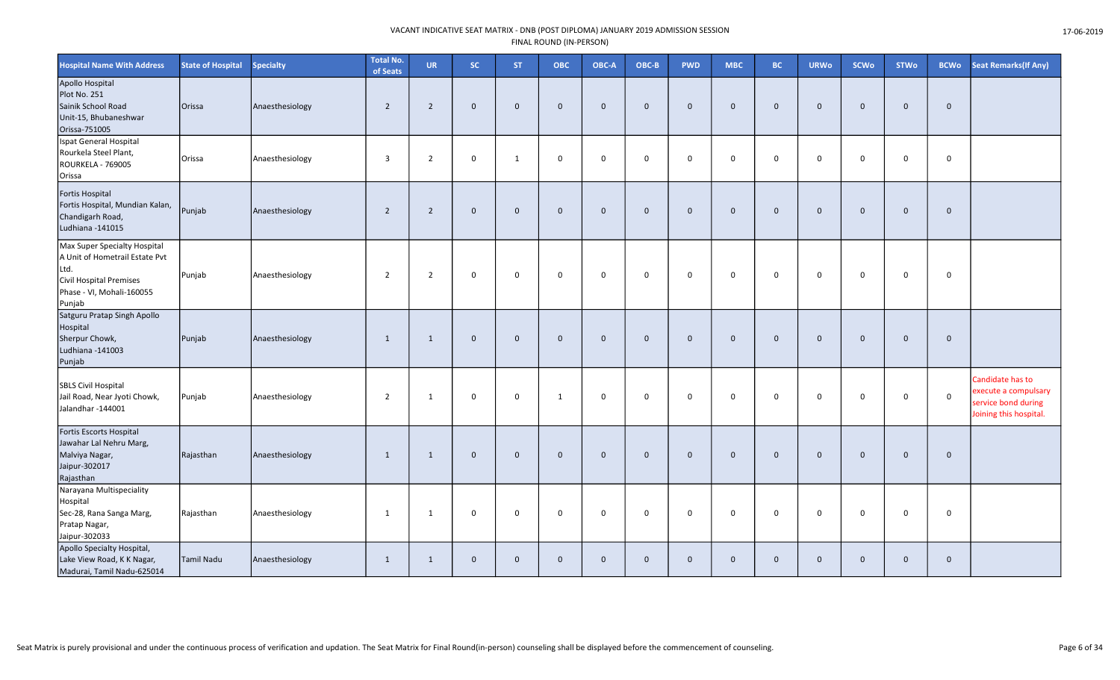| <b>Hospital Name With Address</b>                                                                                                        | <b>State of Hospital</b> | <b>Specialty</b> | <b>Total No.</b><br>of Seats | <b>UR</b>      | <b>SC</b>    | ST.            | <b>OBC</b>   | OBC-A        | OBC-B        | <b>PWD</b>   | <b>MBC</b>     | <b>BC</b>    | <b>URWo</b>  | <b>SCWo</b>  | <b>STWo</b>  | <b>BCWo</b>    | <b>Seat Remarks(If Any)</b>                                                               |
|------------------------------------------------------------------------------------------------------------------------------------------|--------------------------|------------------|------------------------------|----------------|--------------|----------------|--------------|--------------|--------------|--------------|----------------|--------------|--------------|--------------|--------------|----------------|-------------------------------------------------------------------------------------------|
| Apollo Hospital<br>Plot No. 251<br>Sainik School Road<br>Unit-15, Bhubaneshwar<br>Orissa-751005                                          | Orissa                   | Anaesthesiology  | $\overline{2}$               | $\overline{2}$ | $\mathbf{0}$ | $\overline{0}$ | $\Omega$     | $\mathbf{0}$ | $\mathbf{0}$ | $\mathbf{0}$ | $\overline{0}$ | $\Omega$     | $\mathbf{0}$ | $\mathbf{0}$ | $\mathbf{0}$ | $\overline{0}$ |                                                                                           |
| Ispat General Hospital<br>Rourkela Steel Plant,<br>ROURKELA - 769005<br>Orissa                                                           | Orissa                   | Anaesthesiology  | $\overline{3}$               | $\overline{2}$ | $\mathbf 0$  | $\mathbf{1}$   | $\mathbf 0$  | $\mathbf 0$  | $\mathbf 0$  | $\mathbf 0$  | $\mathbf 0$    | $\mathbf 0$  | $\mathbf 0$  | $\mathbf 0$  | $\mathbf 0$  | $\mathbf 0$    |                                                                                           |
| Fortis Hospital<br>Fortis Hospital, Mundian Kalan,<br>Chandigarh Road,<br>Ludhiana -141015                                               | Punjab                   | Anaesthesiology  | $\overline{2}$               | $\overline{2}$ | $\mathbf 0$  | $\overline{0}$ | $\mathbf{0}$ | $\mathbf 0$  | $\mathbf 0$  | $\mathbf 0$  | $\overline{0}$ | $\mathbf{0}$ | $\mathbf 0$  | $\mathbf 0$  | $\mathbf 0$  | $\overline{0}$ |                                                                                           |
| Max Super Specialty Hospital<br>A Unit of Hometrail Estate Pvt<br>Ltd.<br>Civil Hospital Premises<br>Phase - VI, Mohali-160055<br>Punjab | Punjab                   | Anaesthesiology  | $\overline{2}$               | $\overline{2}$ | 0            | $\mathbf 0$    | $\mathbf 0$  | $\mathbf 0$  | $\mathbf 0$  | $\mathbf 0$  | $\mathbf 0$    | $\mathbf 0$  | $\mathbf 0$  | $\mathbf 0$  | $\mathbf 0$  | $\mathbf 0$    |                                                                                           |
| Satguru Pratap Singh Apollo<br>Hospital<br>Sherpur Chowk,<br>Ludhiana -141003<br>Punjab                                                  | Punjab                   | Anaesthesiology  | 1                            | 1              | $\mathbf 0$  | $\overline{0}$ | $\mathbf{0}$ | $\mathbf 0$  | $\mathbf{0}$ | $\mathbf 0$  | $\mathbf 0$    | $\mathbf{0}$ | $\mathbf{0}$ | $\mathbf{0}$ | $\mathbf 0$  | $\overline{0}$ |                                                                                           |
| <b>SBLS Civil Hospital</b><br>Jail Road, Near Jyoti Chowk,<br>Jalandhar - 144001                                                         | Punjab                   | Anaesthesiology  | $\overline{2}$               | $\mathbf{1}$   | 0            | $\mathbf 0$    | $\mathbf{1}$ | 0            | $\Omega$     | 0            | $\mathbf 0$    | $\Omega$     | 0            | $\Omega$     | 0            | $\mathbf 0$    | Candidate has to<br>execute a compulsary<br>service bond during<br>Joining this hospital. |
| Fortis Escorts Hospital<br>Jawahar Lal Nehru Marg,<br>Malviya Nagar,<br>Jaipur-302017<br>Rajasthan                                       | Rajasthan                | Anaesthesiology  | $\mathbf{1}$                 | $\mathbf{1}$   | $\mathbf 0$  | $\overline{0}$ | $\mathbf{0}$ | $\mathbf 0$  | $\mathbf 0$  | $\mathbf 0$  | $\overline{0}$ | $\mathbf{0}$ | $\mathbf 0$  | $\mathbf 0$  | $\mathbf 0$  | $\overline{0}$ |                                                                                           |
| Narayana Multispeciality<br>Hospital<br>Sec-28, Rana Sanga Marg,<br>Pratap Nagar,<br>Jaipur-302033                                       | Rajasthan                | Anaesthesiology  | $\mathbf{1}$                 | $\mathbf{1}$   | 0            | $\mathbf 0$    | $\mathbf 0$  | $\mathbf 0$  | $\mathbf 0$  | 0            | $\mathbf 0$    | $\mathbf 0$  | $\mathbf 0$  | $\mathbf 0$  | 0            | $\overline{0}$ |                                                                                           |
| Apollo Specialty Hospital,<br>Lake View Road, K K Nagar,<br>Madurai, Tamil Nadu-625014                                                   | <b>Tamil Nadu</b>        | Anaesthesiology  | $\mathbf{1}$                 | $\mathbf{1}$   | $\mathbf 0$  | $\overline{0}$ | $\mathbf{0}$ | $\mathbf 0$  | $\mathbf{0}$ | $\mathbf 0$  | $\mathbf 0$    | $\mathbf{0}$ | $\mathbf 0$  | $\mathbf{0}$ | $\mathbf 0$  | $\mathbf 0$    |                                                                                           |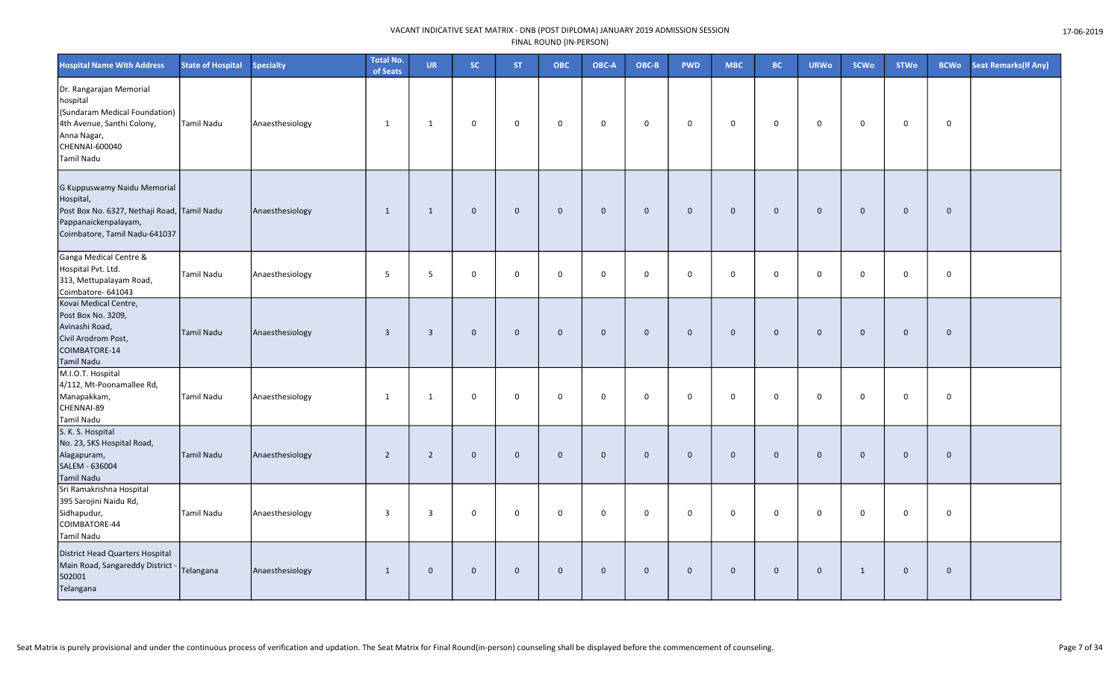| <b>Hospital Name With Address</b>                                                                                                                 | <b>State of Hospital</b> | <b>Specialty</b> | <b>Total No.</b><br>of Seats | <b>UR</b>      | <b>SC</b>   | <b>ST</b>      | <b>OBC</b>   | OBC-A        | OBC-B        | <b>PWD</b>   | <b>MBC</b>   | <b>BC</b>    | <b>URWo</b>    | <b>SCWo</b>  | <b>STWo</b> | <b>BCWo</b> | <b>Seat Remarks (If Any)</b> |
|---------------------------------------------------------------------------------------------------------------------------------------------------|--------------------------|------------------|------------------------------|----------------|-------------|----------------|--------------|--------------|--------------|--------------|--------------|--------------|----------------|--------------|-------------|-------------|------------------------------|
| Dr. Rangarajan Memorial<br>hospital<br>(Sundaram Medical Foundation)<br>4th Avenue, Santhi Colony,<br>Anna Nagar,<br>CHENNAI-600040<br>Tamil Nadu | Tamil Nadu               | Anaesthesiology  | $\mathbf{1}$                 | $\mathbf{1}$   | 0           | $\mathsf 0$    | $\mathsf 0$  | $\mathsf 0$  | $\mathbf 0$  | 0            | $\mathsf 0$  | $\mathbf 0$  | $\mathbf 0$    | $\mathbf 0$  | $\mathbf 0$ | 0           |                              |
| G Kuppuswamy Naidu Memorial<br>Hospital,<br>Post Box No. 6327, Nethaji Road, Tamil Nadu<br>Pappanaickenpalayam,<br>Coimbatore, Tamil Nadu-641037  |                          | Anaesthesiology  | $\mathbf{1}$                 | $\mathbf{1}$   | $\mathbf 0$ | $\overline{0}$ | $\mathbf 0$  | $\mathbf 0$  | $\mathbf{0}$ | $\mathbf 0$  | $\mathbf{0}$ | $\mathbf 0$  | $\overline{0}$ | $\mathbf{0}$ | $\mathbf 0$ | $\mathbf 0$ |                              |
| Ganga Medical Centre &<br>Hospital Pvt. Ltd.<br>313, Mettupalayam Road,<br>Coimbatore- 641043                                                     | <b>Tamil Nadu</b>        | Anaesthesiology  | 5                            | 5              | 0           | $\mathbf 0$    | $\mathbf 0$  | $\mathbf 0$  | $\mathbf 0$  | $\mathbf 0$  | $\mathbf 0$  | $\mathbf 0$  | $\overline{0}$ | $\Omega$     | $\mathbf 0$ | $\mathbf 0$ |                              |
| Kovai Medical Centre,<br>Post Box No. 3209,<br>Avinashi Road,<br>Civil Arodrom Post,<br>COIMBATORE-14<br><b>Tamil Nadu</b>                        | Tamil Nadu               | Anaesthesiology  | $\overline{3}$               | $\overline{3}$ | $\mathbf 0$ | $\overline{0}$ | $\mathbf 0$  | $\mathbf 0$  | $\mathbf 0$  | $\mathbf 0$  | $\mathbf{0}$ | $\mathbf{0}$ | $\mathbf 0$    | $\mathbf 0$  | $\mathbf 0$ | $\mathbf 0$ |                              |
| M.I.O.T. Hospital<br>4/112, Mt-Poonamallee Rd,<br>Manapakkam,<br>CHENNAI-89<br><b>Tamil Nadu</b>                                                  | <b>Tamil Nadu</b>        | Anaesthesiology  | $\mathbf{1}$                 | -1             | 0           | $\mathbf 0$    | $\mathbf 0$  | $\mathbf 0$  | $\mathbf 0$  | $\mathbf 0$  | $\mathbf 0$  | $\mathbf 0$  | $\mathbf 0$    | $\mathbf 0$  | $\mathbf 0$ | 0           |                              |
| S. K. S. Hospital<br>No. 23, SKS Hospital Road,<br>Alagapuram,<br>SALEM - 636004<br><b>Tamil Nadu</b>                                             | Tamil Nadu               | Anaesthesiology  | $\overline{2}$               | $\overline{2}$ | $\mathbf 0$ | $\overline{0}$ | $\mathbf{0}$ | $\mathbf{0}$ | $\mathbf{0}$ | $\mathbf{0}$ | $\mathbf{0}$ | $\mathbf 0$  | $\overline{0}$ | $\mathbf{0}$ | $\mathbf 0$ | $\mathbf 0$ |                              |
| Sri Ramakrishna Hospital<br>395 Sarojini Naidu Rd,<br>Sidhapudur,<br>COIMBATORE-44<br>Tamil Nadu                                                  | <b>Tamil Nadu</b>        | Anaesthesiology  | $\overline{3}$               | 3              | 0           | $\mathbf 0$    | $\mathbf 0$  | $\mathbf 0$  | $\mathbf 0$  | 0            | $\mathbf 0$  | $\mathbf 0$  | $\overline{0}$ | $\Omega$     | $\mathbf 0$ | 0           |                              |
| District Head Quarters Hospital<br>Main Road, Sangareddy District -<br>502001<br>Telangana                                                        | Telangana                | Anaesthesiology  | $\mathbf{1}$                 | $\mathbf{0}$   | $\mathbf 0$ | $\mathbf 0$    | $\mathbf 0$  | $\mathbf 0$  | $\mathbf 0$  | $\mathbf 0$  | $\mathbf 0$  | $\mathbf 0$  | $\overline{0}$ | 1            | $\mathbf 0$ | $\mathbf 0$ |                              |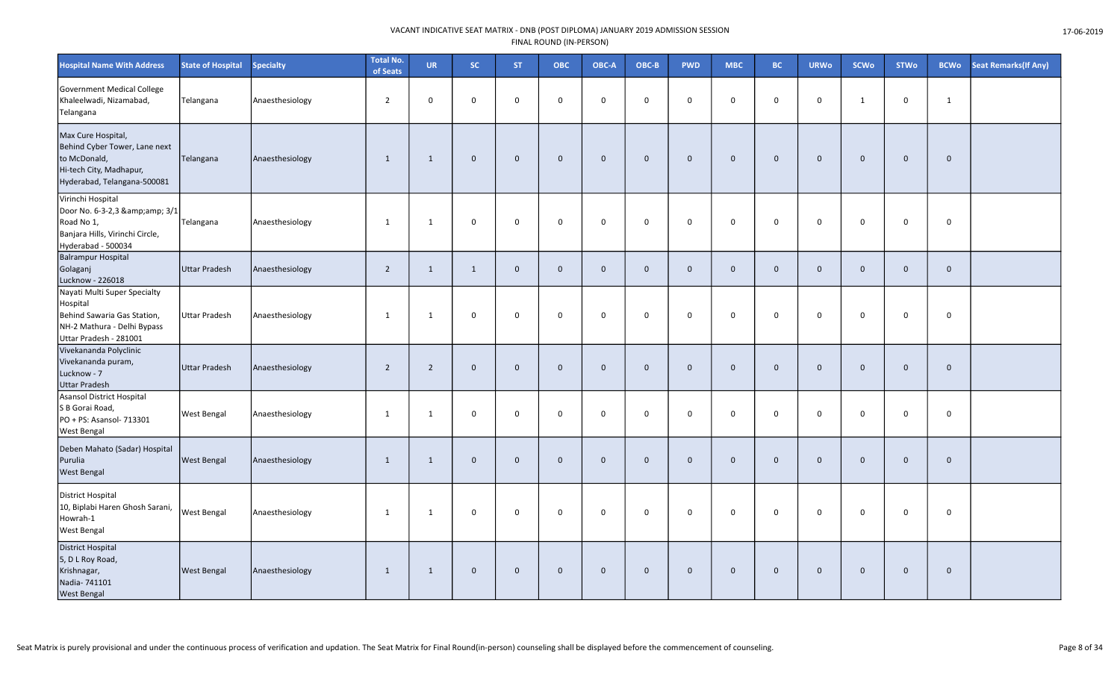| <b>Hospital Name With Address</b>                                                                                                | <b>State of Hospital</b> | <b>Specialty</b> | <b>Total No.</b><br>of Seats | <b>UR</b>      | SC.          | <b>ST</b>    | <b>OBC</b>          | OBC-A          | OBC-B        | <b>PWD</b>  | <b>MBC</b>  | <b>BC</b>    | <b>URWo</b>    | <b>SCWo</b>  | <b>STWo</b> | <b>BCWo</b>  | Seat Remarks(If Any) |
|----------------------------------------------------------------------------------------------------------------------------------|--------------------------|------------------|------------------------------|----------------|--------------|--------------|---------------------|----------------|--------------|-------------|-------------|--------------|----------------|--------------|-------------|--------------|----------------------|
| Government Medical College<br>Khaleelwadi, Nizamabad,<br>Telangana                                                               | Telangana                | Anaesthesiology  | $\overline{2}$               | $\mathbf 0$    | $\mathbf 0$  | $\mathbf 0$  | $\mathbf 0$         | $\mathbf 0$    | $\mathbf 0$  | $\mathbf 0$ | $\mathbf 0$ | $\mathsf{O}$ | $\mathbf 0$    | $\mathbf{1}$ | $\mathbf 0$ | $\mathbf{1}$ |                      |
| Max Cure Hospital,<br>Behind Cyber Tower, Lane next<br>to McDonald,<br>Hi-tech City, Madhapur,<br>Hyderabad, Telangana-500081    | Telangana                | Anaesthesiology  | 1                            | 1              | $\mathbf 0$  | $\mathbf 0$  | $\mathbf 0$         | $\mathbf 0$    | $\Omega$     | $\mathbf 0$ | $\mathbf 0$ | $\mathbf 0$  | $\mathbf 0$    | $\mathbf{0}$ | $\mathbf 0$ | $\mathbf 0$  |                      |
| Virinchi Hospital<br>Door No. 6-3-2,3 & 3/1<br>Road No 1,<br>Banjara Hills, Virinchi Circle,<br>Hyderabad - 500034               | Telangana                | Anaesthesiology  | 1                            | 1              | 0            | $\Omega$     | $\mathbf 0$         | $\mathbf 0$    | $\mathbf 0$  | $\mathbf 0$ | $\mathbf 0$ | 0            | $\mathbf 0$    | $\mathbf 0$  | $\mathbf 0$ | $\mathbf 0$  |                      |
| <b>Balrampur Hospital</b><br>Golaganj<br>Lucknow - 226018                                                                        | Uttar Pradesh            | Anaesthesiology  | $\overline{2}$               | $\mathbf{1}$   | $\mathbf{1}$ | $\mathbf 0$  | $\mathsf{O}\xspace$ | $\mathbf 0$    | $\mathbf{0}$ | $\mathbf 0$ | $\mathbf 0$ | $\mathbf 0$  | $\mathbf 0$    | $\mathbf{0}$ | $\mathbf 0$ | $\mathbf 0$  |                      |
| Nayati Multi Super Specialty<br>Hospital<br>Behind Sawaria Gas Station,<br>NH-2 Mathura - Delhi Bypass<br>Uttar Pradesh - 281001 | Uttar Pradesh            | Anaesthesiology  | 1                            | 1              | 0            | $\mathbf 0$  | $\mathbf 0$         | $\mathbf 0$    | $\mathbf 0$  | $\mathbf 0$ | $\mathbf 0$ | 0            | $\mathbf 0$    | $\mathbf 0$  | $\mathbf 0$ | $\mathbf 0$  |                      |
| Vivekananda Polyclinic<br>Vivekananda puram,<br>Lucknow - 7<br><b>Uttar Pradesh</b>                                              | Uttar Pradesh            | Anaesthesiology  | $\overline{2}$               | 2              | $\mathbf 0$  | $\mathbf{0}$ | $\mathbf{0}$        | $\overline{0}$ | $\Omega$     | $\mathbf 0$ | $\mathbf 0$ | $\mathbf{0}$ | $\mathbf{0}$   | $\Omega$     | $\mathbf 0$ | $\mathbf 0$  |                      |
| Asansol District Hospital<br>S B Gorai Road,<br>PO + PS: Asansol- 713301<br><b>West Bengal</b>                                   | <b>West Bengal</b>       | Anaesthesiology  | 1                            | $\overline{1}$ | 0            | 0            | 0                   | $\mathbf 0$    | $\mathbf 0$  | $\mathbf 0$ | $\mathbf 0$ | 0            | $\mathbf 0$    | $\mathbf 0$  | $\mathbf 0$ | $\mathbf 0$  |                      |
| Deben Mahato (Sadar) Hospital<br>Purulia<br><b>West Bengal</b>                                                                   | <b>West Bengal</b>       | Anaesthesiology  | 1                            | 1              | $\mathbf 0$  | $\mathbf 0$  | $\mathbf 0$         | $\mathbf 0$    | $\Omega$     | $\mathbf 0$ | $\mathbf 0$ | $\mathbf 0$  | $\overline{0}$ | $\mathbf{0}$ | $\mathbf 0$ | $\mathbf{0}$ |                      |
| District Hospital<br>10, Biplabi Haren Ghosh Sarani,<br>Howrah-1<br><b>West Bengal</b>                                           | <b>West Bengal</b>       | Anaesthesiology  | 1                            | 1              | $\mathbf 0$  | $\Omega$     | $\mathbf 0$         | $\mathbf 0$    | $\mathbf 0$  | $\mathbf 0$ | $\mathbf 0$ | $\mathbf 0$  | $\mathbf 0$    | $\Omega$     | $\mathbf 0$ | $\mathbf 0$  |                      |
| District Hospital<br>5, D L Roy Road,<br>Krishnagar,<br>Nadia- 741101<br><b>West Bengal</b>                                      | <b>West Bengal</b>       | Anaesthesiology  | 1                            | 1              | $\mathbf 0$  | $\mathbf{0}$ | $\mathbf{0}$        | $\mathbf 0$    | $\mathbf 0$  | $\mathbf 0$ | $\mathbf 0$ | $\mathbf 0$  | $\mathbf{0}$   | $\mathbf{0}$ | $\mathbf 0$ | $\mathbf 0$  |                      |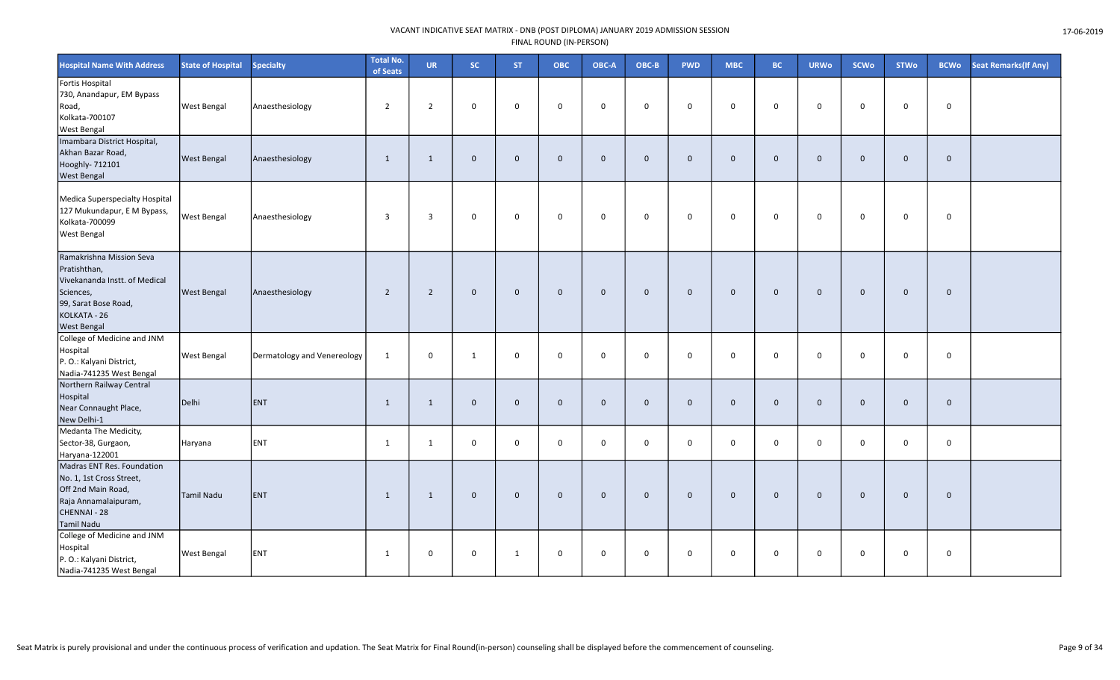| <b>Hospital Name With Address</b>                                                                                                                    | <b>State of Hospital</b> | <b>Specialty</b>            | <b>Total No.</b><br>of Seats | <b>UR</b>      | SC.          | <b>ST</b>    | <b>OBC</b>   | OBC-A        | OBC-B        | <b>PWD</b>   | <b>MBC</b>  | <b>BC</b>   | <b>URWo</b>  | <b>SCWo</b>  | <b>STWo</b>  | <b>BCWo</b> | <b>Seat Remarks(If Any)</b> |
|------------------------------------------------------------------------------------------------------------------------------------------------------|--------------------------|-----------------------------|------------------------------|----------------|--------------|--------------|--------------|--------------|--------------|--------------|-------------|-------------|--------------|--------------|--------------|-------------|-----------------------------|
| Fortis Hospital<br>730, Anandapur, EM Bypass<br>Road,<br>Kolkata-700107<br><b>West Bengal</b>                                                        | <b>West Bengal</b>       | Anaesthesiology             | $\overline{2}$               | $\overline{2}$ | $\mathbf 0$  | $\mathbf 0$  | $\mathbf 0$  | $\mathbf 0$  | $\mathbf 0$  | $\mathbf 0$  | $\mathbf 0$ | $\mathbf 0$ | $\mathbf 0$  | $\mathbf 0$  | $\mathbf 0$  | $\mathbf 0$ |                             |
| Imambara District Hospital,<br>Akhan Bazar Road,<br>Hooghly- 712101<br><b>West Bengal</b>                                                            | <b>West Bengal</b>       | Anaesthesiology             | $\mathbf{1}$                 | $\mathbf{1}$   | $\mathbf 0$  | $\mathbf 0$  | $\mathbf{0}$ | $\mathbf{0}$ | $\mathbf{0}$ | $\mathbf{0}$ | $\mathbf 0$ | $\mathbf 0$ | $\mathbf{0}$ | $\mathbf{0}$ | $\mathbf{0}$ | $\mathbf 0$ |                             |
| Medica Superspecialty Hospital<br>127 Mukundapur, E M Bypass,<br>Kolkata-700099<br><b>West Bengal</b>                                                | <b>West Bengal</b>       | Anaesthesiology             | $\overline{3}$               | $\overline{3}$ | 0            | $\mathbf 0$  | $\mathbf 0$  | $\mathbf 0$  | $\mathbf 0$  | 0            | $\mathbf 0$ | $\mathbf 0$ | $\mathbf 0$  | $\mathbf 0$  | 0            | $\mathbf 0$ |                             |
| Ramakrishna Mission Seva<br>Pratishthan,<br>Vivekananda Instt. of Medical<br>Sciences,<br>99, Sarat Bose Road,<br>KOLKATA - 26<br><b>West Bengal</b> | <b>West Bengal</b>       | Anaesthesiology             | $\overline{2}$               | $\overline{2}$ | $\mathbf 0$  | $\mathbf 0$  | $\mathbf 0$  | $\mathbf 0$  | $\mathbf 0$  | $\mathbf 0$  | $\mathbf 0$ | $\mathbf 0$ | $\mathbf 0$  | $\mathbf 0$  | $\mathbf 0$  | $\mathbf 0$ |                             |
| College of Medicine and JNM<br>Hospital<br>P. O.: Kalyani District,<br>Nadia-741235 West Bengal                                                      | <b>West Bengal</b>       | Dermatology and Venereology | 1                            | $\mathbf 0$    | $\mathbf{1}$ | $\mathbf 0$  | $\mathbf 0$  | $\mathbf 0$  | $\mathbf 0$  | 0            | $\mathbf 0$ | $\mathbf 0$ | $\mathbf 0$  | $\mathbf 0$  | 0            | $\mathbf 0$ |                             |
| Northern Railway Central<br>Hospital<br>Near Connaught Place,<br>New Delhi-1                                                                         | Delhi                    | ENT                         | 1                            | 1              | $\mathbf 0$  | $\mathbf 0$  | $\mathbf 0$  | $\mathbf 0$  | $\mathbf{0}$ | $\mathbf 0$  | $\mathbf 0$ | $\mathbf 0$ | $\mathbf 0$  | $\mathbf{0}$ | $\mathbf 0$  | $\mathbf 0$ |                             |
| Medanta The Medicity,<br>Sector-38, Gurgaon,<br>Haryana-122001                                                                                       | Haryana                  | ENT                         | $\mathbf{1}$                 | $\mathbf{1}$   | $\mathbf 0$  | $\mathbf 0$  | $\mathsf 0$  | $\mathbf 0$  | $\mathbf{0}$ | 0            | $\mathbf 0$ | $\mathsf 0$ | $\mathbf 0$  | $\mathbf 0$  | $\mathbf 0$  | $\mathbf 0$ |                             |
| Madras ENT Res. Foundation<br>No. 1, 1st Cross Street,<br>Off 2nd Main Road,<br>Raja Annamalaipuram,<br>CHENNAI - 28<br><b>Tamil Nadu</b>            | Tamil Nadu               | <b>ENT</b>                  | $\mathbf{1}$                 | $\mathbf{1}$   | $\mathbf 0$  | $\mathbf 0$  | $\mathbf 0$  | $\mathbf{0}$ | $\mathbf{0}$ | $\mathbf 0$  | $\mathbf 0$ | $\mathbf 0$ | $\mathbf{0}$ | $\mathbf{0}$ | $\mathbf 0$  | $\mathbf 0$ |                             |
| College of Medicine and JNM<br>Hospital<br>P. O.: Kalyani District,<br>Nadia-741235 West Bengal                                                      | <b>West Bengal</b>       | <b>ENT</b>                  | 1                            | $\mathbf 0$    | 0            | $\mathbf{1}$ | $\mathbf 0$  | $\mathbf 0$  | $\mathbf 0$  | 0            | $\mathbf 0$ | $\mathbf 0$ | $\mathbf 0$  | 0            | 0            | $\pmb{0}$   |                             |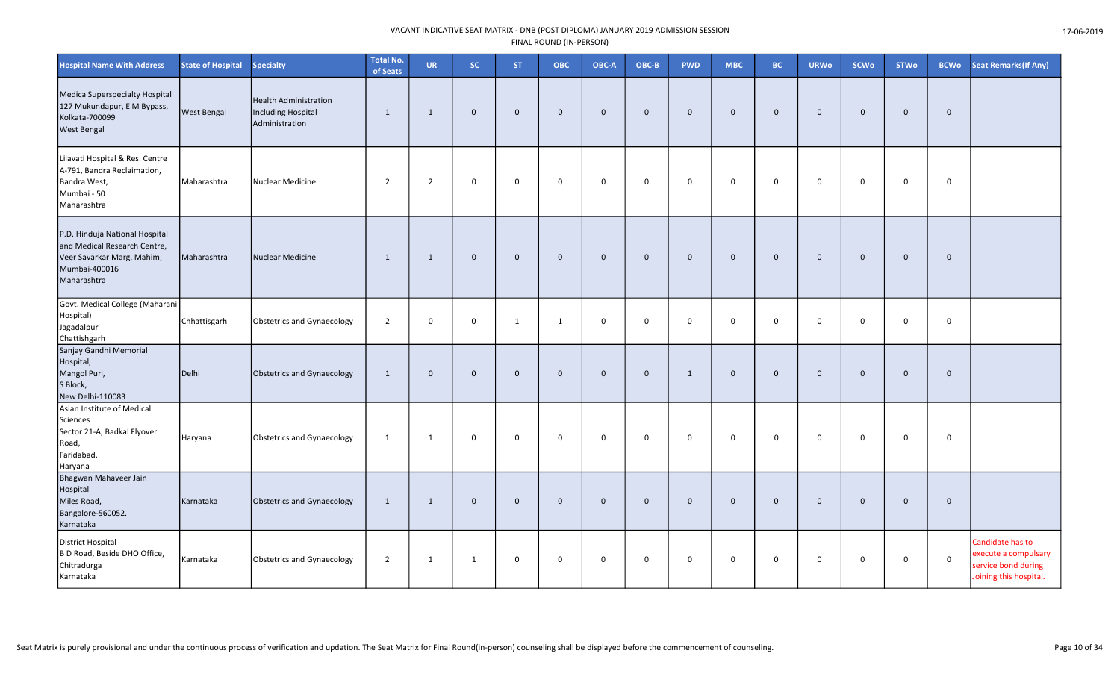| <b>Hospital Name With Address</b>                                                                                            | <b>State of Hospital</b> | <b>Specialty</b>                                                     | <b>Total No.</b><br>of Seats | <b>UR</b>      | SC.          | ST.          | ОВС          | OBC-A          | OBC-B        | <b>PWD</b>   | <b>MBC</b>   | <b>BC</b>    | <b>URWo</b>    | <b>SCWo</b>  | <b>STWo</b>  | <b>BCWo</b>  | <b>Seat Remarks (If Any)</b>                                                              |
|------------------------------------------------------------------------------------------------------------------------------|--------------------------|----------------------------------------------------------------------|------------------------------|----------------|--------------|--------------|--------------|----------------|--------------|--------------|--------------|--------------|----------------|--------------|--------------|--------------|-------------------------------------------------------------------------------------------|
| Medica Superspecialty Hospital<br>127 Mukundapur, E M Bypass,<br>Kolkata-700099<br><b>West Bengal</b>                        | <b>West Bengal</b>       | <b>Health Administration</b><br>Including Hospital<br>Administration | 1                            | 1              | $\mathbf 0$  | $\mathbf 0$  | $\mathbf 0$  | $\overline{0}$ | $\mathbf{0}$ | $\mathbf 0$  | $\mathbf 0$  | $\mathbf 0$  | $\mathbf 0$    | $\mathbf{0}$ | $\mathbf 0$  | $\mathbf{0}$ |                                                                                           |
| Lilavati Hospital & Res. Centre<br>A-791, Bandra Reclaimation,<br>Bandra West,<br>Mumbai - 50<br>Maharashtra                 | Maharashtra              | <b>Nuclear Medicine</b>                                              | $\overline{2}$               | $\overline{2}$ | $\mathbf 0$  | 0            | 0            | $\mathbf 0$    | $\mathbf 0$  | $\mathbf 0$  | 0            | $\mathbf 0$  | 0              | $\mathbf 0$  | $\mathbf 0$  | $\mathbf 0$  |                                                                                           |
| P.D. Hinduja National Hospital<br>and Medical Research Centre,<br>Veer Savarkar Marg, Mahim,<br>Mumbai-400016<br>Maharashtra | Maharashtra              | <b>Nuclear Medicine</b>                                              | 1                            | 1              | $\mathbf 0$  | $\mathbf 0$  | $\mathbf 0$  | $\overline{0}$ | $\mathbf{0}$ | $\mathbf 0$  | $\mathbf{0}$ | $\mathbf{0}$ | $\mathbf{0}$   | $\mathbf{0}$ | $\mathbf 0$  | $\mathbf{0}$ |                                                                                           |
| Govt. Medical College (Maharani<br>Hospital)<br>Jagadalpur<br>Chattishgarh                                                   | Chhattisgarh             | Obstetrics and Gynaecology                                           | $\overline{2}$               | 0              | $\mathbf 0$  | $\mathbf{1}$ | 1            | $\mathbf 0$    | $\mathsf{O}$ | $\mathbf 0$  | $\mathbf 0$  | 0            | 0              | $\mathbf 0$  | $\mathbf 0$  | $\mathbf 0$  |                                                                                           |
| Sanjay Gandhi Memorial<br>Hospital,<br>Mangol Puri,<br>S Block,<br>New Delhi-110083                                          | Delhi                    | Obstetrics and Gynaecology                                           | 1                            | $\mathbf{0}$   | $\mathbf{0}$ | $\mathbf 0$  | $\mathbf 0$  | $\overline{0}$ | $\mathbf{0}$ | $\mathbf{1}$ | $\mathbf{0}$ | $\mathbf{0}$ | $\Omega$       | $\mathbf{0}$ | $\mathbf 0$  | $\mathbf 0$  |                                                                                           |
| Asian Institute of Medical<br>Sciences<br>Sector 21-A, Badkal Flyover<br>Road,<br>Faridabad,<br>Haryana                      | Haryana                  | Obstetrics and Gynaecology                                           | 1                            | 1              | $\mathbf 0$  | $\mathbf 0$  | 0            | $\mathbf 0$    | $\mathbf 0$  | 0            | 0            | $\mathbf 0$  | $\mathbf 0$    | $\mathbf 0$  | $\mathbf 0$  | 0            |                                                                                           |
| Bhagwan Mahaveer Jain<br>Hospital<br>Miles Road,<br>Bangalore-560052.<br>Karnataka                                           | Karnataka                | Obstetrics and Gynaecology                                           | 1                            | 1              | $\mathbf{0}$ | $\mathbf{0}$ | $\mathbf{0}$ | $\overline{0}$ | $\Omega$     | $\mathbf 0$  | $\mathbf{0}$ | $\mathbf 0$  | $\overline{0}$ | $\mathbf{0}$ | $\mathbf{0}$ | $\mathbf 0$  |                                                                                           |
| District Hospital<br>B D Road, Beside DHO Office,<br>Chitradurga<br>Karnataka                                                | Karnataka                | Obstetrics and Gynaecology                                           | $\overline{2}$               | 1              | 1            | 0            | $\mathsf{O}$ | $\mathbf 0$    | $\mathbf 0$  | $\mathsf 0$  | 0            | $\mathbf 0$  | $\mathbf 0$    | 0            | $\mathbf 0$  | $\mathsf 0$  | Candidate has to<br>execute a compulsary<br>service bond during<br>Joining this hospital. |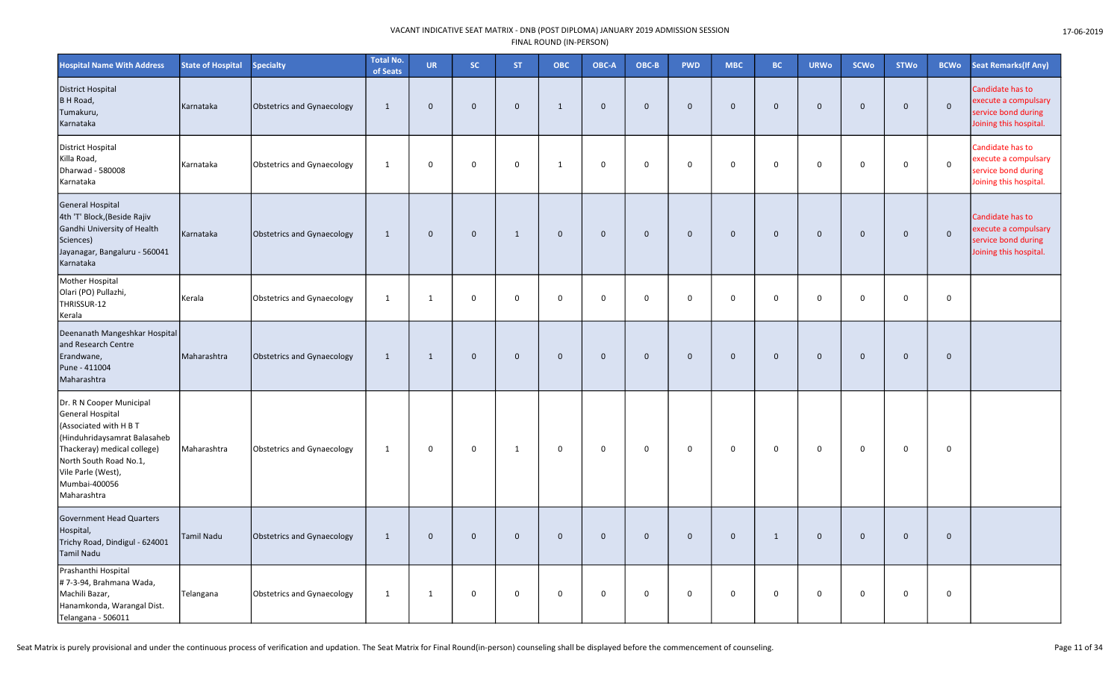| <b>Hospital Name With Address</b>                                                                                                                                                                                     | <b>State of Hospital</b> | <b>Specialty</b>           | <b>Total No.</b><br>of Seats | <b>UR</b>    | <b>SC</b>   | <b>ST</b>      | ОВС          | OBC-A       | OBC-B        | <b>PWD</b>   | <b>MBC</b>  | <b>BC</b>    | <b>URWo</b>    | <b>SCWo</b>  | <b>STWo</b>  | <b>BCWo</b>  | <b>Seat Remarks (If Any)</b>                                                              |
|-----------------------------------------------------------------------------------------------------------------------------------------------------------------------------------------------------------------------|--------------------------|----------------------------|------------------------------|--------------|-------------|----------------|--------------|-------------|--------------|--------------|-------------|--------------|----------------|--------------|--------------|--------------|-------------------------------------------------------------------------------------------|
| <b>District Hospital</b><br>B H Road,<br>Tumakuru,<br>Karnataka                                                                                                                                                       | Karnataka                | Obstetrics and Gynaecology | $\mathbf{1}$                 | $\mathbf{0}$ | $\mathbf 0$ | $\mathbf 0$    | $\mathbf{1}$ | $\mathbf 0$ | $\mathbf{0}$ | $\mathbf 0$  | $\mathbf 0$ | $\mathbf{0}$ | $\overline{0}$ | $\mathbf 0$  | $\mathbf{0}$ | $\mathbf 0$  | Candidate has to<br>execute a compulsary<br>service bond during<br>Joining this hospital. |
| District Hospital<br>Killa Road,<br>Dharwad - 580008<br>Karnataka                                                                                                                                                     | Karnataka                | Obstetrics and Gynaecology | $\mathbf{1}$                 | 0            | 0           | $\pmb{0}$      | $\mathbf{1}$ | $\mathbf 0$ | 0            | $\mathsf{O}$ | 0           | $\Omega$     | $\overline{0}$ | $\mathbf 0$  | $\Omega$     | $\mathbf 0$  | Candidate has to<br>execute a compulsary<br>service bond during<br>Joining this hospital. |
| <b>General Hospital</b><br>4th 'T' Block, (Beside Rajiv<br>Gandhi University of Health<br>Sciences)<br>Jayanagar, Bangaluru - 560041<br>Karnataka                                                                     | Karnataka                | Obstetrics and Gynaecology | $\mathbf{1}$                 | $\mathbf{0}$ | $\mathbf 0$ | $\mathbf{1}$   | $\mathbf 0$  | $\mathbf 0$ | $\mathbf{0}$ | $\mathbf 0$  | $\mathbf 0$ | $\mathbf{0}$ | $\mathbf 0$    | $\mathbf 0$  | $\mathbf{0}$ | $\mathbf 0$  | Candidate has to<br>execute a compulsary<br>service bond during<br>Joining this hospital. |
| Mother Hospital<br>Olari (PO) Pullazhi,<br>THRISSUR-12<br>Kerala                                                                                                                                                      | Kerala                   | Obstetrics and Gynaecology | $\mathbf{1}$                 | $\mathbf{1}$ | 0           | $\mathbf 0$    | 0            | $\mathbf 0$ | 0            | $\mathsf{O}$ | 0           | $\mathbf 0$  | $\overline{0}$ | $\mathbf 0$  | $\mathbf 0$  | 0            |                                                                                           |
| Deenanath Mangeshkar Hospital<br>and Research Centre<br>Erandwane,<br>Pune - 411004<br>Maharashtra                                                                                                                    | Maharashtra              | Obstetrics and Gynaecology | 1                            | $\mathbf{1}$ | $\mathbf 0$ | $\overline{0}$ | $\mathbf{0}$ | $\mathbf 0$ | $\mathbf{0}$ | $\mathbf{0}$ | $\mathbf 0$ | $\mathbf{0}$ | $\overline{0}$ | $\mathbf{0}$ | $\mathbf 0$  | $\mathbf{0}$ |                                                                                           |
| Dr. R N Cooper Municipal<br>General Hospital<br>(Associated with H B T<br>(Hinduhridaysamrat Balasaheb<br>Thackeray) medical college)<br>North South Road No.1,<br>Vile Parle (West),<br>Mumbai-400056<br>Maharashtra | Maharashtra              | Obstetrics and Gynaecology | $\mathbf{1}$                 | 0            | 0           | $\mathbf{1}$   | 0            | $\mathbf 0$ | 0            | $\mathbf 0$  | 0           | $\mathbf 0$  | $\mathbf 0$    | 0            | $\mathbf 0$  | 0            |                                                                                           |
| <b>Government Head Quarters</b><br>Hospital,<br>Trichy Road, Dindigul - 624001<br><b>Tamil Nadu</b>                                                                                                                   | Tamil Nadu               | Obstetrics and Gynaecology | $\mathbf{1}$                 | $\mathbf 0$  | $\mathbf 0$ | $\mathbf 0$    | $\mathbf 0$  | $\mathbf 0$ | $\mathbf 0$  | $\mathbf 0$  | $\mathbf 0$ | $\mathbf{1}$ | $\overline{0}$ | $\mathbf{0}$ | $\mathbf 0$  | $\mathbf 0$  |                                                                                           |
| Prashanthi Hospital<br># 7-3-94, Brahmana Wada,<br>Machili Bazar,<br>Hanamkonda, Warangal Dist.<br>Telangana - 506011                                                                                                 | Telangana                | Obstetrics and Gynaecology | 1                            | 1            | 0           | $\mathbf 0$    | $\Omega$     | 0           | $\mathbf 0$  | 0            | $\Omega$    | $\Omega$     | 0              | 0            | $\mathbf 0$  | 0            |                                                                                           |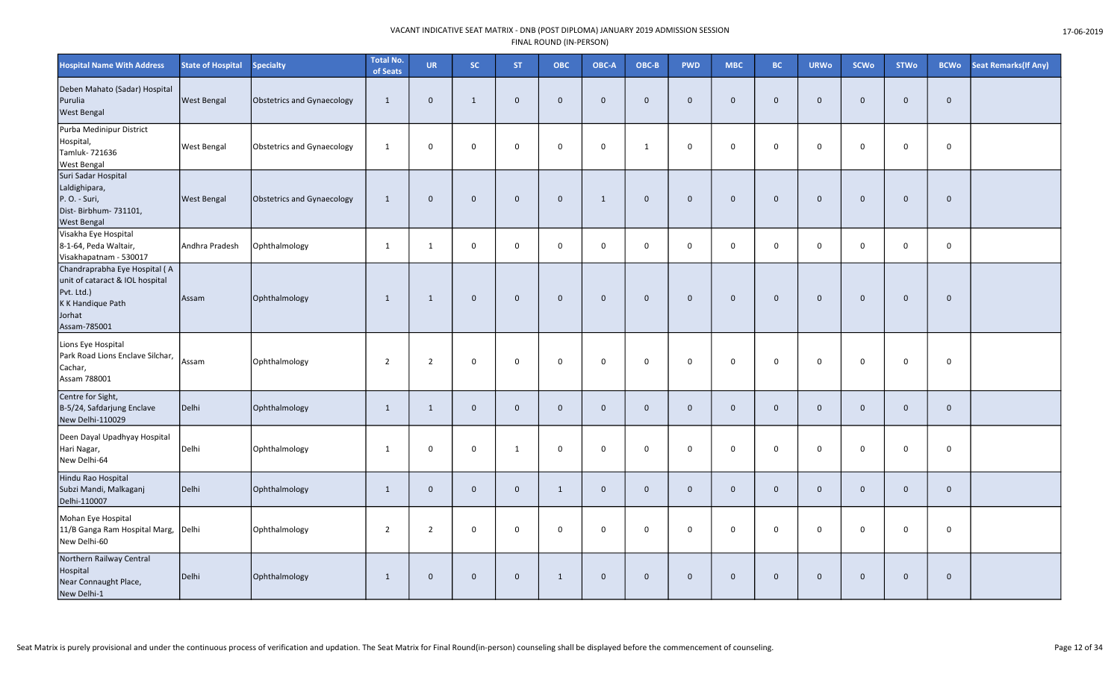| <b>Hospital Name With Address</b>                                                                                             | <b>State of Hospital</b> | <b>Specialty</b>           | <b>Total No.</b><br>of Seats | <b>UR</b>      | SC           | <b>ST</b>      | ОВС          | OBC-A          | OBC-B        | <b>PWD</b>   | <b>MBC</b>   | <b>BC</b>    | <b>URWo</b>    | <b>SCWo</b>  | <b>STWo</b>  | <b>BCWo</b>  | <b>Seat Remarks (If Any)</b> |
|-------------------------------------------------------------------------------------------------------------------------------|--------------------------|----------------------------|------------------------------|----------------|--------------|----------------|--------------|----------------|--------------|--------------|--------------|--------------|----------------|--------------|--------------|--------------|------------------------------|
| Deben Mahato (Sadar) Hospital<br>Purulia<br><b>West Bengal</b>                                                                | <b>West Bengal</b>       | Obstetrics and Gynaecology | $\mathbf{1}$                 | $\mathbf 0$    | $\mathbf{1}$ | $\mathbf 0$    | $\mathbf{0}$ | $\mathbf{0}$   | $\mathbf{0}$ | $\mathbf 0$  | $\mathbf{0}$ | $\mathbf 0$  | $\overline{0}$ | $\Omega$     | $\mathbf 0$  | $\mathbf 0$  |                              |
| Purba Medinipur District<br>Hospital,<br>Tamluk- 721636<br><b>West Bengal</b>                                                 | <b>West Bengal</b>       | Obstetrics and Gynaecology | $\mathbf{1}$                 | $\mathbf 0$    | 0            | $\mathbf 0$    | $\mathbf 0$  | $\mathbf 0$    | 1            | $\mathsf{O}$ | 0            | $\mathbf 0$  | $\mathbf 0$    | $\mathbf 0$  | $\mathsf 0$  | $\mathsf 0$  |                              |
| Suri Sadar Hospital<br>Laldighipara,<br>P.O. - Suri,<br>Dist-Birbhum-731101,<br><b>West Bengal</b>                            | <b>West Bengal</b>       | Obstetrics and Gynaecology | $\mathbf{1}$                 | $\mathbf 0$    | $\mathbf 0$  | $\mathbf 0$    | $\mathbf 0$  | $\mathbf{1}$   | $\mathbf 0$  | $\mathbf 0$  | $\mathbf 0$  | $\mathbf 0$  | $\overline{0}$ | $\Omega$     | $\mathbf 0$  | $\mathbf 0$  |                              |
| Visakha Eye Hospital<br>8-1-64, Peda Waltair,<br>Visakhapatnam - 530017                                                       | Andhra Pradesh           | Ophthalmology              | $\mathbf{1}$                 | 1              | $\mathbf 0$  | $\mathbf 0$    | $\mathbf 0$  | $\mathbf 0$    | $\Omega$     | $\mathsf{O}$ | $\mathbf 0$  | $\mathbf 0$  | $\overline{0}$ | $\mathbf{0}$ | $\mathbf 0$  | $\mathbf 0$  |                              |
| Chandraprabha Eye Hospital (A<br>unit of cataract & IOL hospital<br>Pvt. Ltd.)<br>K K Handique Path<br>Jorhat<br>Assam-785001 | Assam                    | Ophthalmology              | 1                            | 1              | $\mathbf 0$  | $\overline{0}$ | $\mathbf{0}$ | $\mathbf 0$    | $\mathbf{0}$ | $\mathbf 0$  | $\mathbf 0$  | $\mathbf{0}$ | $\overline{0}$ | $\mathbf{0}$ | $\mathbf{0}$ | $\mathbf{0}$ |                              |
| Lions Eye Hospital<br>Park Road Lions Enclave Silchar,<br>Cachar,<br>Assam 788001                                             | Assam                    | Ophthalmology              | $\overline{2}$               | $\overline{2}$ | 0            | $\mathbf 0$    | 0            | $\mathbf 0$    | $\mathbf 0$  | $\mathsf{O}$ | 0            | $\mathbf 0$  | $\mathbf 0$    | $\mathbf 0$  | $\mathbf 0$  | $\mathbf 0$  |                              |
| Centre for Sight,<br>B-5/24, Safdarjung Enclave<br>New Delhi-110029                                                           | Delhi                    | Ophthalmology              | $\mathbf{1}$                 | $\mathbf{1}$   | $\mathbf{0}$ | $\mathbf 0$    | $\mathbf{0}$ | $\overline{0}$ | $\mathbf{0}$ | $\mathbf{0}$ | $\mathbf{0}$ | $\mathbf{0}$ | $\overline{0}$ | $\mathbf{0}$ | $\mathbf{0}$ | $\mathbf{0}$ |                              |
| Deen Dayal Upadhyay Hospital<br>Hari Nagar,<br>New Delhi-64                                                                   | Delhi                    | Ophthalmology              | $\mathbf{1}$                 | 0              | $\mathsf{o}$ | $\mathbf{1}$   | $\mathsf 0$  | $\mathbf 0$    | $\mathbf 0$  | $\mathbf 0$  | $\mathsf{o}$ | $\mathbf 0$  | $\mathbf 0$    | $\mathbf 0$  | $\mathsf 0$  | $\mathsf 0$  |                              |
| Hindu Rao Hospital<br>Subzi Mandi, Malkaganj<br>Delhi-110007                                                                  | Delhi                    | Ophthalmology              | $\mathbf{1}$                 | $\mathbf 0$    | $\mathbf 0$  | $\mathbf 0$    | $\mathbf{1}$ | $\mathbf 0$    | $\mathbf 0$  | $\mathbf 0$  | $\mathbf 0$  | $\mathbf 0$  | $\overline{0}$ | $\mathbf 0$  | $\mathbf 0$  | $\mathbf 0$  |                              |
| Mohan Eye Hospital<br>11/B Ganga Ram Hospital Marg,<br>New Delhi-60                                                           | Delhi                    | Ophthalmology              | $\overline{2}$               | $\overline{2}$ | 0            | 0              | $\mathbf 0$  | $\mathbf 0$    | $\mathbf 0$  | $\mathbf 0$  | 0            | $\mathbf 0$  | $\mathbf 0$    | 0            | $\mathbf 0$  | $\mathbf 0$  |                              |
| Northern Railway Central<br>Hospital<br>Near Connaught Place,<br>New Delhi-1                                                  | Delhi                    | Ophthalmology              | $\mathbf{1}$                 | $\mathbf 0$    | $\mathbf 0$  | $\mathbf 0$    | $\mathbf{1}$ | $\mathbf 0$    | $\mathbf{0}$ | $\mathbf 0$  | $\mathbf 0$  | $\mathbf{0}$ | $\overline{0}$ | $\mathbf{0}$ | $\mathbf 0$  | $\mathbf 0$  |                              |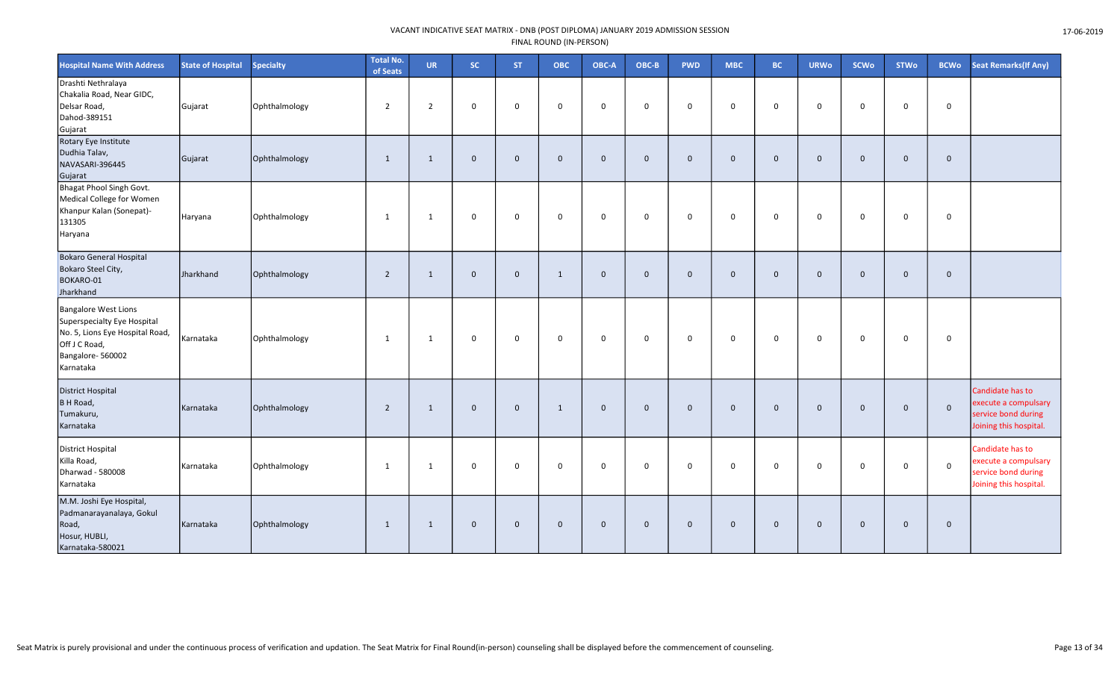| <b>Hospital Name With Address</b>                                                                                                               | <b>State of Hospital</b> | <b>Specialty</b> | <b>Total No.</b><br>of Seats | <b>UR</b>      | SC.         | <b>ST</b>    | <b>OBC</b>   | OBC-A          | OBC-B        | <b>PWD</b>   | <b>MBC</b>   | <b>BC</b>   | <b>URWo</b>  | <b>SCWo</b>  | <b>STWo</b>  | <b>BCWo</b>    | <b>Seat Remarks (If Any)</b>                                                              |
|-------------------------------------------------------------------------------------------------------------------------------------------------|--------------------------|------------------|------------------------------|----------------|-------------|--------------|--------------|----------------|--------------|--------------|--------------|-------------|--------------|--------------|--------------|----------------|-------------------------------------------------------------------------------------------|
| Drashti Nethralaya<br>Chakalia Road, Near GIDC,<br>Delsar Road,<br>Dahod-389151<br>Gujarat                                                      | Gujarat                  | Ophthalmology    | $\overline{2}$               | $\overline{2}$ | 0           | $\mathbf 0$  | $\mathbf 0$  | $\mathbf 0$    | $\Omega$     | $\mathsf{O}$ | $\mathbf 0$  | $\mathbf 0$ | $\mathbf 0$  | $\Omega$     | $\mathbf 0$  | $\mathbf 0$    |                                                                                           |
| Rotary Eye Institute<br>Dudhia Talav,<br>NAVASARI-396445<br>Gujarat                                                                             | Gujarat                  | Ophthalmology    | 1                            | 1              | $\mathbf 0$ | $\mathbf{0}$ | $\mathbf{0}$ | $\mathbf 0$    | $\mathbf{0}$ | $\mathbf 0$  | $\mathbf{0}$ | $\mathbf 0$ | $\mathbf 0$  | $\mathbf{0}$ | $\mathbf 0$  | $\mathbf{0}$   |                                                                                           |
| Bhagat Phool Singh Govt.<br>Medical College for Women<br>Khanpur Kalan (Sonepat)-<br>131305<br>Haryana                                          | Haryana                  | Ophthalmology    | 1                            | 1              | 0           | $\mathbf 0$  | $\mathbf 0$  | $\mathbf 0$    | $\mathbf 0$  | $\mathsf{O}$ | $\mathbf 0$  | $\mathbf 0$ | $\mathbf 0$  | $\Omega$     | $\mathbf 0$  | $\mathbf 0$    |                                                                                           |
| <b>Bokaro General Hospital</b><br>Bokaro Steel City,<br>BOKARO-01<br>Jharkhand                                                                  | Jharkhand                | Ophthalmology    | $\overline{2}$               | 1              | $\mathbf 0$ | $\mathbf{0}$ | $\mathbf{1}$ | $\mathbf{0}$   | $\mathbf{0}$ | $\mathbf{0}$ | $\mathbf{0}$ | $\mathbf 0$ | $\mathbf{0}$ | $\mathbf{0}$ | $\mathbf{0}$ | $\mathbf{0}$   |                                                                                           |
| <b>Bangalore West Lions</b><br>Superspecialty Eye Hospital<br>No. 5, Lions Eye Hospital Road,<br>Off J C Road,<br>Bangalore-560002<br>Karnataka | Karnataka                | Ophthalmology    | 1                            | $\overline{1}$ | 0           | $\mathbf 0$  | $\mathbf 0$  | $\mathbf 0$    | $\mathbf 0$  | $\mathbf 0$  | $\mathbf 0$  | $\mathbf 0$ | $\mathbf 0$  | $\mathbf 0$  | $\mathbf 0$  | $\mathbf 0$    |                                                                                           |
| <b>District Hospital</b><br><b>BH Road</b> ,<br>Tumakuru,<br>Karnataka                                                                          | Karnataka                | Ophthalmology    | $\overline{2}$               | 1              | $\mathbf 0$ | $\Omega$     | 1            | $\overline{0}$ | $\mathbf{0}$ | $\mathbf 0$  | $\mathbf{0}$ | $\mathbf 0$ | $\mathbf 0$  | $\mathbf{0}$ | $\mathbf 0$  | $\mathbf 0$    | Candidate has to<br>execute a compulsary<br>service bond during<br>Joining this hospital. |
| District Hospital<br>Killa Road,<br>Dharwad - 580008<br>Karnataka                                                                               | Karnataka                | Ophthalmology    | 1                            | -1             | 0           | $\mathbf 0$  | $\mathbf 0$  | $\mathbf 0$    | 0            | $\mathbf 0$  | 0            | $\mathbf 0$ | $\mathbf 0$  | $\mathbf 0$  | $\mathbf 0$  | $\mathbf 0$    | Candidate has to<br>execute a compulsary<br>service bond during<br>Joining this hospital. |
| M.M. Joshi Eye Hospital,<br>Padmanarayanalaya, Gokul<br>Road,<br>Hosur, HUBLI,<br>Karnataka-580021                                              | Karnataka                | Ophthalmology    | 1                            | 1              | $\mathbf 0$ | $\mathbf 0$  | $\mathbf 0$  | $\mathbf 0$    | $\mathbf{0}$ | $\mathbf 0$  | $\mathbf{0}$ | $\mathbf 0$ | $\mathbf 0$  | $\mathbf{0}$ | $\mathbf 0$  | $\overline{0}$ |                                                                                           |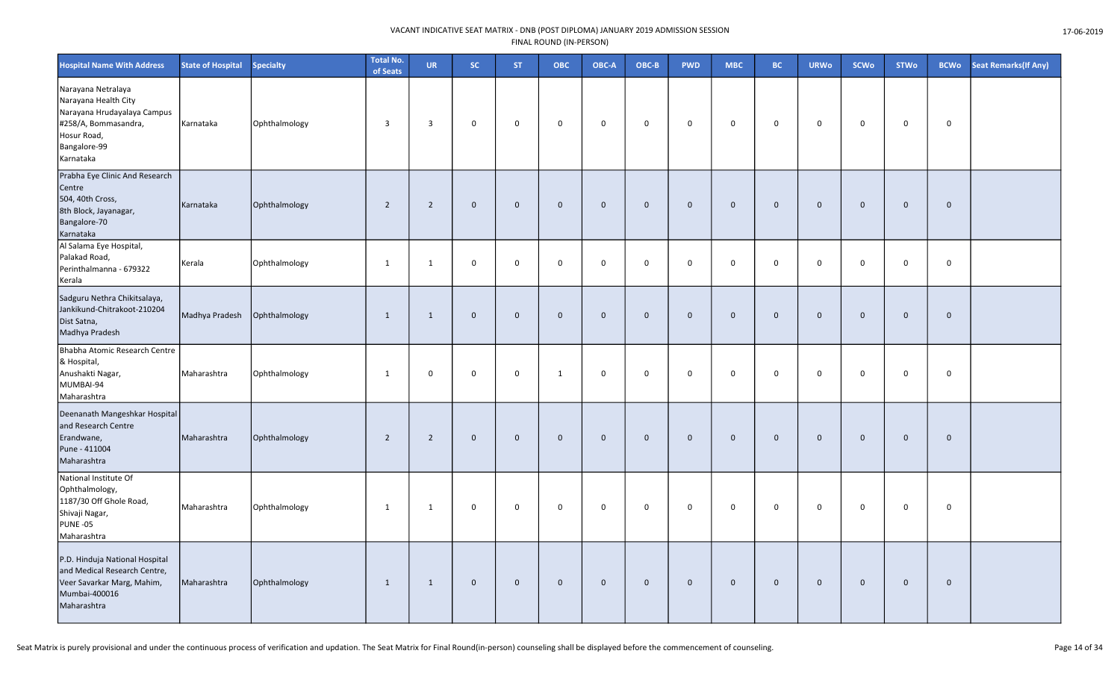| <b>Hospital Name With Address</b>                                                                                                             | <b>State of Hospital</b> | <b>Specialty</b> | <b>Total No.</b><br>of Seats | <b>UR</b>      | SC.         | <b>ST</b>    | ОВС          | OBC-A       | $OBC-B$      | <b>PWD</b>  | <b>MBC</b>  | <b>BC</b>   | <b>URWo</b>    | SCWo        | <b>STWo</b>  | <b>BCWo</b> | Seat Remarks(If Any) |
|-----------------------------------------------------------------------------------------------------------------------------------------------|--------------------------|------------------|------------------------------|----------------|-------------|--------------|--------------|-------------|--------------|-------------|-------------|-------------|----------------|-------------|--------------|-------------|----------------------|
| Narayana Netralaya<br>Narayana Health City<br>Narayana Hrudayalaya Campus<br>#258/A, Bommasandra,<br>Hosur Road,<br>Bangalore-99<br>Karnataka | Karnataka                | Ophthalmology    | $\overline{3}$               | $\overline{3}$ | 0           | $\mathbf 0$  | 0            | $\mathbf 0$ | $\mathbf 0$  | $\mathbf 0$ | $\mathbf 0$ | $\mathbf 0$ | $\mathbf 0$    | $\mathbf 0$ | $\mathbf 0$  | $\mathbf 0$ |                      |
| Prabha Eye Clinic And Research<br>Centre<br>504, 40th Cross,<br>8th Block, Jayanagar,<br>Bangalore-70<br>Karnataka                            | Karnataka                | Ophthalmology    | $\overline{2}$               | $\overline{2}$ | $\mathbf 0$ | $\mathbf 0$  | $\mathbf 0$  | $\mathbf 0$ | $\mathbf 0$  | $\mathbf 0$ | $\mathbf 0$ | $\mathbf 0$ | $\mathbf 0$    | $\mathbf 0$ | $\mathbf 0$  | $\mathbf 0$ |                      |
| Al Salama Eye Hospital,<br>Palakad Road,<br>Perinthalmanna - 679322<br>Kerala                                                                 | Kerala                   | Ophthalmology    | 1                            | 1              | $\mathbf 0$ | $\mathbf 0$  | $\mathbf 0$  | $\mathbf 0$ | $\mathbf 0$  | $\mathbf 0$ | $\mathbf 0$ | $\mathbf 0$ | $\mathbf 0$    | $\mathbf 0$ | $\mathbf 0$  | $\mathbf 0$ |                      |
| Sadguru Nethra Chikitsalaya,<br>Jankikund-Chitrakoot-210204<br>Dist Satna,<br>Madhya Pradesh                                                  | Madhya Pradesh           | Ophthalmology    | 1                            | 1              | $\mathbf 0$ | $\mathbf 0$  | $\mathbf 0$  | $\mathbf 0$ | $\mathbf{0}$ | $\mathbf 0$ | $\mathbf 0$ | $\mathbf 0$ | $\overline{0}$ | $\mathbf 0$ | $\mathbf{0}$ | $\mathbf 0$ |                      |
| Bhabha Atomic Research Centre<br>& Hospital,<br>Anushakti Nagar,<br>MUMBAI-94<br>Maharashtra                                                  | Maharashtra              | Ophthalmology    | 1                            | $\mathbf 0$    | $\mathbf 0$ | $\mathbf 0$  | $\mathbf{1}$ | $\mathbf 0$ | $\mathbf 0$  | $\mathsf 0$ | $\mathsf 0$ | 0           | $\mathbf 0$    | $\Omega$    | $\mathbf 0$  | $\mathbf 0$ |                      |
| Deenanath Mangeshkar Hospital<br>and Research Centre<br>Erandwane,<br>Pune - 411004<br>Maharashtra                                            | Maharashtra              | Ophthalmology    | $\overline{2}$               | $\overline{2}$ | $\mathbf 0$ | $\mathbf{0}$ | $\mathbf{0}$ | $\mathbf 0$ | $\mathbf 0$  | $\mathbf 0$ | $\mathbf 0$ | $\mathbf 0$ | $\mathbf 0$    | $\mathbf 0$ | $\mathbf 0$  | $\mathbf 0$ |                      |
| National Institute Of<br>Ophthalmology,<br>1187/30 Off Ghole Road,<br>Shivaji Nagar,<br><b>PUNE -05</b><br>Maharashtra                        | Maharashtra              | Ophthalmology    | 1                            | 1              | 0           | $\mathbf 0$  | $\mathbf 0$  | $\mathsf 0$ | $\mathbf 0$  | $\mathbf 0$ | $\mathbf 0$ | $\mathbf 0$ | $\mathbf 0$    | $\mathbf 0$ | $\mathbf 0$  | $\mathbf 0$ |                      |
| P.D. Hinduja National Hospital<br>and Medical Research Centre,<br>Veer Savarkar Marg, Mahim,<br>Mumbai-400016<br>Maharashtra                  | Maharashtra              | Ophthalmology    | 1                            | 1              | $\mathbf 0$ | $\mathbf 0$  | $\mathbf 0$  | $\mathbf 0$ | $\mathbf 0$  | $\mathbf 0$ | $\mathbf 0$ | $\mathbf 0$ | $\overline{0}$ | $\mathbf 0$ | $\mathbf 0$  | $\mathbf 0$ |                      |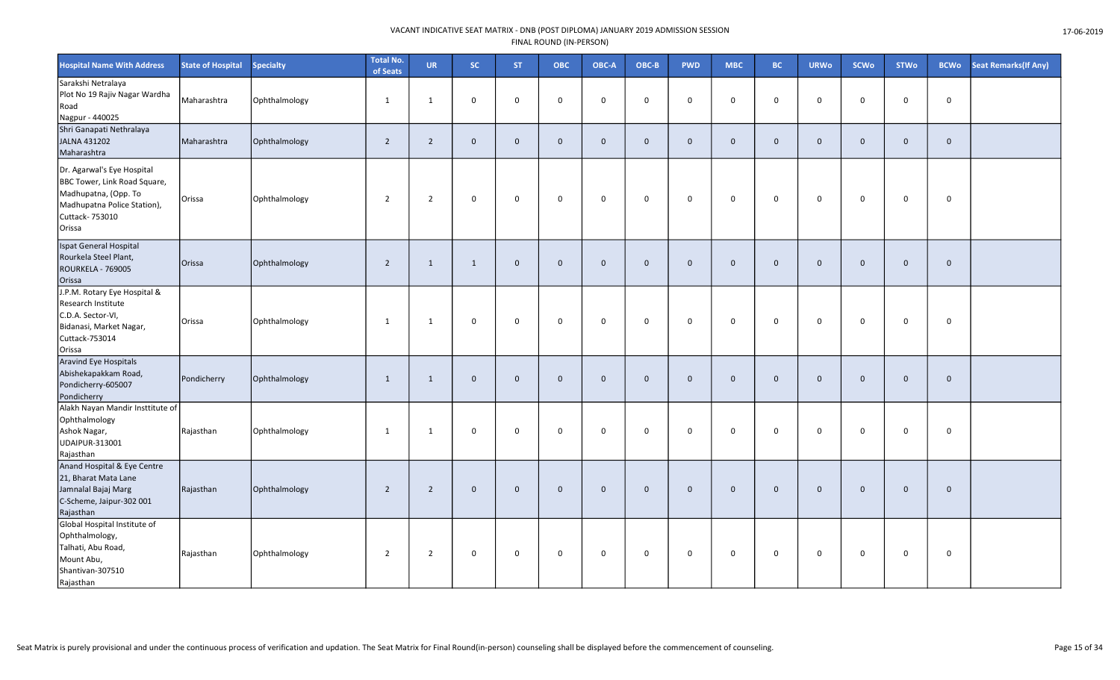| <b>Hospital Name With Address</b>                                                                                                              | <b>State of Hospital</b> | <b>Specialty</b> | <b>Total No.</b><br>of Seats | <b>UR</b>      | SC.          | ST.          | <b>OBC</b>   | OBC-A          | OBC-B        | <b>PWD</b>  | <b>MBC</b>   | <b>BC</b>           | <b>URWo</b>    | <b>SCWo</b>  | <b>STWo</b> | <b>BCWo</b>  | Seat Remarks (If Any) |
|------------------------------------------------------------------------------------------------------------------------------------------------|--------------------------|------------------|------------------------------|----------------|--------------|--------------|--------------|----------------|--------------|-------------|--------------|---------------------|----------------|--------------|-------------|--------------|-----------------------|
| Sarakshi Netralaya<br>Plot No 19 Rajiv Nagar Wardha<br>Road<br>Nagpur - 440025                                                                 | Maharashtra              | Ophthalmology    | 1                            | 1              | $\mathbf 0$  | $\mathbf 0$  | $\mathbf 0$  | $\mathbf 0$    | $\mathbf 0$  | $\mathbf 0$ | $\mathbf 0$  | $\mathbf 0$         | $\Omega$       | 0            | $\mathbf 0$ | $\mathbf 0$  |                       |
| Shri Ganapati Nethralaya<br>JALNA 431202<br>Maharashtra                                                                                        | Maharashtra              | Ophthalmology    | $\overline{2}$               | 2              | $\mathbf 0$  | $\mathbf{0}$ | $\mathbf 0$  | $\overline{0}$ | $\mathbf{0}$ | $\mathbf 0$ | $\mathbf{0}$ | $\mathbf 0$         | $\mathbf 0$    | $\mathbf{0}$ | $\mathbf 0$ | $\mathbf{0}$ |                       |
| Dr. Agarwal's Eye Hospital<br>BBC Tower, Link Road Square,<br>Madhupatna, (Opp. To<br>Madhupatna Police Station),<br>Cuttack- 753010<br>Orissa | Orissa                   | Ophthalmology    | $\overline{2}$               | 2              | $\mathsf{O}$ | $\mathbf 0$  | $\mathsf 0$  | $\mathbf 0$    | $\mathbf 0$  | $\mathsf 0$ | $\mathbf 0$  | $\mathsf{O}\xspace$ | $\mathbf 0$    | $\mathsf 0$  | $\mathbf 0$ | $\mathbf 0$  |                       |
| Ispat General Hospital<br>Rourkela Steel Plant,<br><b>ROURKELA - 769005</b><br>Orissa                                                          | Orissa                   | Ophthalmology    | $\overline{2}$               | 1              | $\mathbf{1}$ | $\mathbf 0$  | $\mathbf{0}$ | $\overline{0}$ | $\mathbf{0}$ | $\mathbf 0$ | $\mathbf{0}$ | $\mathbf 0$         | $\mathbf{0}$   | $\mathbf 0$  | $\mathbf 0$ | $\mathbf{0}$ |                       |
| J.P.M. Rotary Eye Hospital &<br>Research Institute<br>C.D.A. Sector-VI,<br>Bidanasi, Market Nagar,<br>Cuttack-753014<br>Orissa                 | Orissa                   | Ophthalmology    | 1                            | 1              | $\mathsf{O}$ | $\Omega$     | $\mathbf 0$  | $\mathbf 0$    | $\mathbf 0$  | $\mathbf 0$ | $\mathbf 0$  | 0                   | $\mathbf 0$    | $\Omega$     | $\Omega$    | $\mathbf 0$  |                       |
| Aravind Eye Hospitals<br>Abishekapakkam Road,<br>Pondicherry-605007<br>Pondicherry                                                             | Pondicherry              | Ophthalmology    | 1                            | 1              | $\mathbf{0}$ | $\mathbf 0$  | $\mathbf{0}$ | $\overline{0}$ | $\mathbf{0}$ | $\mathbf 0$ | $\mathbf 0$  | $\mathbf 0$         | $\overline{0}$ | $\mathbf 0$  | $\mathbf 0$ | $\mathbf 0$  |                       |
| Alakh Nayan Mandir Insttitute of<br>Ophthalmology<br>Ashok Nagar,<br>UDAIPUR-313001<br>Rajasthan                                               | Rajasthan                | Ophthalmology    | 1                            | 1              | $\mathsf{O}$ | $\mathbf 0$  | $\mathbf 0$  | $\mathbf 0$    | $\mathbf 0$  | $\mathsf 0$ | $\mathsf 0$  | $\mathbf 0$         | $\mathbf 0$    | $\mathbf 0$  | $\mathbf 0$ | $\mathbf 0$  |                       |
| Anand Hospital & Eye Centre<br>21, Bharat Mata Lane<br>Jamnalal Bajaj Marg<br>C-Scheme, Jaipur-302 001<br>Rajasthan                            | Rajasthan                | Ophthalmology    | $\overline{2}$               | $\overline{2}$ | $\mathbf{0}$ | $\mathbf 0$  | $\mathbf{0}$ | $\mathbf{0}$   | $\mathbf 0$  | $\mathbf 0$ | $\mathbf 0$  | $\mathbf 0$         | $\mathbf{0}$   | $\mathbf{0}$ | $\mathbf 0$ | $\mathbf 0$  |                       |
| Global Hospital Institute of<br>Ophthalmology,<br>Talhati, Abu Road,<br>Mount Abu,<br>Shantivan-307510<br>Rajasthan                            | Rajasthan                | Ophthalmology    | $\overline{2}$               | 2              | $\mathbf 0$  | 0            | 0            | $\mathbf 0$    | $\mathbf 0$  | $\mathbf 0$ | 0            | $\mathbf 0$         | 0              | $\mathbf 0$  | $\mathbf 0$ | 0            |                       |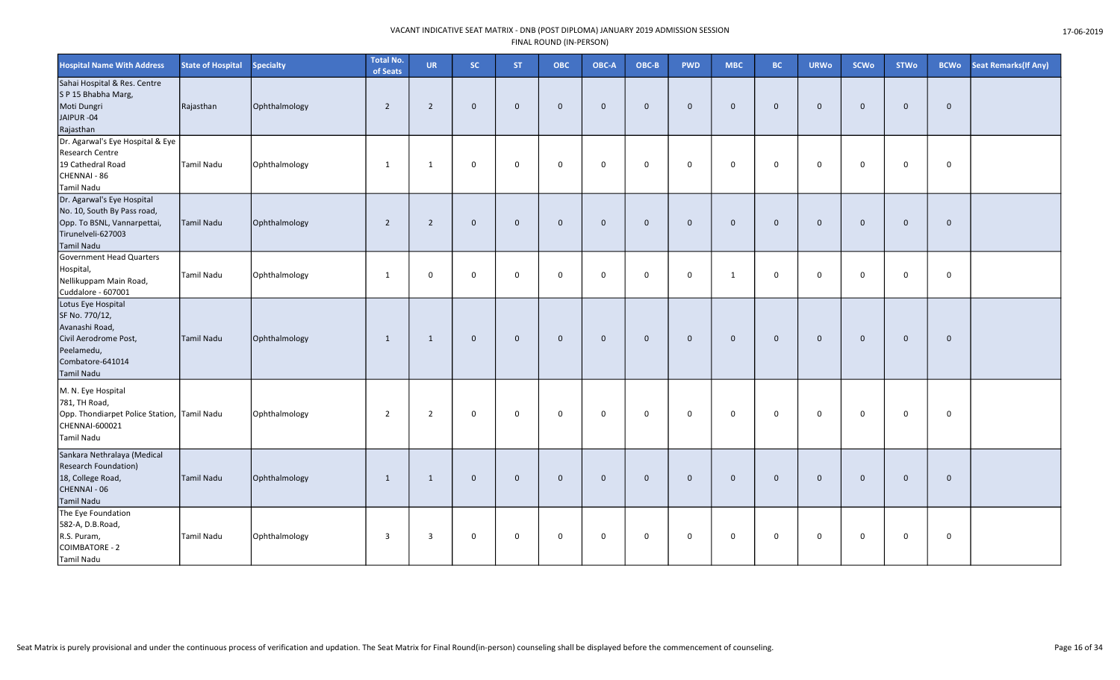| <b>Hospital Name With Address</b>                                                                                                      | <b>State of Hospital</b> | <b>Specialty</b> | <b>Total No.</b><br>of Seats | <b>UR</b>      | SC.         | <b>ST</b>    | <b>OBC</b>   | OBC-A          | OBC-B        | <b>PWD</b>   | <b>MBC</b>   | <b>BC</b>   | <b>URWo</b>    | <b>SCWo</b>  | <b>STWo</b>  | <b>BCWo</b>  | Seat Remarks(If Any) |
|----------------------------------------------------------------------------------------------------------------------------------------|--------------------------|------------------|------------------------------|----------------|-------------|--------------|--------------|----------------|--------------|--------------|--------------|-------------|----------------|--------------|--------------|--------------|----------------------|
| Sahai Hospital & Res. Centre<br>SP 15 Bhabha Marg,<br>Moti Dungri<br>JAIPUR-04<br>Rajasthan                                            | Rajasthan                | Ophthalmology    | $\overline{2}$               | $\overline{2}$ | $\mathbf 0$ | $\mathbf 0$  | $\mathbf 0$  | $\overline{0}$ | $\mathbf{0}$ | $\mathbf 0$  | $\mathbf{0}$ | $\mathbf 0$ | $\mathbf{0}$   | $\mathbf{0}$ | $\mathbf{0}$ | $\mathbf{0}$ |                      |
| Dr. Agarwal's Eye Hospital & Eye<br>Research Centre<br>19 Cathedral Road<br>CHENNAI - 86<br>Tamil Nadu                                 | Tamil Nadu               | Ophthalmology    | 1                            | 1              | 0           | $\mathbf 0$  | $\mathbf 0$  | $\mathbf 0$    | $\mathbf 0$  | $\mathsf{O}$ | 0            | $\mathbf 0$ | $\mathbf 0$    | $\mathbf 0$  | $\mathsf{O}$ | $\mathbf 0$  |                      |
| Dr. Agarwal's Eye Hospital<br>No. 10, South By Pass road,<br>Opp. To BSNL, Vannarpettai,<br>Tirunelveli-627003<br><b>Tamil Nadu</b>    | Tamil Nadu               | Ophthalmology    | $\overline{2}$               | $\overline{2}$ | $\mathbf 0$ | $\mathbf 0$  | $\mathbf 0$  | $\overline{0}$ | $\mathbf{0}$ | $\mathbf 0$  | $\mathbf 0$  | $\mathbf 0$ | $\overline{0}$ | $\mathbf{0}$ | $\mathbf 0$  | $\mathbf 0$  |                      |
| Government Head Quarters<br>Hospital,<br>Nellikuppam Main Road,<br>Cuddalore - 607001                                                  | Tamil Nadu               | Ophthalmology    | 1                            | $\mathbf 0$    | $\mathbf 0$ | $\mathbf 0$  | $\mathbf 0$  | $\overline{0}$ | $\Omega$     | $\mathsf{O}$ | $\mathbf{1}$ | $\mathbf 0$ | $\mathbf 0$    | $\Omega$     | $\mathsf{O}$ | $\mathbf{0}$ |                      |
| Lotus Eye Hospital<br>SF No. 770/12,<br>Avanashi Road,<br>Civil Aerodrome Post,<br>Peelamedu,<br>Combatore-641014<br><b>Tamil Nadu</b> | Tamil Nadu               | Ophthalmology    | 1                            | 1              | $\mathbf 0$ | $\mathbf{0}$ | $\mathbf 0$  | $\overline{0}$ | $\mathbf{0}$ | $\mathbf 0$  | $\mathbf 0$  | $\mathbf 0$ | $\overline{0}$ | $\mathbf{0}$ | $\mathbf 0$  | $\mathbf{0}$ |                      |
| M. N. Eye Hospital<br>781, TH Road,<br>Opp. Thondiarpet Police Station, Tamil Nadu<br>CHENNAI-600021<br><b>Tamil Nadu</b>              |                          | Ophthalmology    | $\overline{2}$               | $\overline{2}$ | 0           | 0            | $\mathbf 0$  | $\mathbf 0$    | $\mathbf 0$  | $\mathbf 0$  | 0            | $\mathbf 0$ | $\mathbf 0$    | $\mathbf 0$  | $\mathbf 0$  | 0            |                      |
| Sankara Nethralaya (Medical<br><b>Research Foundation)</b><br>18, College Road,<br>CHENNAI - 06<br><b>Tamil Nadu</b>                   | Tamil Nadu               | Ophthalmology    | 1                            | 1              | $\mathbf 0$ | $\mathbf{0}$ | $\mathbf{0}$ | $\mathbf 0$    | $\mathbf{0}$ | $\mathbf{0}$ | $\mathbf 0$  | $\mathbf 0$ | $\overline{0}$ | $\mathbf{0}$ | $\mathbf{0}$ | $\mathbf{0}$ |                      |
| The Eye Foundation<br>582-A, D.B.Road,<br>R.S. Puram,<br>COIMBATORE - 2<br><b>Tamil Nadu</b>                                           | Tamil Nadu               | Ophthalmology    | $\overline{3}$               | $\overline{3}$ | 0           | $\mathbf 0$  | $\mathbf 0$  | $\mathbf 0$    | $\mathbf 0$  | $\mathsf{O}$ | $\mathbf 0$  | $\mathbf 0$ | $\mathbf 0$    | $\mathbf 0$  | $\mathsf{o}$ | $\mathbf 0$  |                      |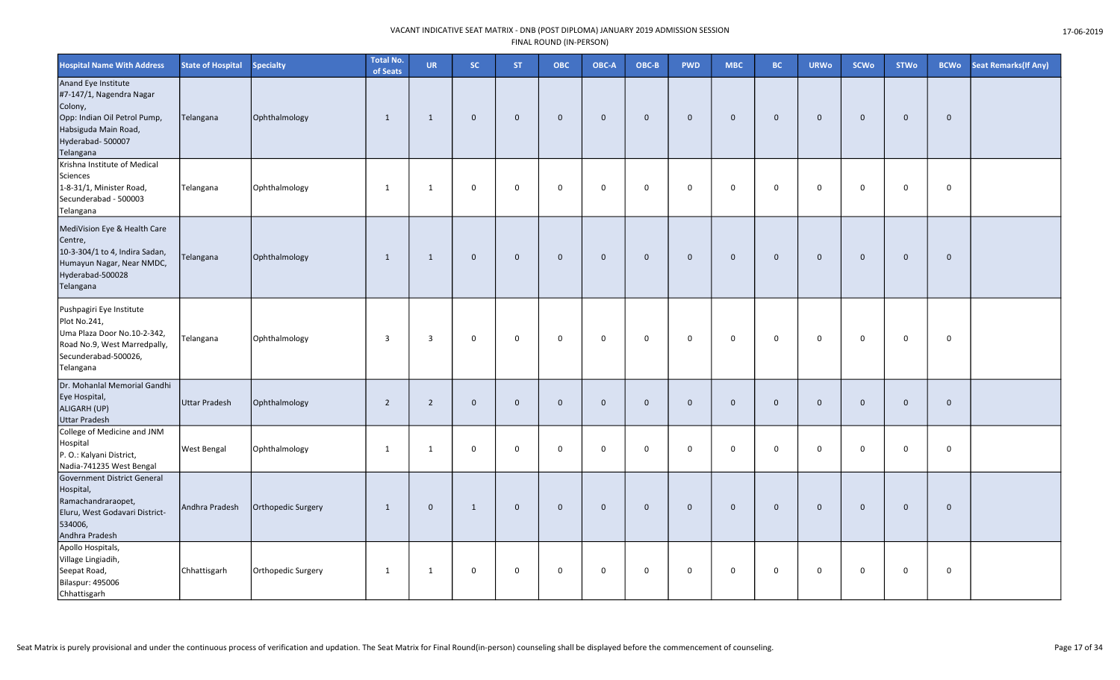| <b>Hospital Name With Address</b>                                                                                                                    | <b>State of Hospital</b> | Specialty          | <b>Total No.</b><br>of Seats | <b>UR</b>      | SC.          | <b>ST</b>      | <b>OBC</b>  | OBC-A        | OBC-B        | <b>PWD</b>   | <b>MBC</b>   | <b>BC</b>    | <b>URWo</b>    | <b>SCWo</b>  | <b>STWo</b> | <b>BCWo</b> | <b>Seat Remarks (If Any)</b> |
|------------------------------------------------------------------------------------------------------------------------------------------------------|--------------------------|--------------------|------------------------------|----------------|--------------|----------------|-------------|--------------|--------------|--------------|--------------|--------------|----------------|--------------|-------------|-------------|------------------------------|
| Anand Eye Institute<br>#7-147/1, Nagendra Nagar<br>Colony,<br>Opp: Indian Oil Petrol Pump,<br>Habsiguda Main Road,<br>Hyderabad- 500007<br>Telangana | Telangana                | Ophthalmology      | $\mathbf{1}$                 | $\overline{1}$ | $\mathbf{0}$ | $\overline{0}$ | $\mathbf 0$ | $\mathbf{0}$ | $\mathbf{0}$ | $\mathbf 0$  | $\mathbf{0}$ | $\mathbf 0$  | $\mathbf 0$    | $\mathbf{0}$ | $\mathbf 0$ | $\mathbf 0$ |                              |
| Krishna Institute of Medical<br>Sciences<br>1-8-31/1, Minister Road,<br>Secunderabad - 500003<br>Telangana                                           | Telangana                | Ophthalmology      | $\mathbf{1}$                 | $\mathbf{1}$   | 0            | $\mathbf 0$    | $\mathbf 0$ | $\mathbf 0$  | $\mathbf 0$  | 0            | $\mathbf 0$  | $\mathbf 0$  | $\mathbf 0$    | $\mathbf 0$  | $\mathbf 0$ | 0           |                              |
| MediVision Eye & Health Care<br>Centre,<br>10-3-304/1 to 4, Indira Sadan,<br>Humayun Nagar, Near NMDC,<br>Hyderabad-500028<br>Telangana              | Telangana                | Ophthalmology      | $\mathbf{1}$                 | $\overline{1}$ | $\mathbf 0$  | $\overline{0}$ | $\mathbf 0$ | $\mathbf{0}$ | $\mathbf{0}$ | $\mathbf 0$  | $\mathbf{0}$ | $\mathbf 0$  | $\overline{0}$ | $\mathbf{0}$ | $\mathbf 0$ | $\mathbf 0$ |                              |
| Pushpagiri Eye Institute<br>Plot No.241,<br>Uma Plaza Door No.10-2-342,<br>Road No.9, West Marredpally,<br>Secunderabad-500026,<br>Telangana         | Telangana                | Ophthalmology      | 3                            | 3              | 0            | $\mathbf 0$    | $\mathbf 0$ | $\mathbf 0$  | $\mathbf 0$  | 0            | $\mathbf 0$  | $\mathbf 0$  | $\mathbf 0$    | $\mathbf 0$  | $\mathbf 0$ | 0           |                              |
| Dr. Mohanlal Memorial Gandhi<br>Eye Hospital,<br>ALIGARH (UP)<br><b>Uttar Pradesh</b>                                                                | <b>Uttar Pradesh</b>     | Ophthalmology      | $\overline{2}$               | $\overline{2}$ | $\mathbf 0$  | $\overline{0}$ | $\mathbf 0$ | $\mathbf{0}$ | $\mathbf{0}$ | $\mathbf 0$  | $\mathbf 0$  | $\mathbf 0$  | $\overline{0}$ | $\Omega$     | $\mathbf 0$ | $\mathbf 0$ |                              |
| College of Medicine and JNM<br>Hospital<br>P. O.: Kalyani District,<br>Nadia-741235 West Bengal                                                      | <b>West Bengal</b>       | Ophthalmology      | $\mathbf{1}$                 | $\mathbf{1}$   | 0            | $\mathbf 0$    | $\mathbf 0$ | $\mathbf 0$  | $\mathbf 0$  | $\mathsf{O}$ | $\mathbf 0$  | $\mathbf 0$  | $\overline{0}$ | $\Omega$     | $\mathbf 0$ | 0           |                              |
| Government District General<br>Hospital,<br>Ramachandraraopet,<br>Eluru, West Godavari District-<br>534006,<br>Andhra Pradesh                        | Andhra Pradesh           | Orthopedic Surgery | $\mathbf{1}$                 | $\mathbf{0}$   | 1            | $\overline{0}$ | $\mathbf 0$ | $\mathbf 0$  | $\mathbf 0$  | $\mathbf 0$  | $\mathbf{0}$ | $\mathbf{0}$ | $\mathbf 0$    | $\mathbf{0}$ | $\mathbf 0$ | $\mathbf 0$ |                              |
| Apollo Hospitals,<br>Village Lingiadih,<br>Seepat Road,<br>Bilaspur: 495006<br>Chhattisgarh                                                          | Chhattisgarh             | Orthopedic Surgery | $\mathbf{1}$                 | $\mathbf{1}$   | 0            | $\mathbf 0$    | $\mathbf 0$ | $\mathbf 0$  | $\mathbf 0$  | 0            | 0            | $\mathbf 0$  | $\mathbf 0$    | $\Omega$     | $\mathbf 0$ | 0           |                              |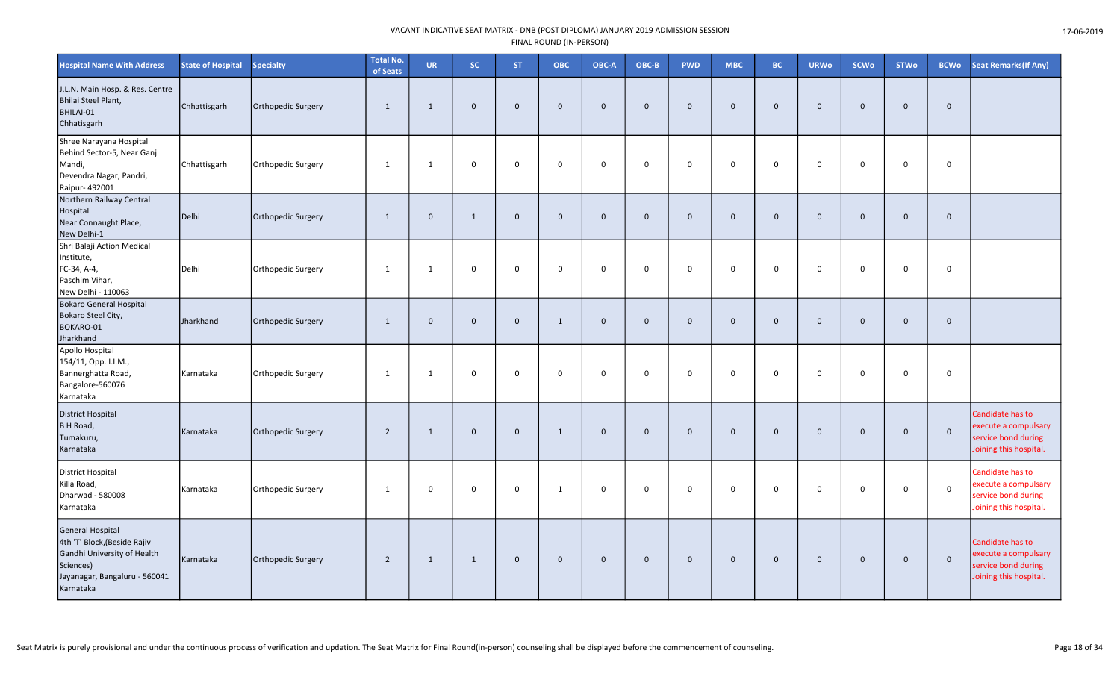| <b>Hospital Name With Address</b>                                                                                                                 | <b>State of Hospital</b> | <b>Specialty</b>          | <b>Total No.</b><br>of Seats | <b>UR</b>    | <b>SC</b>    | <b>ST</b>    | ОВС          | OBC-A       | OBC-B        | <b>PWD</b>  | <b>MBC</b>  | <b>BC</b>    | <b>URWo</b> | <b>SCWo</b>  | <b>STWo</b> | <b>BCWo</b> | <b>Seat Remarks (If Any)</b>                                                              |
|---------------------------------------------------------------------------------------------------------------------------------------------------|--------------------------|---------------------------|------------------------------|--------------|--------------|--------------|--------------|-------------|--------------|-------------|-------------|--------------|-------------|--------------|-------------|-------------|-------------------------------------------------------------------------------------------|
| J.L.N. Main Hosp. & Res. Centre<br>Bhilai Steel Plant,<br>BHILAI-01<br>Chhatisgarh                                                                | Chhattisgarh             | Orthopedic Surgery        | 1                            | 1            | $\mathbf 0$  | $\mathbf{0}$ | $\mathbf 0$  | $\mathbf 0$ | $\mathbf 0$  | $\mathbf 0$ | $\mathbf 0$ | $\mathbf{0}$ | $\mathbf 0$ | $\mathbf 0$  | $\mathbf 0$ | $\mathbf 0$ |                                                                                           |
| Shree Narayana Hospital<br>Behind Sector-5, Near Ganj<br>Mandi,<br>Devendra Nagar, Pandri,<br>Raipur- 492001                                      | Chhattisgarh             | Orthopedic Surgery        | 1                            | 1            | $\mathbf 0$  | $\mathbf 0$  | $\mathbf 0$  | $\mathbf 0$ | $\mathbf 0$  | $\mathsf 0$ | $\mathbf 0$ | 0            | 0           | $\mathbf 0$  | $\mathsf 0$ | $\mathbf 0$ |                                                                                           |
| Northern Railway Central<br>Hospital<br>Near Connaught Place,<br>New Delhi-1                                                                      | Delhi                    | Orthopedic Surgery        | 1                            | $\mathbf{0}$ | $\mathbf{1}$ | $\mathbf{0}$ | $\mathbf{0}$ | $\mathbf 0$ | $\mathbf{0}$ | $\mathbf 0$ | $\mathbf 0$ | $\mathbf 0$  | $\mathbf 0$ | $\mathbf{0}$ | $\mathbf 0$ | $\mathbf 0$ |                                                                                           |
| Shri Balaji Action Medical<br>Institute,<br>FC-34, A-4,<br>Paschim Vihar,<br>New Delhi - 110063                                                   | Delhi                    | Orthopedic Surgery        | 1                            | 1            | 0            | 0            | 0            | $\mathbf 0$ | $\mathbf 0$  | $\mathbf 0$ | $\mathbf 0$ | $\mathbf 0$  | $\mathbf 0$ | $\mathbf 0$  | $\mathbf 0$ | $\mathbf 0$ |                                                                                           |
| <b>Bokaro General Hospital</b><br>Bokaro Steel City,<br>BOKARO-01<br>Jharkhand                                                                    | Jharkhand                | <b>Orthopedic Surgery</b> | 1                            | $\mathbf{0}$ | $\mathbf 0$  | $\mathbf{0}$ | $\mathbf{1}$ | $\mathbf 0$ | $\Omega$     | $\mathbf 0$ | $\mathbf 0$ | $\mathbf{0}$ | $\mathbf 0$ | $\Omega$     | $\mathbf 0$ | $\mathbf 0$ |                                                                                           |
| Apollo Hospital<br>154/11, Opp. I.I.M.,<br>Bannerghatta Road,<br>Bangalore-560076<br>Karnataka                                                    | Karnataka                | Orthopedic Surgery        | 1                            | 1            | 0            | $\mathbf 0$  | 0            | $\mathbf 0$ | $\mathbf 0$  | 0           | $\mathbf 0$ | $\mathbf 0$  | $\mathbf 0$ | $\mathbf 0$  | $\mathbf 0$ | 0           |                                                                                           |
| <b>District Hospital</b><br>B H Road,<br>Tumakuru,<br>Karnataka                                                                                   | Karnataka                | <b>Orthopedic Surgery</b> | $\overline{2}$               | 1            | $\mathbf 0$  | $\mathbf 0$  | 1            | $\mathbf 0$ | $\mathbf{0}$ | $\mathbf 0$ | $\mathbf 0$ | $\mathbf 0$  | $\mathbf 0$ | $\mathbf 0$  | $\mathbf 0$ | $\mathbf 0$ | Candidate has to<br>execute a compulsary<br>service bond during<br>Joining this hospital. |
| District Hospital<br>Killa Road,<br>Dharwad - 580008<br>Karnataka                                                                                 | Karnataka                | Orthopedic Surgery        | 1                            | $\mathbf 0$  | $\mathbf 0$  | $\mathbf 0$  | 1            | $\mathbf 0$ | $\mathbf 0$  | $\mathbf 0$ | $\mathbf 0$ | $\mathbf 0$  | $\mathbf 0$ | $\mathbf 0$  | $\mathbf 0$ | $\mathsf 0$ | Candidate has to<br>execute a compulsary<br>service bond during<br>Joining this hospital. |
| <b>General Hospital</b><br>4th 'T' Block, (Beside Rajiv<br>Gandhi University of Health<br>Sciences)<br>Jayanagar, Bangaluru - 560041<br>Karnataka | Karnataka                | Orthopedic Surgery        | $\overline{2}$               | $\mathbf{1}$ | 1            | $\mathbf{0}$ | $\mathbf 0$  | $\mathbf 0$ | $\mathbf 0$  | $\mathbf 0$ | $\mathbf 0$ | $\mathbf 0$  | $\mathbf 0$ | $\mathbf 0$  | $\mathbf 0$ | $\mathbf 0$ | Candidate has to<br>execute a compulsary<br>service bond during<br>Joining this hospital. |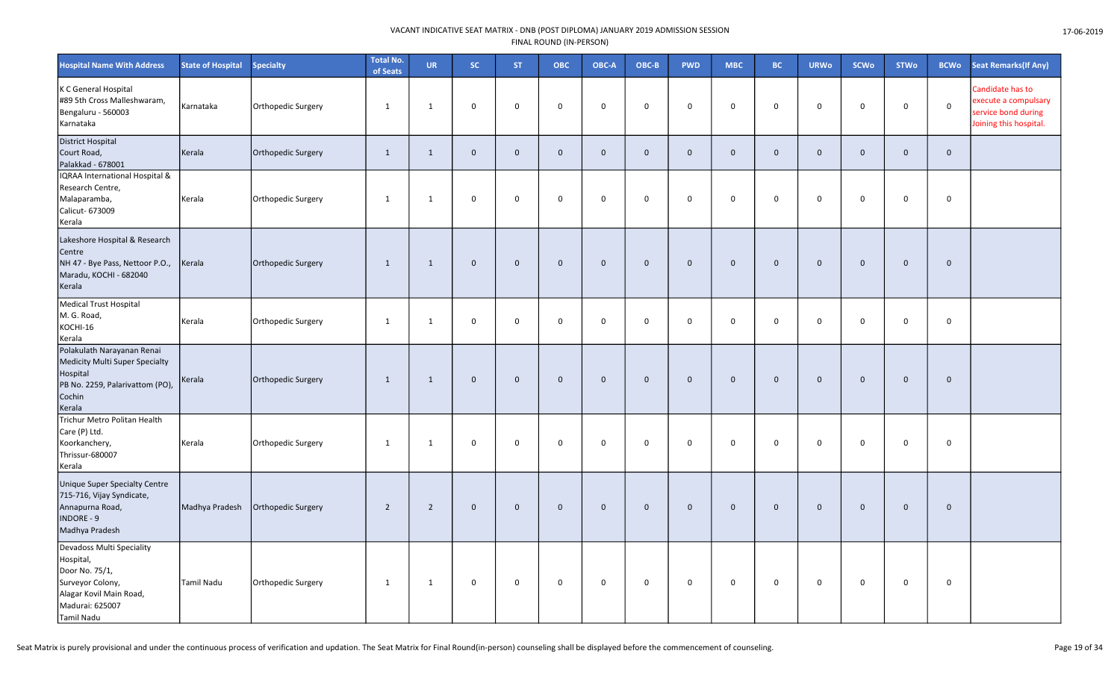| <b>Hospital Name With Address</b>                                                                                                        | <b>State of Hospital</b> | <b>Specialty</b>   | <b>Total No.</b><br>of Seats | <b>UR</b>      | <b>SC</b>    | ST.            | ОВС          | OBC-A        | $OBC-B$      | <b>PWD</b>   | <b>MBC</b>   | <b>BC</b>    | <b>URWo</b>  | <b>SCWo</b>  | <b>STWo</b>  | <b>BCWo</b>         | Seat Remarks(If Any)                                                                      |
|------------------------------------------------------------------------------------------------------------------------------------------|--------------------------|--------------------|------------------------------|----------------|--------------|----------------|--------------|--------------|--------------|--------------|--------------|--------------|--------------|--------------|--------------|---------------------|-------------------------------------------------------------------------------------------|
| K C General Hospital<br>#89 5th Cross Malleshwaram,<br>Bengaluru - 560003<br>Karnataka                                                   | Karnataka                | Orthopedic Surgery | $\mathbf{1}$                 | $\mathbf{1}$   | 0            | $\mathbf 0$    | $\mathbf 0$  | $\mathbf 0$  | $\mathbf 0$  | 0            | 0            | $\mathbf 0$  | $\mathsf 0$  | $\mathbf 0$  | $\mathbf 0$  | $\mathsf{O}\xspace$ | Candidate has to<br>execute a compulsary<br>service bond during<br>Joining this hospital. |
| District Hospital<br>Court Road,<br>Palakkad - 678001                                                                                    | Kerala                   | Orthopedic Surgery | $\mathbf{1}$                 | $\mathbf{1}$   | $\mathbf{0}$ | $\mathbf 0$    | $\mathbf{0}$ | $\mathbf{0}$ | $\mathbf{0}$ | $\mathbf{0}$ | $\mathbf{0}$ | $\mathbf{0}$ | $\mathbf{0}$ | $\Omega$     | $\mathbf{0}$ | $\mathbf{0}$        |                                                                                           |
| IQRAA International Hospital &<br>Research Centre,<br>Malaparamba,<br>Calicut- 673009<br>Kerala                                          | Kerala                   | Orthopedic Surgery | $\mathbf{1}$                 | $\mathbf{1}$   | 0            | $\mathbf 0$    | $\Omega$     | $\mathbf 0$  | $\mathbf 0$  | $\mathsf{O}$ | $\mathbf 0$  | $\mathbf 0$  | $\mathbf 0$  | $\mathbf 0$  | $\mathsf{o}$ | 0                   |                                                                                           |
| Lakeshore Hospital & Research<br>Centre<br>NH 47 - Bye Pass, Nettoor P.O.,<br>Maradu, KOCHI - 682040<br>Kerala                           | Kerala                   | Orthopedic Surgery | 1                            | 1              | $\mathbf 0$  | $\overline{0}$ | $\mathbf 0$  | $\mathbf 0$  | $\mathbf{0}$ | $\mathbf 0$  | $\mathbf 0$  | $\mathbf 0$  | $\mathbf 0$  | $\mathbf 0$  | $\mathbf 0$  | $\mathbf 0$         |                                                                                           |
| <b>Medical Trust Hospital</b><br>M. G. Road,<br>KOCHI-16<br>Kerala                                                                       | Kerala                   | Orthopedic Surgery | 1                            | $\mathbf{1}$   | 0            | $\mathbf 0$    | 0            | $\mathbf 0$  | $\mathbf 0$  | $\mathsf{O}$ | 0            | $\mathbf 0$  | $\mathbf 0$  | $\mathbf 0$  | $\mathsf{o}$ | $\mathsf{O}$        |                                                                                           |
| Polakulath Narayanan Renai<br>Medicity Multi Super Specialty<br>Hospital<br>PB No. 2259, Palarivattom (PO),<br>Cochin<br>Kerala          | Kerala                   | Orthopedic Surgery | 1                            | $\mathbf{1}$   | $\mathbf 0$  | $\mathbf 0$    | $\mathbf 0$  | $\mathbf 0$  | $\mathbf 0$  | $\mathbf 0$  | $\mathbf 0$  | $\mathbf 0$  | $\mathbf 0$  | $\mathbf 0$  | $\mathbf 0$  | $\mathbf 0$         |                                                                                           |
| Trichur Metro Politan Health<br>Care (P) Ltd.<br>Koorkanchery,<br>Thrissur-680007<br>Kerala                                              | Kerala                   | Orthopedic Surgery | 1                            | 1              | $\mathbf 0$  | $\mathbf 0$    | $\mathbf 0$  | $\mathbf 0$  | $\Omega$     | $\mathbf 0$  | $\mathbf 0$  | $\mathbf 0$  | $\mathbf 0$  | $\mathbf 0$  | $\mathbf 0$  | $\mathbf 0$         |                                                                                           |
| <b>Unique Super Specialty Centre</b><br>715-716, Vijay Syndicate,<br>Annapurna Road,<br>INDORE - 9<br>Madhya Pradesh                     | Madhya Pradesh           | Orthopedic Surgery | $\overline{2}$               | $\overline{2}$ | $\mathbf 0$  | $\mathbf 0$    | $\mathbf 0$  | $\mathbf 0$  | $\mathbf{0}$ | $\mathbf 0$  | $\mathbf{0}$ | $\mathbf{0}$ | $\mathbf 0$  | $\mathbf{0}$ | $\mathbf 0$  | $\mathbf{0}$        |                                                                                           |
| Devadoss Multi Speciality<br>Hospital,<br>Door No. 75/1,<br>Surveyor Colony,<br>Alagar Kovil Main Road,<br>Madurai: 625007<br>Tamil Nadu | Tamil Nadu               | Orthopedic Surgery | 1                            | $\mathbf{1}$   | 0            | $\pmb{0}$      | $\mathbf 0$  | $\mathbf 0$  | $\pmb{0}$    | $\mathbf 0$  | $\mathbf 0$  | $\mathbf 0$  | $\mathsf 0$  | $\mathbf 0$  | $\mathbf 0$  | 0                   |                                                                                           |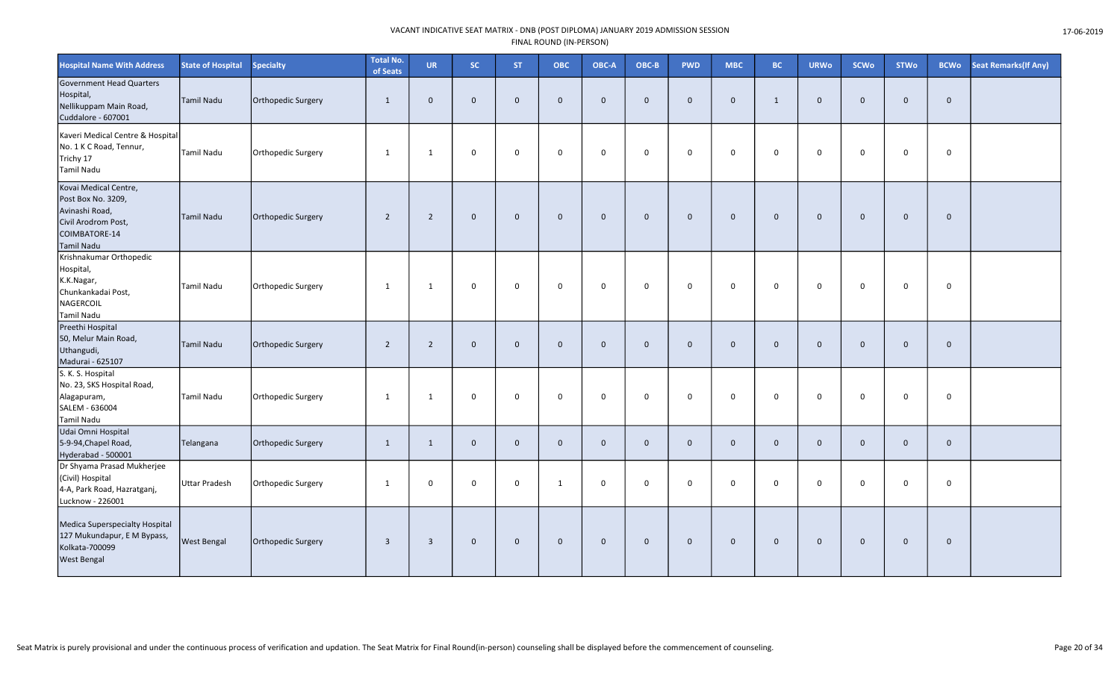| <b>Hospital Name With Address</b>                                                                                          | <b>State of Hospital</b> | <b>Specialty</b>   | <b>Total No.</b><br>of Seats | <b>UR</b>      | SC.          | <b>ST</b>      | ОВС          | OBC-A          | OBC-B        | <b>PWD</b>   | <b>MBC</b>   | <b>BC</b>    | <b>URWo</b>    | <b>SCWo</b>  | <b>STWo</b>  | <b>BCWo</b>  | <b>Seat Remarks (If Any)</b> |
|----------------------------------------------------------------------------------------------------------------------------|--------------------------|--------------------|------------------------------|----------------|--------------|----------------|--------------|----------------|--------------|--------------|--------------|--------------|----------------|--------------|--------------|--------------|------------------------------|
| <b>Government Head Quarters</b><br>Hospital,<br>Nellikuppam Main Road,<br>Cuddalore - 607001                               | Tamil Nadu               | Orthopedic Surgery | 1                            | $\Omega$       | $\mathbf 0$  | $\mathbf 0$    | $\mathbf 0$  | $\overline{0}$ | $\Omega$     | $\mathbf 0$  | $\mathbf{0}$ | $\mathbf{1}$ | $\mathbf 0$    | $\Omega$     | $\mathbf 0$  | $\mathbf 0$  |                              |
| Kaveri Medical Centre & Hospital<br>No. 1 K C Road, Tennur,<br>Trichy 17<br><b>Tamil Nadu</b>                              | <b>Tamil Nadu</b>        | Orthopedic Surgery | $\mathbf{1}$                 | $\mathbf{1}$   | 0            | $\mathbf 0$    | $\mathbf 0$  | $\mathbf 0$    | $\mathbf 0$  | $\mathsf{O}$ | 0            | $\mathbf 0$  | $\mathbf 0$    | $\mathbf 0$  | $\mathsf{O}$ | 0            |                              |
| Kovai Medical Centre,<br>Post Box No. 3209,<br>Avinashi Road,<br>Civil Arodrom Post,<br>COIMBATORE-14<br><b>Tamil Nadu</b> | Tamil Nadu               | Orthopedic Surgery | $\overline{2}$               | $\overline{2}$ | $\mathbf 0$  | $\overline{0}$ | $\mathbf{0}$ | $\mathbf 0$    | $\mathbf{0}$ | $\mathbf 0$  | $\mathbf 0$  | $\mathbf 0$  | $\mathbf 0$    | $\mathbf{0}$ | $\mathbf 0$  | $\mathbf 0$  |                              |
| Krishnakumar Orthopedic<br>Hospital,<br>K.K.Nagar,<br>Chunkankadai Post,<br>NAGERCOIL<br>Tamil Nadu                        | <b>Tamil Nadu</b>        | Orthopedic Surgery | 1                            | 1              | 0            | $\mathbf 0$    | $\mathbf 0$  | $\mathbf 0$    | $\mathbf 0$  | $\mathsf{O}$ | $\mathbf{0}$ | $\mathbf 0$  | $\mathbf 0$    | $\Omega$     | $\mathsf{O}$ | $\mathbf 0$  |                              |
| Preethi Hospital<br>50, Melur Main Road,<br>Uthangudi,<br>Madurai - 625107                                                 | <b>Tamil Nadu</b>        | Orthopedic Surgery | $\overline{2}$               | $\overline{2}$ | $\mathbf{0}$ | $\Omega$       | $\mathbf{0}$ | $\overline{0}$ | $\Omega$     | $\mathbf{0}$ | $\Omega$     | $\Omega$     | $\mathbf{0}$   | $\Omega$     | $\mathbf 0$  | $\mathbf{0}$ |                              |
| S. K. S. Hospital<br>No. 23, SKS Hospital Road,<br>Alagapuram,<br>SALEM - 636004<br>Tamil Nadu                             | <b>Tamil Nadu</b>        | Orthopedic Surgery | $\mathbf{1}$                 | 1              | 0            | $\Omega$       | $\Omega$     | $\mathbf 0$    | $\Omega$     | $\mathbf 0$  | $\Omega$     | $\Omega$     | $\mathbf 0$    | $\mathbf 0$  | $\mathbf 0$  | $\mathbf 0$  |                              |
| Udai Omni Hospital<br>5-9-94, Chapel Road,<br>Hyderabad - 500001                                                           | Telangana                | Orthopedic Surgery | 1                            | $\mathbf{1}$   | $\mathbf 0$  | $\mathsf 0$    | $\mathbf{0}$ | $\mathbf 0$    | $\mathbf{0}$ | $\mathbf 0$  | $\mathbf 0$  | $\mathbf{0}$ | $\overline{0}$ | $\mathbf{0}$ | $\mathbf 0$  | $\mathbf{0}$ |                              |
| Dr Shyama Prasad Mukherjee<br>(Civil) Hospital<br>4-A, Park Road, Hazratganj,<br>Lucknow - 226001                          | <b>Uttar Pradesh</b>     | Orthopedic Surgery | $\mathbf{1}$                 | 0              | 0            | $\mathbf 0$    | $\mathbf{1}$ | $\mathbf 0$    | $\mathbf 0$  | $\mathsf{O}$ | 0            | $\mathbf 0$  | $\mathbf 0$    | $\mathbf 0$  | $\mathbf 0$  | 0            |                              |
| Medica Superspecialty Hospital<br>127 Mukundapur, E M Bypass,<br>Kolkata-700099<br><b>West Bengal</b>                      | <b>West Bengal</b>       | Orthopedic Surgery | $\overline{3}$               | $\overline{3}$ | $\mathbf 0$  | $\overline{0}$ | $\mathbf 0$  | $\mathbf 0$    | $\mathbf{0}$ | $\mathbf 0$  | $\mathbf{0}$ | $\mathbf{0}$ | $\mathbf 0$    | $\mathbf{0}$ | $\mathbf 0$  | $\mathbf{0}$ |                              |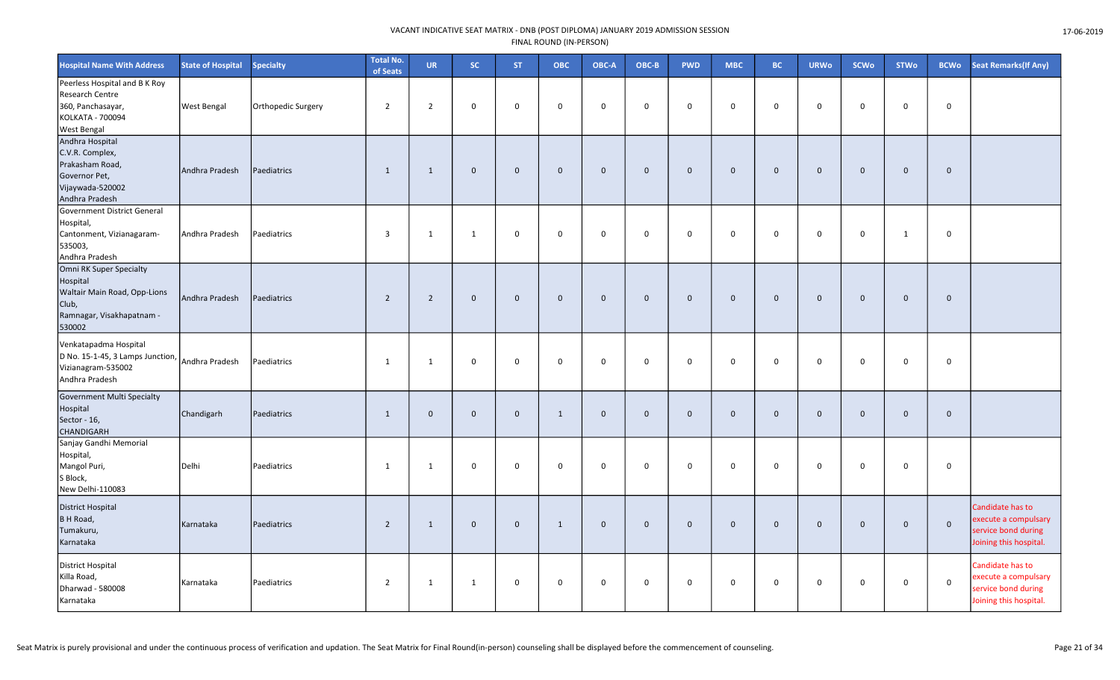| <b>Hospital Name With Address</b>                                                                                   | <b>State of Hospital</b> | <b>Specialty</b>   | <b>Total No.</b><br>of Seats | <b>UR</b>      | SC.          | <b>ST</b>    | <b>OBC</b>          | OBC-A       | OBC-B        | <b>PWD</b>  | <b>MBC</b>  | <b>BC</b>   | <b>URWo</b>    | <b>SCWo</b>  | <b>STWo</b>  | <b>BCWo</b>  | <b>Seat Remarks (If Any)</b>                                                              |
|---------------------------------------------------------------------------------------------------------------------|--------------------------|--------------------|------------------------------|----------------|--------------|--------------|---------------------|-------------|--------------|-------------|-------------|-------------|----------------|--------------|--------------|--------------|-------------------------------------------------------------------------------------------|
| Peerless Hospital and B K Roy<br>Research Centre<br>360, Panchasayar,<br>KOLKATA - 700094<br><b>West Bengal</b>     | <b>West Bengal</b>       | Orthopedic Surgery | $\overline{2}$               | $\overline{2}$ | $\mathbf 0$  | $\Omega$     | $\mathbf 0$         | $\mathbf 0$ | $\mathbf 0$  | $\mathbf 0$ | $\mathbf 0$ | $\mathbf 0$ | $\mathbf 0$    | $\Omega$     | $\mathbf 0$  | $\mathbf 0$  |                                                                                           |
| Andhra Hospital<br>C.V.R. Complex,<br>Prakasham Road,<br>Governor Pet,<br>Vijaywada-520002<br>Andhra Pradesh        | Andhra Pradesh           | Paediatrics        | $\mathbf{1}$                 | 1              | $\mathbf 0$  | $\mathbf 0$  | $\mathsf{O}\xspace$ | $\mathbf 0$ | $\mathbf 0$  | $\mathbf 0$ | $\mathbf 0$ | $\mathbf 0$ | $\mathbf 0$    | $\mathbf{0}$ | $\mathbf 0$  | $\mathbf 0$  |                                                                                           |
| Government District General<br>Hospital,<br>Cantonment, Vizianagaram-<br>535003,<br>Andhra Pradesh                  | Andhra Pradesh           | Paediatrics        | $\overline{3}$               | 1              | $\mathbf{1}$ | 0            | 0                   | $\mathbf 0$ | $\mathbf 0$  | $\mathbf 0$ | 0           | 0           | $\mathbf 0$    | $\mathbf 0$  | $\mathbf{1}$ | $\mathbf 0$  |                                                                                           |
| Omni RK Super Specialty<br>Hospital<br>Waltair Main Road, Opp-Lions<br>Club,<br>Ramnagar, Visakhapatnam -<br>530002 | Andhra Pradesh           | Paediatrics        | $\overline{2}$               | $\overline{2}$ | $\mathbf 0$  | $\mathbf 0$  | $\mathbf 0$         | $\mathbf 0$ | $\mathbf{0}$ | $\mathbf 0$ | $\mathbf 0$ | $\mathbf 0$ | $\mathbf 0$    | $\mathbf 0$  | $\mathbf 0$  | $\mathbf{0}$ |                                                                                           |
| Venkatapadma Hospital<br>D No. 15-1-45, 3 Lamps Junction,<br>Vizianagram-535002<br>Andhra Pradesh                   | Andhra Pradesh           | Paediatrics        | 1                            | 1              | 0            | $\Omega$     | $\Omega$            | $\mathbf 0$ | $\mathbf 0$  | $\mathbf 0$ | $\mathbf 0$ | $\mathbf 0$ | $\mathbf 0$    | $\Omega$     | $\mathbf 0$  | $\mathbf 0$  |                                                                                           |
| <b>Government Multi Specialty</b><br>Hospital<br>Sector - 16,<br><b>CHANDIGARH</b>                                  | Chandigarh               | Paediatrics        | 1                            | $\Omega$       | $\mathbf 0$  | $\mathbf{0}$ | 1                   | $\mathbf 0$ | $\Omega$     | $\mathbf 0$ | $\mathbf 0$ | $\mathbf 0$ | $\overline{0}$ | $\mathbf{0}$ | $\mathbf 0$  | $\mathbf 0$  |                                                                                           |
| Sanjay Gandhi Memorial<br>Hospital,<br>Mangol Puri,<br>S Block,<br>New Delhi-110083                                 | Delhi                    | Paediatrics        | 1                            | 1              | 0            | $\mathbf 0$  | $\mathbf 0$         | $\mathbf 0$ | $\mathbf 0$  | $\mathbf 0$ | $\mathbf 0$ | 0           | $\mathbf 0$    | $\mathbf 0$  | $\mathbf 0$  | $\mathbf 0$  |                                                                                           |
| <b>District Hospital</b><br>B H Road,<br>Tumakuru,<br>Karnataka                                                     | Karnataka                | Paediatrics        | $\overline{2}$               | 1              | $\mathbf 0$  | $\mathbf{0}$ | 1                   | $\mathbf 0$ | $\mathbf 0$  | $\mathbf 0$ | $\mathbf 0$ | $\mathbf 0$ | $\mathbf 0$    | $\mathbf 0$  | $\mathbf 0$  | $\mathbf 0$  | Candidate has to<br>execute a compulsary<br>service bond during<br>Joining this hospital. |
| District Hospital<br>Killa Road,<br>Dharwad - 580008<br>Karnataka                                                   | Karnataka                | Paediatrics        | $\overline{2}$               | 1              | $\mathbf{1}$ | 0            | $\mathbf 0$         | $\mathbf 0$ | $\mathbf 0$  | $\mathbf 0$ | 0           | $\mathbf 0$ | $\mathbf 0$    | 0            | $\mathbf 0$  | $\mathbf 0$  | Candidate has to<br>execute a compulsary<br>service bond during<br>Joining this hospital. |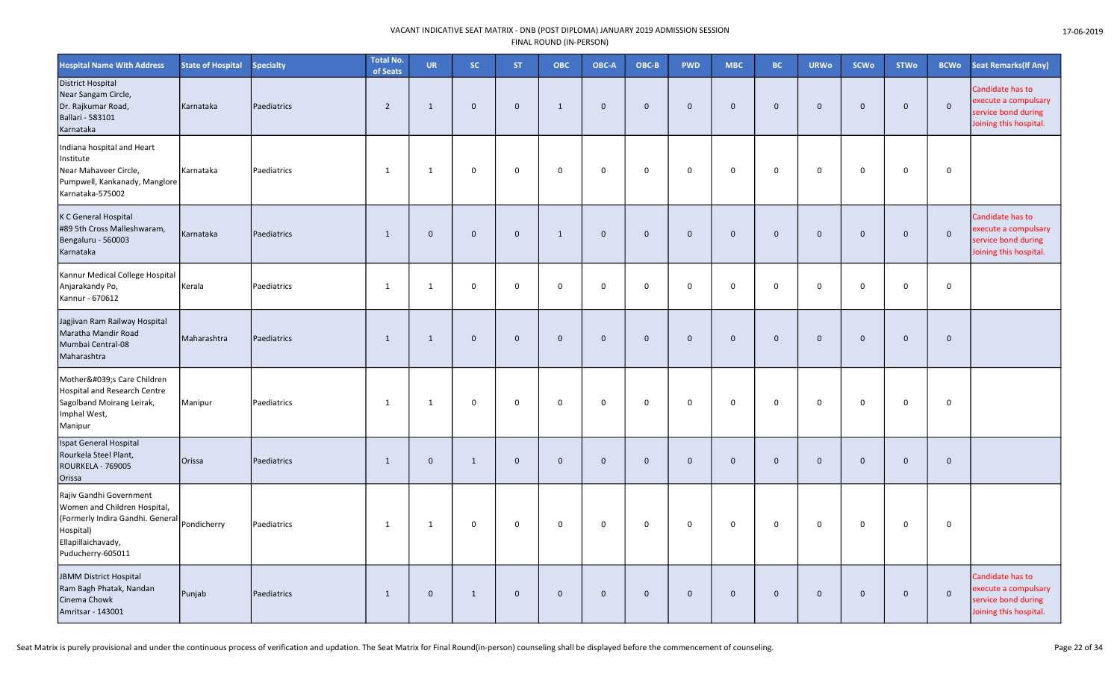| <b>Hospital Name With Address</b>                                                                                                                   | <b>State of Hospital</b> | <b>Specialty</b> | <b>Total No.</b><br>of Seats | <b>UR</b>    | <b>SC</b>    | ST.            | ОВС          | OBC-A          | OBC-B        | <b>PWD</b>   | <b>MBC</b>   | <b>BC</b>    | <b>URWo</b>    | <b>SCWo</b>  | <b>STWo</b>  | <b>BCWo</b>  | <b>Seat Remarks (If Any)</b>                                                              |
|-----------------------------------------------------------------------------------------------------------------------------------------------------|--------------------------|------------------|------------------------------|--------------|--------------|----------------|--------------|----------------|--------------|--------------|--------------|--------------|----------------|--------------|--------------|--------------|-------------------------------------------------------------------------------------------|
| <b>District Hospital</b><br>Near Sangam Circle,<br>Dr. Rajkumar Road,<br>Ballari - 583101<br>Karnataka                                              | Karnataka                | Paediatrics      | $\overline{2}$               | $\mathbf{1}$ | $\mathbf 0$  | $\mathbf 0$    | $\mathbf{1}$ | $\mathbf 0$    | $\mathbf{0}$ | $\mathbf 0$  | $\mathbf{0}$ | $\mathbf 0$  | $\mathbf 0$    | $\mathbf{0}$ | $\mathbf 0$  | $\mathbf{0}$ | Candidate has to<br>execute a compulsary<br>service bond during<br>Joining this hospital. |
| Indiana hospital and Heart<br>Institute<br>Near Mahaveer Circle,<br>Pumpwell, Kankanady, Manglore<br>Karnataka-575002                               | Karnataka                | Paediatrics      | 1                            | $\mathbf{1}$ | 0            | 0              | $\mathbf 0$  | $\mathbf 0$    | 0            | 0            | $\mathbf{0}$ | $\mathbf 0$  | $\mathbf 0$    | 0            | 0            | 0            |                                                                                           |
| K C General Hospital<br>#89 5th Cross Malleshwaram,<br>Bengaluru - 560003<br>Karnataka                                                              | Karnataka                | Paediatrics      | 1                            | $\mathbf 0$  | $\mathbf 0$  | $\mathbf 0$    | $\mathbf{1}$ | $\overline{0}$ | $\mathbf{0}$ | $\mathbf 0$  | $\mathbf 0$  | $\mathbf{0}$ | $\mathbf 0$    | $\mathbf{0}$ | $\mathbf 0$  | $\mathbf 0$  | Candidate has to<br>execute a compulsary<br>service bond during<br>Joining this hospital. |
| Kannur Medical College Hospital<br>Anjarakandy Po,<br>Kannur - 670612                                                                               | Kerala                   | Paediatrics      | $\mathbf{1}$                 | 1            | 0            | $\mathbf 0$    | 0            | $\mathbf 0$    | $\mathbf 0$  | $\mathsf{O}$ | 0            | $\mathbf 0$  | $\mathbf 0$    | $\mathbf 0$  | $\mathsf{o}$ | 0            |                                                                                           |
| Jagjivan Ram Railway Hospital<br>Maratha Mandir Road<br>Mumbai Central-08<br>Maharashtra                                                            | Maharashtra              | Paediatrics      | $\mathbf{1}$                 | $\mathbf{1}$ | $\mathbf 0$  | $\mathbf 0$    | $\mathbf 0$  | $\mathbf 0$    | $\mathbf 0$  | $\mathbf 0$  | $\mathbf 0$  | $\mathbf 0$  | $\mathbf 0$    | $\mathbf{0}$ | $\mathbf 0$  | $\mathbf 0$  |                                                                                           |
| Mother's Care Children<br>Hospital and Research Centre<br>Sagolband Moirang Leirak,<br>Imphal West,<br>Manipur                                      | Manipur                  | Paediatrics      | 1                            | 1            | $\mathsf 0$  | $\mathsf 0$    | $\mathbf 0$  | 0              | $\mathbf 0$  | 0            | 0            | $\mathbf 0$  | $\mathbf 0$    | $\mathbf 0$  | $\mathsf 0$  | 0            |                                                                                           |
| Ispat General Hospital<br>Rourkela Steel Plant,<br>ROURKELA - 769005<br>Orissa                                                                      | Orissa                   | Paediatrics      | $\mathbf{1}$                 | $\mathbf{0}$ | $\mathbf{1}$ | $\mathbf 0$    | $\mathbf 0$  | $\mathbf 0$    | $\mathbf{0}$ | $\mathbf 0$  | $\mathbf 0$  | $\mathbf{0}$ | $\overline{0}$ | $\mathbf{0}$ | $\mathbf 0$  | $\mathbf{0}$ |                                                                                           |
| Rajiv Gandhi Government<br>Women and Children Hospital,<br>(Formerly Indira Gandhi. General<br>Hospital)<br>Ellapillaichavady,<br>Puducherry-605011 | Pondicherry              | Paediatrics      | 1                            | 1            | 0            | $\mathbf 0$    | 0            | $\mathbf 0$    | $\mathbf 0$  | $\mathsf{O}$ | $\mathbf 0$  | $\mathbf 0$  | $\mathbf 0$    | $\mathbf 0$  | $\mathsf{o}$ | 0            |                                                                                           |
| JBMM District Hospital<br>Ram Bagh Phatak, Nandan<br>Cinema Chowk<br>Amritsar - 143001                                                              | Punjab                   | Paediatrics      | $\mathbf{1}$                 | $\mathbf{0}$ | $\mathbf{1}$ | $\overline{0}$ | $\mathbf{0}$ | $\mathbf 0$    | $\mathbf{0}$ | $\mathbf 0$  | $\mathbf{0}$ | $\mathbf{0}$ | $\mathbf 0$    | $\mathbf{0}$ | $\mathbf 0$  | $\mathbf 0$  | Candidate has to<br>execute a compulsary<br>service bond during<br>Joining this hospital. |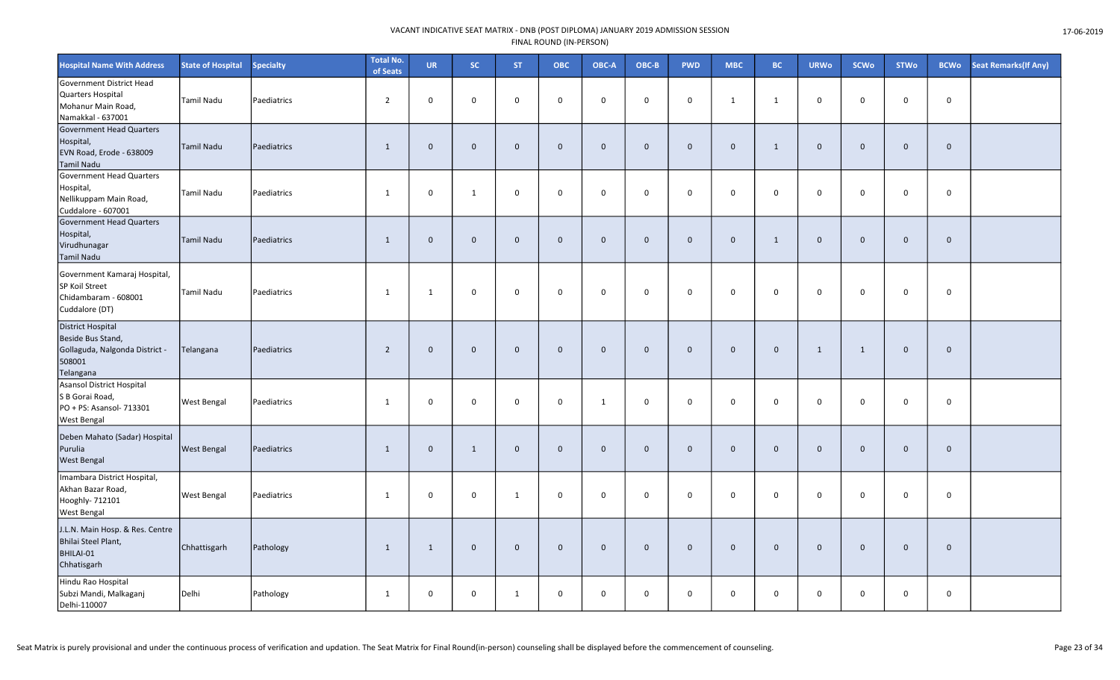| <b>Hospital Name With Address</b>                                                                      | <b>State of Hospital</b> | <b>Specialty</b> | <b>Total No.</b><br>of Seats | <b>UR</b>    | SC           | <b>ST</b>    | <b>OBC</b>   | OBC-A       | OBC-B        | <b>PWD</b>   | <b>MBC</b>   | <b>BC</b>    | <b>URWo</b> | <b>SCWo</b>  | <b>STWo</b>  | <b>BCWo</b>  | <b>Seat Remarks (If Any)</b> |
|--------------------------------------------------------------------------------------------------------|--------------------------|------------------|------------------------------|--------------|--------------|--------------|--------------|-------------|--------------|--------------|--------------|--------------|-------------|--------------|--------------|--------------|------------------------------|
| Government District Head<br>Quarters Hospital<br>Mohanur Main Road,<br>Namakkal - 637001               | <b>Tamil Nadu</b>        | Paediatrics      | $\overline{2}$               | $\mathbf 0$  | $\mathsf{O}$ | $\mathbf 0$  | 0            | $\mathbf 0$ | $\mathbf 0$  | $\mathbf 0$  | $\mathbf{1}$ | 1            | $\mathbf 0$ | $\mathbf 0$  | $\mathsf{o}$ | $\mathbf 0$  |                              |
| Government Head Quarters<br>Hospital,<br>EVN Road, Erode - 638009<br><b>Tamil Nadu</b>                 | <b>Tamil Nadu</b>        | Paediatrics      | $\mathbf{1}$                 | $\mathbf{0}$ | $\mathbf 0$  | $\mathbf 0$  | $\mathbf 0$  | $\mathbf 0$ | $\mathbf{0}$ | $\mathbf 0$  | $\mathbf 0$  | $\mathbf{1}$ | $\mathbf 0$ | $\mathbf{0}$ | $\mathbf 0$  | $\mathbf 0$  |                              |
| Government Head Quarters<br>Hospital,<br>Nellikuppam Main Road,<br>Cuddalore - 607001                  | Tamil Nadu               | Paediatrics      | 1                            | $\mathbf 0$  | $\mathbf{1}$ | 0            | $\mathbf 0$  | $\mathbf 0$ | $\Omega$     | $\mathbf 0$  | $\mathbf 0$  | $\mathbf{0}$ | $\mathbf 0$ | $\Omega$     | $\mathbf 0$  | $\mathbf 0$  |                              |
| Government Head Quarters<br>Hospital,<br>Virudhunagar<br><b>Tamil Nadu</b>                             | Tamil Nadu               | Paediatrics      | $\mathbf{1}$                 | $\mathbf 0$  | $\mathbf 0$  | $\mathbf 0$  | $\mathbf 0$  | $\mathbf 0$ | $\mathbf{0}$ | $\mathbf 0$  | $\mathbf 0$  | $\mathbf{1}$ | $\mathbf 0$ | $\mathbf{0}$ | $\mathbf 0$  | $\mathbf{0}$ |                              |
| Government Kamaraj Hospital,<br>SP Koil Street<br>Chidambaram - 608001<br>Cuddalore (DT)               | Tamil Nadu               | Paediatrics      | 1                            | 1            | 0            | $\mathbf 0$  | 0            | $\mathbf 0$ | $\mathbf 0$  | $\mathsf{O}$ | $\mathbf 0$  | $\mathbf 0$  | $\mathbf 0$ | $\mathbf 0$  | $\mathsf{o}$ | $\mathbf 0$  |                              |
| <b>District Hospital</b><br>Beside Bus Stand,<br>Gollaguda, Nalgonda District -<br>508001<br>Telangana | Telangana                | Paediatrics      | $\overline{2}$               | $\mathbf{0}$ | $\mathbf 0$  | $\mathbf 0$  | $\mathbf 0$  | $\mathbf 0$ | $\mathbf{0}$ | $\mathbf 0$  | $\mathbf 0$  | $\mathbf{0}$ | 1           | 1            | $\mathbf 0$  | $\mathbf{0}$ |                              |
| Asansol District Hospital<br>S B Gorai Road,<br>PO + PS: Asansol- 713301<br><b>West Bengal</b>         | <b>West Bengal</b>       | Paediatrics      | 1                            | $\mathbf 0$  | 0            | 0            | 0            | 1           | $\mathbf 0$  | $\mathbf 0$  | 0            | $\mathbf 0$  | $\mathbf 0$ | $\mathbf 0$  | $\mathbf 0$  | 0            |                              |
| Deben Mahato (Sadar) Hospital<br>Purulia<br><b>West Bengal</b>                                         | <b>West Bengal</b>       | Paediatrics      | $\mathbf{1}$                 | $\mathbf 0$  | $1\,$        | $\mathbf 0$  | $\mathbf{0}$ | $\mathbf 0$ | $\mathbf{0}$ | $\mathbf 0$  | $\mathbf{0}$ | $\mathbf{0}$ | $\mathbf 0$ | $\mathbf 0$  | $\mathbf 0$  | $\mathbf{0}$ |                              |
| Imambara District Hospital,<br>Akhan Bazar Road,<br>Hooghly- 712101<br><b>West Bengal</b>              | <b>West Bengal</b>       | Paediatrics      | 1                            | 0            | $\mathsf{O}$ | 1            | 0            | $\mathbf 0$ | $\mathbf 0$  | $\mathsf{O}$ | $\mathbf 0$  | $\mathbf 0$  | $\mathbf 0$ | $\mathbf 0$  | $\mathsf{O}$ | 0            |                              |
| J.L.N. Main Hosp. & Res. Centre<br>Bhilai Steel Plant,<br>BHILAI-01<br>Chhatisgarh                     | Chhattisgarh             | Pathology        | 1                            | $\mathbf{1}$ | $\mathbf 0$  | $\mathbf 0$  | $\mathbf{0}$ | $\mathbf 0$ | $\mathbf{0}$ | $\mathbf 0$  | $\mathbf{0}$ | $\mathbf 0$  | $\mathbf 0$ | $\mathbf{0}$ | $\mathbf 0$  | $\mathbf 0$  |                              |
| Hindu Rao Hospital<br>Subzi Mandi, Malkaganj<br>Delhi-110007                                           | Delhi                    | Pathology        | 1                            | 0            | $\mathsf{O}$ | $\mathbf{1}$ | $\mathsf 0$  | $\mathbf 0$ | 0            | $\mathsf{O}$ | 0            | $\mathbf 0$  | $\mathbf 0$ | 0            | $\mathsf{O}$ | 0            |                              |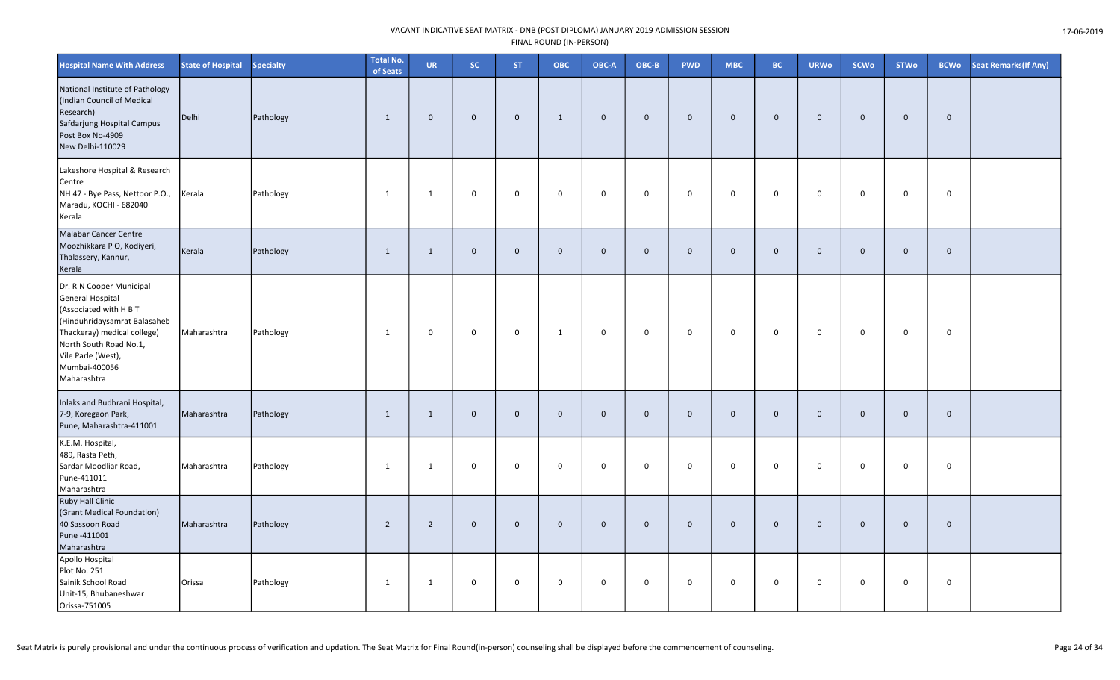| <b>Hospital Name With Address</b>                                                                                                                                                                                     | <b>State of Hospital</b> | Specialty | <b>Total No.</b><br>of Seats | <b>UR</b>      | <b>SC</b>    | <b>ST</b>      | <b>OBC</b>  | OBC-A        | OBC-B        | <b>PWD</b>  | <b>MBC</b>  | <b>BC</b>   | <b>URWo</b>    | <b>SCWo</b> | <b>STWo</b>  | <b>BCWo</b> | Seat Remarks(If Any) |
|-----------------------------------------------------------------------------------------------------------------------------------------------------------------------------------------------------------------------|--------------------------|-----------|------------------------------|----------------|--------------|----------------|-------------|--------------|--------------|-------------|-------------|-------------|----------------|-------------|--------------|-------------|----------------------|
| National Institute of Pathology<br>(Indian Council of Medical<br>Research)<br>Safdarjung Hospital Campus<br>Post Box No-4909<br>New Delhi-110029                                                                      | Delhi                    | Pathology | $\mathbf{1}$                 | $\mathbf 0$    | $\mathbf 0$  | $\mathbf 0$    | 1           | $\mathbf 0$  | $\mathbf 0$  | $\mathbf 0$ | $\mathbf 0$ | $\mathbf 0$ | $\overline{0}$ | $\mathbf 0$ | $\mathbf 0$  | $\mathbf 0$ |                      |
| Lakeshore Hospital & Research<br>Centre<br>NH 47 - Bye Pass, Nettoor P.O.,<br>Maradu, KOCHI - 682040<br>Kerala                                                                                                        | Kerala                   | Pathology | $\mathbf{1}$                 | $\mathbf{1}$   | 0            | $\mathbf 0$    | $\mathsf 0$ | $\mathbf 0$  | $\mathbf 0$  | 0           | $\mathsf 0$ | $\mathsf 0$ | $\mathbf 0$    | $\mathbf 0$ | $\mathbf 0$  | 0           |                      |
| Malabar Cancer Centre<br>Moozhikkara P O, Kodiyeri,<br>Thalassery, Kannur,<br>Kerala                                                                                                                                  | Kerala                   | Pathology | $\mathbf{1}$                 | $\mathbf{1}$   | $\mathbf 0$  | $\overline{0}$ | $\Omega$    | $\mathbf{0}$ | $\mathbf{0}$ | $\mathbf 0$ | $\Omega$    | $\Omega$    | $\overline{0}$ | $\Omega$    | $\mathbf{0}$ | $\mathbf 0$ |                      |
| Dr. R N Cooper Municipal<br>General Hospital<br>(Associated with H B T<br>(Hinduhridaysamrat Balasaheb<br>Thackeray) medical college)<br>North South Road No.1,<br>Vile Parle (West),<br>Mumbai-400056<br>Maharashtra | Maharashtra              | Pathology | $\mathbf{1}$                 | 0              | 0            | $\mathbf 0$    | 1           | $\mathbf 0$  | $\mathbf 0$  | 0           | 0           | $\mathbf 0$ | $\mathbf 0$    | $\mathbf 0$ | $\mathbf 0$  | $\mathbf 0$ |                      |
| Inlaks and Budhrani Hospital,<br>7-9, Koregaon Park,<br>Pune, Maharashtra-411001                                                                                                                                      | Maharashtra              | Pathology | $\mathbf{1}$                 | $\mathbf{1}$   | $\mathbf 0$  | $\mathbf 0$    | $\mathbf 0$ | $\mathbf{0}$ | $\mathbf{0}$ | $\mathbf 0$ | $\Omega$    | $\mathbf 0$ | $\overline{0}$ | $\Omega$    | $\mathbf 0$  | $\mathbf 0$ |                      |
| K.E.M. Hospital,<br>489, Rasta Peth,<br>Sardar Moodliar Road,<br>Pune-411011<br>Maharashtra                                                                                                                           | Maharashtra              | Pathology | 1                            | 1              | 0            | $\mathbf 0$    | $\mathbf 0$ | $\mathbf 0$  | $\mathbf 0$  | $\mathbf 0$ | $\mathbf 0$ | $\mathbf 0$ | $\mathbf 0$    | $\mathbf 0$ | $\mathbf 0$  | $\mathbf 0$ |                      |
| <b>Ruby Hall Clinic</b><br>(Grant Medical Foundation)<br>40 Sassoon Road<br>Pune -411001<br>Maharashtra                                                                                                               | Maharashtra              | Pathology | $\overline{2}$               | $\overline{2}$ | $\mathbf{0}$ | $\overline{0}$ | $\mathbf 0$ | $\mathbf 0$  | $\mathbf 0$  | $\mathbf 0$ | $\Omega$    | $\mathbf 0$ | $\overline{0}$ | $\mathbf 0$ | $\mathbf 0$  | $\mathbf 0$ |                      |
| Apollo Hospital<br>Plot No. 251<br>Sainik School Road<br>Unit-15, Bhubaneshwar<br>Orissa-751005                                                                                                                       | Orissa                   | Pathology | $\mathbf{1}$                 | 1              | 0            | $\mathbf 0$    | $\mathbf 0$ | $\mathbf 0$  | $\mathbf 0$  | 0           | 0           | $\mathbf 0$ | $\mathbf 0$    | $\mathbf 0$ | $\mathbf 0$  | 0           |                      |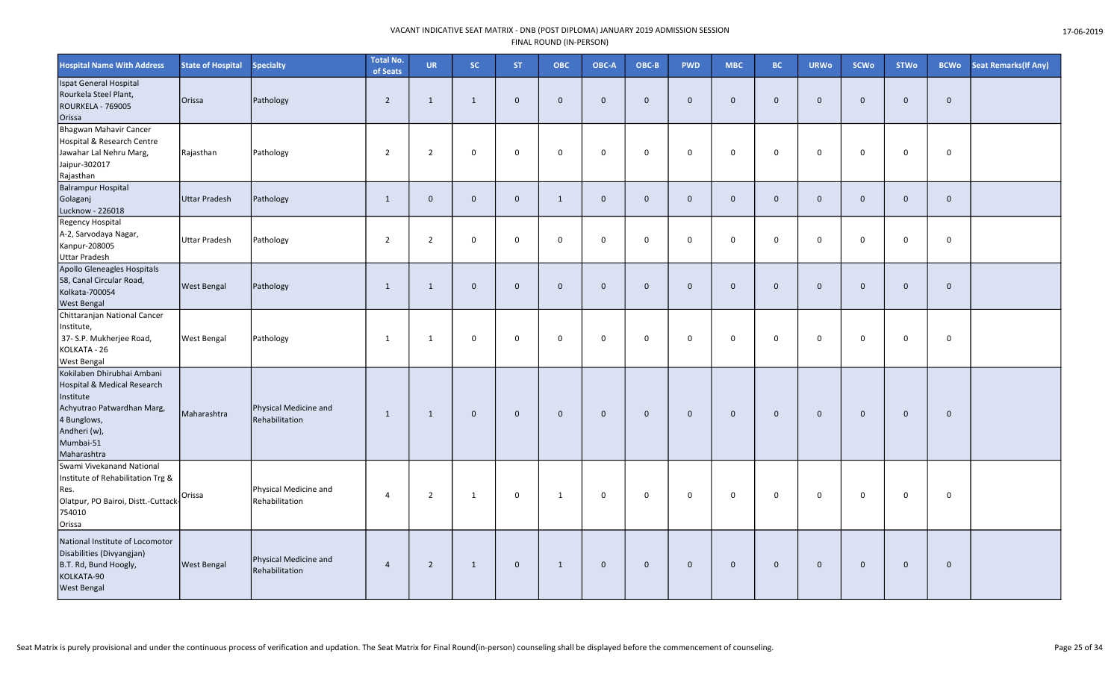| <b>Hospital Name With Address</b>                                                                                                                               | <b>State of Hospital</b> | <b>Specialty</b>                        | <b>Total No.</b><br>of Seats | UR             | <b>SC</b>    | <b>ST</b>    | ОВС          | OBC-A          | OBC-B        | <b>PWD</b>   | <b>MBC</b>   | <b>BC</b>    | <b>URWo</b>    | <b>SCWo</b>  | <b>STWo</b>  | <b>BCWo</b>  | <b>Seat Remarks (If Any)</b> |
|-----------------------------------------------------------------------------------------------------------------------------------------------------------------|--------------------------|-----------------------------------------|------------------------------|----------------|--------------|--------------|--------------|----------------|--------------|--------------|--------------|--------------|----------------|--------------|--------------|--------------|------------------------------|
| Ispat General Hospital<br>Rourkela Steel Plant,<br>ROURKELA - 769005<br>Orissa                                                                                  | Orissa                   | Pathology                               | $\overline{2}$               | 1              | $\mathbf{1}$ | $\mathbf 0$  | $\mathbf 0$  | $\mathbf{0}$   | $\Omega$     | $\mathbf 0$  | $\mathbf{0}$ | $\mathbf 0$  | $\mathbf 0$    | $\mathbf{0}$ | $\mathbf 0$  | $\mathbf 0$  |                              |
| Bhagwan Mahavir Cancer<br>Hospital & Research Centre<br>Jawahar Lal Nehru Marg,<br>Jaipur-302017<br>Rajasthan                                                   | Rajasthan                | Pathology                               | $\overline{2}$               | $\overline{2}$ | $\mathbf 0$  | $\mathbf 0$  | 0            | $\mathbf 0$    | $\mathbf 0$  | $\mathbf 0$  | $\mathbf 0$  | $\mathbf 0$  | $\mathbf 0$    | $\mathbf 0$  | $\mathbf 0$  | $\mathbf 0$  |                              |
| <b>Balrampur Hospital</b><br>Golaganj<br>Lucknow - 226018                                                                                                       | Uttar Pradesh            | Pathology                               | 1                            | $\mathbf 0$    | $\mathbf 0$  | $\mathbf 0$  | $\mathbf{1}$ | $\mathbf 0$    | $\mathbf 0$  | $\mathbf 0$  | $\mathbf 0$  | $\mathbf 0$  | $\mathbf 0$    | $\mathbf 0$  | $\mathbf 0$  | $\mathbf 0$  |                              |
| Regency Hospital<br>A-2, Sarvodaya Nagar,<br>Kanpur-208005<br><b>Uttar Pradesh</b>                                                                              | <b>Uttar Pradesh</b>     | Pathology                               | $\overline{2}$               | $\overline{2}$ | $\mathbf 0$  | $\mathbf 0$  | $\mathsf 0$  | $\mathbf 0$    | $\mathbf 0$  | $\mathbf 0$  | $\mathbf 0$  | $\mathbf 0$  | $\mathbf 0$    | $\mathbf 0$  | $\mathbf 0$  | $\mathbf 0$  |                              |
| Apollo Gleneagles Hospitals<br>58, Canal Circular Road,<br>Kolkata-700054<br>West Bengal                                                                        | <b>West Bengal</b>       | Pathology                               | 1                            | $\mathbf{1}$   | $\mathbf 0$  | $\mathbf 0$  | $\mathbf 0$  | $\mathbf 0$    | $\Omega$     | $\mathbf 0$  | $\mathbf{0}$ | $\mathbf{0}$ | $\overline{0}$ | $\mathbf{0}$ | $\mathbf 0$  | $\mathbf{0}$ |                              |
| Chittaranjan National Cancer<br>Institute,<br>37- S.P. Mukherjee Road,<br>KOLKATA - 26<br><b>West Bengal</b>                                                    | <b>West Bengal</b>       | Pathology                               | 1                            | 1              | 0            | $\mathbf 0$  | $\mathbf 0$  | $\mathbf 0$    | $\mathbf 0$  | $\mathbf 0$  | $\mathbf 0$  | $\mathbf 0$  | $\mathbf 0$    | $\mathbf 0$  | $\mathbf 0$  | $\mathbf 0$  |                              |
| Kokilaben Dhirubhai Ambani<br>Hospital & Medical Research<br>Institute<br>Achyutrao Patwardhan Marg,<br>4 Bunglows,<br>Andheri (w),<br>Mumbai-51<br>Maharashtra | Maharashtra              | Physical Medicine and<br>Rehabilitation | 1                            | 1              | $\mathbf 0$  | $\mathbf{0}$ | $\mathbf{0}$ | $\overline{0}$ | $\mathbf{0}$ | $\mathbf{0}$ | $\mathbf{0}$ | $\mathbf{0}$ | $\mathbf{0}$   | $\mathbf{0}$ | $\mathbf{0}$ | $\mathbf{0}$ |                              |
| Swami Vivekanand National<br>Institute of Rehabilitation Trg &<br>Res.<br>Olatpur, PO Bairoi, Distt.-Cuttack-<br>754010<br>Orissa                               | Orissa                   | Physical Medicine and<br>Rehabilitation | $\overline{4}$               | $\overline{2}$ | $\mathbf{1}$ | $\pmb{0}$    | 1            | $\mathbf 0$    | $\mathbf 0$  | 0            | 0            | $\Omega$     | $\mathbf 0$    | $\mathbf 0$  | 0            | $\mathbf 0$  |                              |
| National Institute of Locomotor<br>Disabilities (Divyangjan)<br>B.T. Rd, Bund Hoogly,<br>KOLKATA-90<br><b>West Bengal</b>                                       | <b>West Bengal</b>       | Physical Medicine and<br>Rehabilitation | $\overline{4}$               | $\overline{2}$ | $\mathbf{1}$ | $\mathbf 0$  | 1            | $\mathbf 0$    | $\mathbf{0}$ | $\mathbf 0$  | $\mathbf{0}$ | $\mathbf{0}$ | $\mathbf 0$    | $\mathbf{0}$ | $\mathbf{0}$ | $\mathbf{0}$ |                              |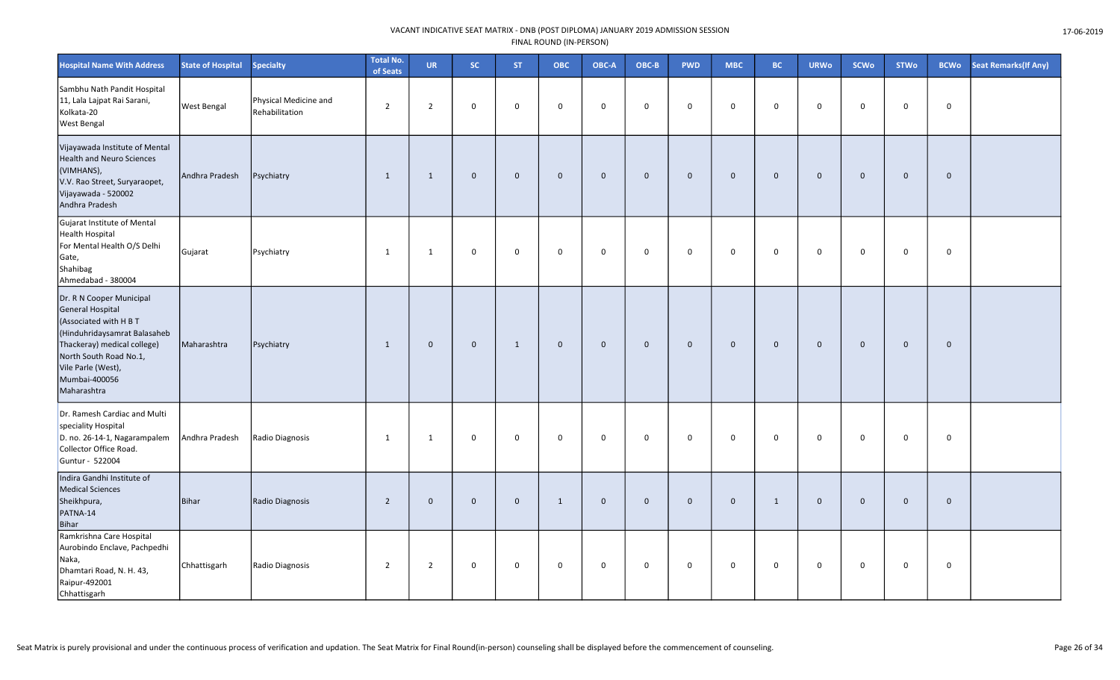| <b>Hospital Name With Address</b>                                                                                                                                                                                            | <b>State of Hospital</b> | <b>Specialty</b>                        | <b>Total No.</b><br>of Seats | <b>UR</b>      | SC.          | <b>ST</b>    | ОВС                 | OBC-A          | OBC-B        | <b>PWD</b>  | <b>MBC</b>  | <b>BC</b>    | <b>URWo</b>    | <b>SCWo</b> | <b>STWo</b> | <b>BCWo</b>  | <b>Seat Remarks (If Any)</b> |
|------------------------------------------------------------------------------------------------------------------------------------------------------------------------------------------------------------------------------|--------------------------|-----------------------------------------|------------------------------|----------------|--------------|--------------|---------------------|----------------|--------------|-------------|-------------|--------------|----------------|-------------|-------------|--------------|------------------------------|
| Sambhu Nath Pandit Hospital<br>11, Lala Lajpat Rai Sarani,<br>Kolkata-20<br><b>West Bengal</b>                                                                                                                               | <b>West Bengal</b>       | Physical Medicine and<br>Rehabilitation | $\overline{2}$               | $\overline{2}$ | 0            | $\Omega$     | $\Omega$            | $\mathbf 0$    | $\mathbf 0$  | $\mathbf 0$ | $\mathbf 0$ | 0            | $\mathbf 0$    | $\Omega$    | $\mathbf 0$ | $\mathbf 0$  |                              |
| Vijayawada Institute of Mental<br><b>Health and Neuro Sciences</b><br>(VIMHANS),<br>V.V. Rao Street, Suryaraopet,<br>Vijayawada - 520002<br>Andhra Pradesh                                                                   | Andhra Pradesh           | Psychiatry                              | 1                            | 1              | $\mathbf 0$  | $\mathbf 0$  | $\mathbf 0$         | $\mathbf 0$    | $\mathbf 0$  | $\mathbf 0$ | $\mathbf 0$ | $\mathbf 0$  | $\mathbf{0}$   | $\mathbf 0$ | $\mathbf 0$ | $\mathbf 0$  |                              |
| Gujarat Institute of Mental<br><b>Health Hospital</b><br>For Mental Health O/S Delhi<br>Gate,<br>Shahibag<br>Ahmedabad - 380004                                                                                              | Gujarat                  | Psychiatry                              | 1                            | $\mathbf{1}$   | $\mathbf 0$  | 0            | $\mathbf 0$         | $\mathbf 0$    | $\mathbf 0$  | $\mathsf 0$ | $\mathbf 0$ | $\mathbf 0$  | $\mathbf 0$    | $\mathsf 0$ | $\mathbf 0$ | $\mathbf 0$  |                              |
| Dr. R N Cooper Municipal<br><b>General Hospital</b><br>(Associated with H B T<br>(Hinduhridaysamrat Balasaheb<br>Thackeray) medical college)<br>North South Road No.1,<br>Vile Parle (West),<br>Mumbai-400056<br>Maharashtra | Maharashtra              | Psychiatry                              | 1                            | $\mathbf 0$    | $\mathbf 0$  | $\mathbf{1}$ | $\mathsf{O}\xspace$ | $\overline{0}$ | $\mathbf 0$  | $\mathbf 0$ | $\mathbf 0$ | $\mathbf 0$  | $\overline{0}$ | $\mathbf 0$ | $\mathbf 0$ | $\mathbf 0$  |                              |
| Dr. Ramesh Cardiac and Multi<br>speciality Hospital<br>D. no. 26-14-1, Nagarampalem<br>Collector Office Road.<br>Guntur - 522004                                                                                             | Andhra Pradesh           | Radio Diagnosis                         | 1                            | 1              | $\mathbf 0$  | $\mathbf 0$  | $\mathbf 0$         | $\mathbf 0$    | $\mathbf 0$  | $\mathbf 0$ | 0           | $\mathbf 0$  | $\mathbf 0$    | $\mathbf 0$ | $\mathbf 0$ | 0            |                              |
| Indira Gandhi Institute of<br><b>Medical Sciences</b><br>Sheikhpura,<br>PATNA-14<br><b>Bihar</b>                                                                                                                             | Bihar                    | Radio Diagnosis                         | $\overline{2}$               | $\mathbf{0}$   | $\mathbf 0$  | $\mathbf{0}$ | $\mathbf{1}$        | $\mathbf 0$    | $\mathbf{0}$ | $\mathbf 0$ | $\mathbf 0$ | $\mathbf{1}$ | $\mathbf 0$    | $\mathbf 0$ | $\mathbf 0$ | $\mathbf{0}$ |                              |
| Ramkrishna Care Hospital<br>Aurobindo Enclave, Pachpedhi<br>Naka,<br>Dhamtari Road, N. H. 43,<br>Raipur-492001<br>Chhattisgarh                                                                                               | Chhattisgarh             | Radio Diagnosis                         | $\overline{2}$               | 2              | $\mathsf{O}$ | $\mathbf 0$  | $\mathbf 0$         | $\mathbf 0$    | $\mathbf 0$  | $\mathbf 0$ | 0           | $\mathbf 0$  | $\mathbf 0$    | $\mathbf 0$ | $\mathbf 0$ | $\mathbf 0$  |                              |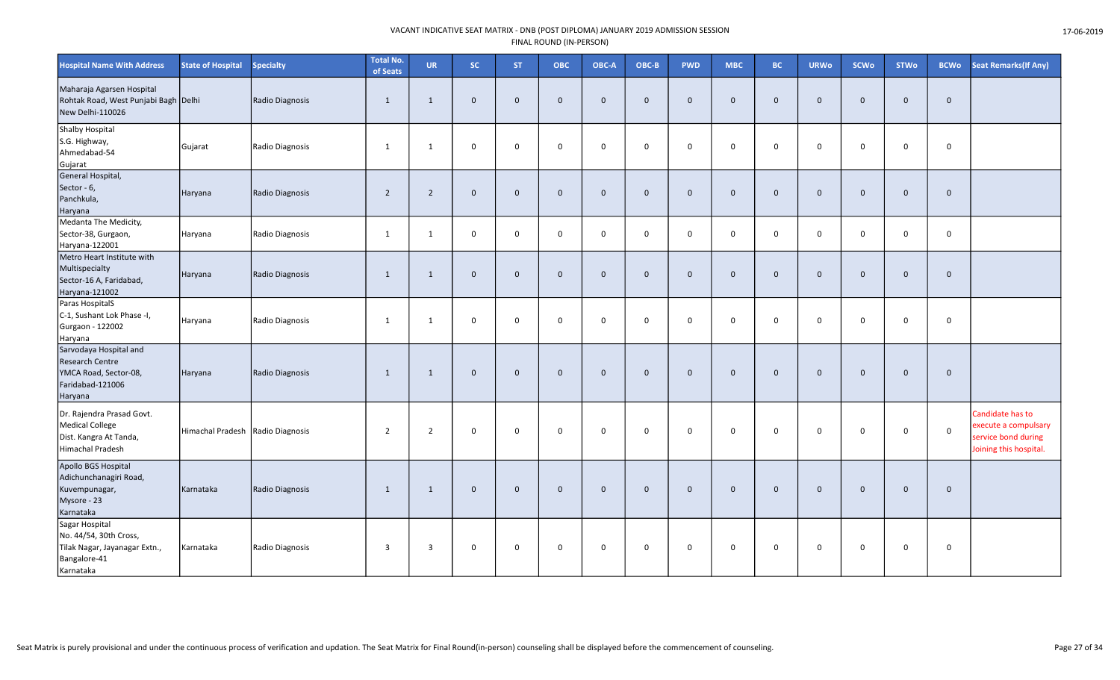| <b>Hospital Name With Address</b>                                                                        | <b>State of Hospital</b>         | <b>Specialty</b> | <b>Total No.</b><br>of Seats | <b>UR</b>      | <b>SC</b>    | <b>ST</b>   | <b>OBC</b>   | OBC-A          | OBC-B        | <b>PWD</b>   | <b>MBC</b>   | <b>BC</b>    | <b>URWo</b>    | <b>SCWo</b>  | <b>STWo</b>  | <b>BCWo</b>  | <b>Seat Remarks (If Any)</b>                                                              |
|----------------------------------------------------------------------------------------------------------|----------------------------------|------------------|------------------------------|----------------|--------------|-------------|--------------|----------------|--------------|--------------|--------------|--------------|----------------|--------------|--------------|--------------|-------------------------------------------------------------------------------------------|
| Maharaja Agarsen Hospital<br>Rohtak Road, West Punjabi Bagh Delhi<br>New Delhi-110026                    |                                  | Radio Diagnosis  | $\mathbf{1}$                 | $\overline{1}$ | $\mathbf 0$  | $\Omega$    | $\mathbf 0$  | $\mathbf{0}$   | $\Omega$     | $\mathbf 0$  | $\mathbf{0}$ | $\mathbf{0}$ | $\overline{0}$ | $\Omega$     | $\mathbf{0}$ | $\mathbf{0}$ |                                                                                           |
| <b>Shalby Hospital</b><br>S.G. Highway,<br>Ahmedabad-54<br>Gujarat                                       | Gujarat                          | Radio Diagnosis  | 1                            | 1              | $\mathbf 0$  | $\Omega$    | $\Omega$     | $\Omega$       | $\Omega$     | $\mathbf 0$  | $\Omega$     | $\Omega$     | $\mathbf 0$    | $\Omega$     | $\Omega$     | $\mathbf 0$  |                                                                                           |
| General Hospital,<br>Sector - 6,<br>Panchkula,<br>Haryana                                                | Haryana                          | Radio Diagnosis  | $\overline{2}$               | 2              | $\mathbf 0$  | $\mathbf 0$ | $\mathbf{0}$ | $\mathbf 0$    | $\mathbf{0}$ | $\mathbf 0$  | $\mathbf 0$  | $\mathbf{0}$ | $\overline{0}$ | $\Omega$     | $\mathbf 0$  | $\mathbf 0$  |                                                                                           |
| Medanta The Medicity,<br>Sector-38, Gurgaon,<br>Haryana-122001                                           | Haryana                          | Radio Diagnosis  | 1                            | 1              | $\mathbf 0$  | $\mathbf 0$ | $\mathbf 0$  | $\overline{0}$ | $\Omega$     | $\mathsf{O}$ | $\mathbf 0$  | $\mathbf 0$  | $\overline{0}$ | $\mathbf{0}$ | $\mathbf 0$  | $\mathbf 0$  |                                                                                           |
| Metro Heart Institute with<br>Multispecialty<br>Sector-16 A, Faridabad,<br>Haryana-121002                | Haryana                          | Radio Diagnosis  | 1                            | 1              | $\mathbf{0}$ | $\Omega$    | $\Omega$     | $\overline{0}$ | $\Omega$     | $\mathbf{0}$ | $\mathbf{0}$ | $\Omega$     | $\overline{0}$ | $\Omega$     | $\mathbf{0}$ | $\mathbf{0}$ |                                                                                           |
| Paras HospitalS<br>C-1, Sushant Lok Phase -I,<br>Gurgaon - 122002<br>Haryana                             | Haryana                          | Radio Diagnosis  | 1                            | 1              | $\mathbf 0$  | $\Omega$    | $\mathbf 0$  | $\mathbf 0$    | $\Omega$     | $\mathbf 0$  | $\mathbf 0$  | $\Omega$     | $\mathbf 0$    | $\Omega$     | $\mathbf 0$  | $\mathbf 0$  |                                                                                           |
| Sarvodaya Hospital and<br><b>Research Centre</b><br>YMCA Road, Sector-08,<br>Faridabad-121006<br>Haryana | Haryana                          | Radio Diagnosis  | 1                            | 1              | $\mathbf 0$  | $\mathbf 0$ | $\mathbf{0}$ | $\mathbf{0}$   | $\Omega$     | $\mathbf 0$  | $\Omega$     | $\mathbf 0$  | $\overline{0}$ | $\Omega$     | $\mathbf{0}$ | $\mathbf{0}$ |                                                                                           |
| Dr. Rajendra Prasad Govt.<br>Medical College<br>Dist. Kangra At Tanda,<br>Himachal Pradesh               | Himachal Pradesh Radio Diagnosis |                  | $\overline{2}$               | $\overline{2}$ | $\mathbf 0$  | $\mathbf 0$ | $\mathbf 0$  | $\mathbf 0$    | $\mathbf 0$  | $\mathsf{O}$ | 0            | $\mathbf 0$  | $\mathbf 0$    | $\mathbf 0$  | $\mathbf 0$  | $\mathbf 0$  | Candidate has to<br>execute a compulsary<br>service bond during<br>Joining this hospital. |
| Apollo BGS Hospital<br>Adichunchanagiri Road,<br>Kuvempunagar,<br>Mysore - 23<br>Karnataka               | Karnataka                        | Radio Diagnosis  | 1                            | 1              | $\mathbf 0$  | $\mathbf 0$ | $\mathbf{0}$ | $\mathbf 0$    | $\mathbf{0}$ | $\mathbf 0$  | $\mathbf 0$  | $\mathbf{0}$ | $\overline{0}$ | $\mathbf 0$  | $\mathbf 0$  | $\mathbf{0}$ |                                                                                           |
| Sagar Hospital<br>No. 44/54, 30th Cross,<br>Tilak Nagar, Jayanagar Extn.,<br>Bangalore-41<br>Karnataka   | Karnataka                        | Radio Diagnosis  | $\overline{\mathbf{3}}$      | $\overline{3}$ | $\mathbf 0$  | $\mathbf 0$ | $\mathsf 0$  | $\overline{0}$ | $\mathbf 0$  | $\mathbf 0$  | $\mathbf 0$  | $\mathbf 0$  | $\mathbf 0$    | $\mathbf 0$  | $\mathbf 0$  | 0            |                                                                                           |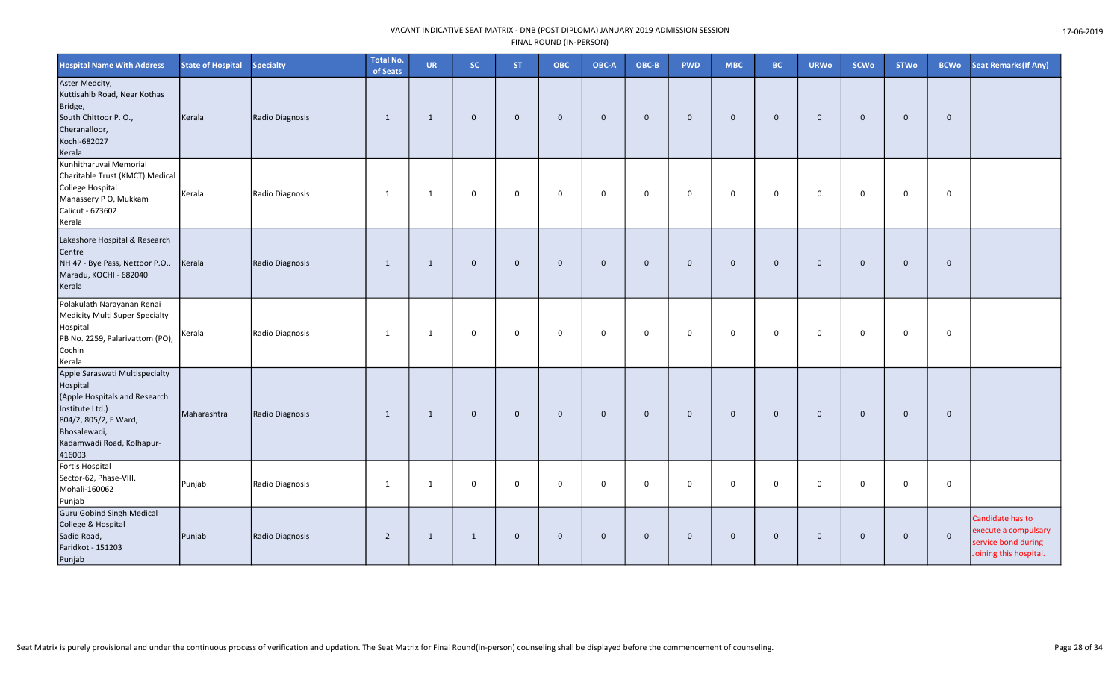| <b>Hospital Name With Address</b>                                                                                                                                              | <b>State of Hospital</b> | <b>Specialty</b> | <b>Total No.</b><br>of Seats | <b>UR</b>      | <b>SC</b>    | ST.          | ОВС          | OBC-A        | OBC-B        | <b>PWD</b>   | <b>MBC</b>     | <b>BC</b>    | <b>URWo</b>    | <b>SCWo</b>  | <b>STWo</b>  | <b>BCWo</b>  | <b>Seat Remarks (If Any)</b>                                                              |
|--------------------------------------------------------------------------------------------------------------------------------------------------------------------------------|--------------------------|------------------|------------------------------|----------------|--------------|--------------|--------------|--------------|--------------|--------------|----------------|--------------|----------------|--------------|--------------|--------------|-------------------------------------------------------------------------------------------|
| Aster Medcity,<br>Kuttisahib Road, Near Kothas<br>Bridge,<br>South Chittoor P.O.,<br>Cheranalloor,<br>Kochi-682027<br>Kerala                                                   | Kerala                   | Radio Diagnosis  | 1                            | $\mathbf{1}$   | $\mathbf{0}$ | $\mathbf{0}$ | $\mathbf{0}$ | $\mathbf 0$  | $\mathbf{0}$ | $\mathbf 0$  | $\mathbf 0$    | $\mathbf{0}$ | $\mathbf{0}$   | $\mathbf{0}$ | $\mathbf 0$  | $\mathbf 0$  |                                                                                           |
| Kunhitharuvai Memorial<br>Charitable Trust (KMCT) Medical<br>College Hospital<br>Manassery P O, Mukkam<br>Calicut - 673602<br>Kerala                                           | Kerala                   | Radio Diagnosis  | $\mathbf{1}$                 | $\mathbf{1}$   | 0            | $\mathsf 0$  | $\mathbf 0$  | $\mathsf{o}$ | $\mathbf 0$  | 0            | $\mathbf 0$    | $\mathbf 0$  | $\mathbf 0$    | $\mathbf 0$  | $\mathbf 0$  | 0            |                                                                                           |
| Lakeshore Hospital & Research<br>Centre<br>NH 47 - Bye Pass, Nettoor P.O.,<br>Maradu, KOCHI - 682040<br>Kerala                                                                 | Kerala                   | Radio Diagnosis  | 1                            | 1              | $\mathbf{0}$ | $\mathbf{0}$ | $\mathbf 0$  | $\mathbf{0}$ | $\mathbf{0}$ | $\mathbf 0$  | $\overline{0}$ | $\mathbf{0}$ | $\overline{0}$ | $\mathbf{0}$ | $\mathbf{0}$ | $\mathbf 0$  |                                                                                           |
| Polakulath Narayanan Renai<br>Medicity Multi Super Specialty<br>Hospital<br>PB No. 2259, Palarivattom (PO),<br>Cochin<br>Kerala                                                | Kerala                   | Radio Diagnosis  | 1                            | 1              | 0            | $\mathbf 0$  | $\mathbf 0$  | $\mathsf{o}$ | $\mathbf 0$  | 0            | $\mathbf 0$    | $\mathbf 0$  | $\overline{0}$ | $\mathbf 0$  | $\mathbf 0$  | 0            |                                                                                           |
| Apple Saraswati Multispecialty<br>Hospital<br>(Apple Hospitals and Research<br>Institute Ltd.)<br>804/2, 805/2, E Ward,<br>Bhosalewadi,<br>Kadamwadi Road, Kolhapur-<br>416003 | Maharashtra              | Radio Diagnosis  | 1                            | 1              | $\mathbf{0}$ | $\mathbf 0$  | $\mathbf 0$  | $\mathbf{0}$ | $\mathbf{0}$ | $\mathbf{0}$ | $\Omega$       | $\mathbf{0}$ | $\overline{0}$ | $\mathbf{0}$ | $\mathbf{0}$ | $\mathbf{0}$ |                                                                                           |
| Fortis Hospital<br>Sector-62, Phase-VIII,<br>Mohali-160062<br>Punjab                                                                                                           | Punjab                   | Radio Diagnosis  | 1                            | 1              | 0            | $\mathbf 0$  | $\mathbf 0$  | 0            | $\Omega$     | $\mathbf 0$  | 0              | $\Omega$     | $\mathbf 0$    | $\Omega$     | $\mathbf 0$  | 0            |                                                                                           |
| <b>Guru Gobind Singh Medical</b><br>College & Hospital<br>Sadiq Road,<br>Faridkot - 151203<br>Punjab                                                                           | Punjab                   | Radio Diagnosis  | $\overline{2}$               | $\overline{1}$ | 1            | $\mathbf 0$  | $\Omega$     | $\mathbf 0$  | $\mathbf 0$  | $\mathbf 0$  | $\Omega$       | $\Omega$     | $\mathbf 0$    | $\mathbf 0$  | $\mathbf 0$  | $\mathbf{0}$ | Candidate has to<br>execute a compulsary<br>service bond during<br>Joining this hospital. |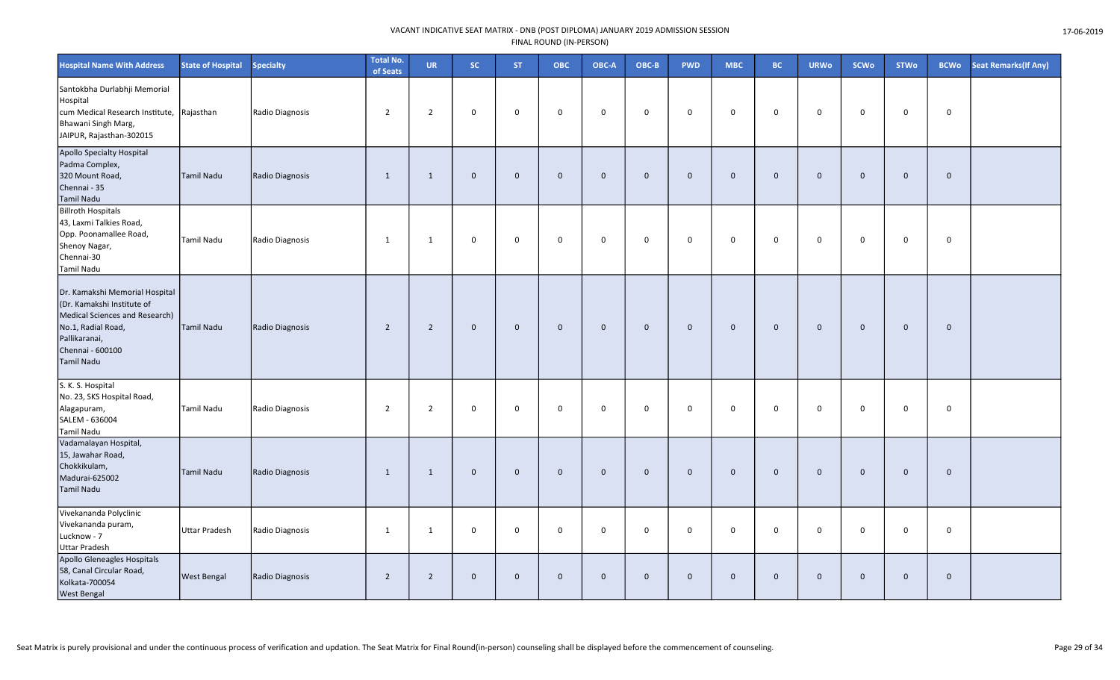| <b>Hospital Name With Address</b>                                                                                                                                       | <b>State of Hospital</b> | <b>Specialty</b> | <b>Total No.</b><br>of Seats | <b>UR</b>      | SC.          | <b>ST</b>    | ОВС          | OBC-A       | OBC-B        | <b>PWD</b>  | <b>MBC</b>  | <b>BC</b>    | <b>URWo</b> | <b>SCWo</b>  | <b>STWo</b>  | <b>BCWo</b>  | <b>Seat Remarks (If Any)</b> |
|-------------------------------------------------------------------------------------------------------------------------------------------------------------------------|--------------------------|------------------|------------------------------|----------------|--------------|--------------|--------------|-------------|--------------|-------------|-------------|--------------|-------------|--------------|--------------|--------------|------------------------------|
| Santokbha Durlabhji Memorial<br>Hospital<br>cum Medical Research Institute, Rajasthan<br>Bhawani Singh Marg,<br>JAIPUR, Rajasthan-302015                                |                          | Radio Diagnosis  | $\overline{2}$               | $\overline{2}$ | $\mathbf 0$  | $\mathbf 0$  | $\mathbf 0$  | $\mathbf 0$ | $\mathbf 0$  | $\mathbf 0$ | 0           | $\mathbf 0$  | 0           | 0            | $\mathbf 0$  | $\mathbf 0$  |                              |
| Apollo Specialty Hospital<br>Padma Complex,<br>320 Mount Road,<br>Chennai - 35<br><b>Tamil Nadu</b>                                                                     | Tamil Nadu               | Radio Diagnosis  | 1                            | 1              | $\mathbf 0$  | $\mathbf 0$  | $\mathbf{0}$ | $\mathbf 0$ | $\mathbf 0$  | $\mathbf 0$ | $\mathbf 0$ | $\mathbf 0$  | $\mathbf 0$ | $\mathbf 0$  | $\mathbf 0$  | $\mathbf 0$  |                              |
| <b>Billroth Hospitals</b><br>43, Laxmi Talkies Road,<br>Opp. Poonamallee Road,<br>Shenoy Nagar,<br>Chennai-30<br>Tamil Nadu                                             | Tamil Nadu               | Radio Diagnosis  | 1                            | 1              | $\mathsf{O}$ | $\mathbf 0$  | 0            | $\mathbf 0$ | $\mathbf 0$  | 0           | 0           | $\mathbf 0$  | $\mathbf 0$ | 0            | $\mathbf 0$  | 0            |                              |
| Dr. Kamakshi Memorial Hospital<br>(Dr. Kamakshi Institute of<br>Medical Sciences and Research)<br>No.1, Radial Road,<br>Pallikaranai,<br>Chennai - 600100<br>Tamil Nadu | Tamil Nadu               | Radio Diagnosis  | $\overline{2}$               | $\overline{2}$ | $\mathbf 0$  | $\mathbf{0}$ | $\mathbf 0$  | $\mathbf 0$ | $\mathbf 0$  | $\mathbf 0$ | $\mathbf 0$ | $\mathbf 0$  | $\mathbf 0$ | $\mathbf 0$  | $\mathbf{0}$ | $\mathbf 0$  |                              |
| S. K. S. Hospital<br>No. 23, SKS Hospital Road,<br>Alagapuram,<br>SALEM - 636004<br>Tamil Nadu                                                                          | Tamil Nadu               | Radio Diagnosis  | $\overline{2}$               | $\overline{2}$ | $\mathbf 0$  | $\mathbf 0$  | $\mathsf 0$  | $\mathbf 0$ | $\mathbf 0$  | $\mathbf 0$ | $\mathbf 0$ | $\mathbf 0$  | $\mathbf 0$ | $\mathbf 0$  | $\mathbf 0$  | $\mathbf 0$  |                              |
| Vadamalayan Hospital,<br>15, Jawahar Road,<br>Chokkikulam,<br>Madurai-625002<br><b>Tamil Nadu</b>                                                                       | Tamil Nadu               | Radio Diagnosis  | 1                            | 1              | $\mathbf 0$  | $\Omega$     | $\mathbf 0$  | $\mathbf 0$ | $\mathbf{0}$ | $\mathbf 0$ | $\mathbf 0$ | $\mathbf{0}$ | $\mathbf 0$ | $\mathbf{0}$ | $\mathbf{0}$ | $\mathbf{0}$ |                              |
| Vivekananda Polyclinic<br>Vivekananda puram,<br>Lucknow - 7<br><b>Uttar Pradesh</b>                                                                                     | Uttar Pradesh            | Radio Diagnosis  | 1                            | 1              | $\mathsf{O}$ | 0            | $\mathbf 0$  | $\mathbf 0$ | $\mathbf 0$  | $\mathbf 0$ | 0           | 0            | $\mathbf 0$ | 0            | $\mathbf 0$  | $\mathbf 0$  |                              |
| Apollo Gleneagles Hospitals<br>58, Canal Circular Road,<br>Kolkata-700054<br><b>West Bengal</b>                                                                         | <b>West Bengal</b>       | Radio Diagnosis  | $\overline{2}$               | $\overline{2}$ | $\mathbf 0$  | $\mathbf 0$  | $\mathbf 0$  | $\mathbf 0$ | $\mathbf 0$  | $\mathbf 0$ | $\mathbf 0$ | $\mathbf 0$  | $\mathbf 0$ | $\mathbf{0}$ | $\mathbf 0$  | $\mathbf 0$  |                              |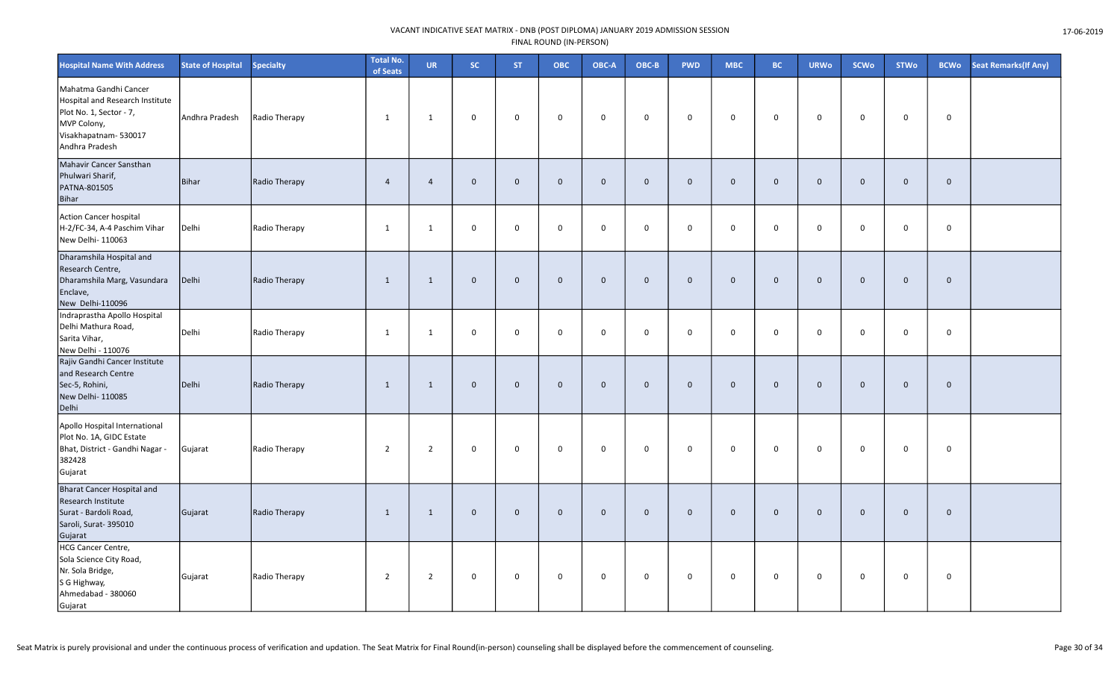| <b>Hospital Name With Address</b>                                                                                                            | <b>State of Hospital</b> | <b>Specialty</b> | <b>Total No.</b><br>of Seats | <b>UR</b>      | <b>SC</b>   | ST.          | <b>OBC</b>   | OBC-A          | OBC-B        | <b>PWD</b>  | <b>MBC</b>  | <b>BC</b>   | <b>URWo</b>    | <b>SCWo</b>  | <b>STWo</b>  | <b>BCWo</b> | Seat Remarks(If Any) |
|----------------------------------------------------------------------------------------------------------------------------------------------|--------------------------|------------------|------------------------------|----------------|-------------|--------------|--------------|----------------|--------------|-------------|-------------|-------------|----------------|--------------|--------------|-------------|----------------------|
| Mahatma Gandhi Cancer<br>Hospital and Research Institute<br>Plot No. 1, Sector - 7,<br>MVP Colony,<br>Visakhapatnam-530017<br>Andhra Pradesh | Andhra Pradesh           | Radio Therapy    | $\mathbf{1}$                 | 1              | 0           | $\mathbf 0$  | $\mathbf 0$  | $\mathbf 0$    | $\mathbf 0$  | $\mathbf 0$ | $\mathbf 0$ | $\mathbf 0$ | $\mathbf 0$    | $\mathbf 0$  | $\mathbf 0$  | $\mathbf 0$ |                      |
| Mahavir Cancer Sansthan<br>Phulwari Sharif,<br>PATNA-801505<br>Bihar                                                                         | <b>Bihar</b>             | Radio Therapy    | $\overline{4}$               | $\overline{4}$ | $\mathbf 0$ | $\mathbf{0}$ | $\mathbf{0}$ | $\mathbf{0}$   | $\mathbf{0}$ | $\mathbf 0$ | $\mathbf 0$ | $\Omega$    | $\overline{0}$ | $\Omega$     | $\mathbf{0}$ | $\mathbf 0$ |                      |
| <b>Action Cancer hospital</b><br>H-2/FC-34, A-4 Paschim Vihar<br>New Delhi- 110063                                                           | Delhi                    | Radio Therapy    | 1                            | $\mathbf{1}$   | 0           | $\mathbf 0$  | $\mathsf{o}$ | $\mathbf 0$    | $\mathbf 0$  | $\mathbf 0$ | $\mathsf 0$ | 0           | $\mathbf 0$    | 0            | $\mathbf 0$  | 0           |                      |
| Dharamshila Hospital and<br>Research Centre,<br>Dharamshila Marg, Vasundara<br>Enclave,<br>New Delhi-110096                                  | Delhi                    | Radio Therapy    | 1                            | $\mathbf{1}$   | $\mathbf 0$ | $\mathbf{0}$ | $\mathbf 0$  | $\overline{0}$ | $\mathbf{0}$ | $\mathbf 0$ | $\mathbf 0$ | $\mathbf 0$ | $\overline{0}$ | $\mathbf 0$  | $\mathbf{0}$ | $\mathbf 0$ |                      |
| Indraprastha Apollo Hospital<br>Delhi Mathura Road,<br>Sarita Vihar,<br>New Delhi - 110076                                                   | Delhi                    | Radio Therapy    | 1                            | $\mathbf{1}$   | 0           | $\mathbf 0$  | $\mathbf 0$  | $\mathbf 0$    | $\mathbf 0$  | $\mathbf 0$ | $\mathbf 0$ | 0           | $\overline{0}$ | 0            | $\mathbf 0$  | 0           |                      |
| Rajiv Gandhi Cancer Institute<br>and Research Centre<br>Sec-5, Rohini,<br>New Delhi-110085<br>Delhi                                          | Delhi                    | Radio Therapy    | $\mathbf{1}$                 | $\mathbf{1}$   | $\mathbf 0$ | $\mathbf{0}$ | $\mathbf{0}$ | $\mathbf 0$    | $\mathbf{0}$ | $\mathbf 0$ | $\mathbf 0$ | $\mathbf 0$ | $\overline{0}$ | $\mathbf{0}$ | $\mathbf 0$  | $\mathbf 0$ |                      |
| Apollo Hospital International<br>Plot No. 1A, GIDC Estate<br>Bhat, District - Gandhi Nagar -<br>382428<br>Gujarat                            | Gujarat                  | Radio Therapy    | $\overline{2}$               | $\overline{2}$ | 0           | $\mathbf 0$  | $\mathbf 0$  | $\mathbf 0$    | $\mathbf 0$  | $\mathbf 0$ | $\mathbf 0$ | $\mathbf 0$ | $\mathbf 0$    | $\mathbf 0$  | $\mathbf 0$  | $\mathbf 0$ |                      |
| <b>Bharat Cancer Hospital and</b><br>Research Institute<br>Surat - Bardoli Road,<br>Saroli, Surat-395010<br>Gujarat                          | Gujarat                  | Radio Therapy    | $\mathbf{1}$                 | $\mathbf{1}$   | $\mathbf 0$ | $\mathbf{0}$ | $\mathbf 0$  | $\overline{0}$ | $\mathbf{0}$ | $\mathbf 0$ | $\mathbf 0$ | $\mathbf 0$ | $\overline{0}$ | $\mathbf{0}$ | $\mathbf 0$  | $\mathbf 0$ |                      |
| <b>HCG Cancer Centre,</b><br>Sola Science City Road,<br>Nr. Sola Bridge,<br>S G Highway,<br>Ahmedabad - 380060<br>Gujarat                    | Gujarat                  | Radio Therapy    | $\overline{2}$               | $\overline{2}$ | 0           | $\mathbf 0$  | $\mathbf 0$  | $\mathbf 0$    | $\mathbf 0$  | $\mathbf 0$ | 0           | 0           | $\mathbf 0$    | $\mathbf 0$  | $\mathbf 0$  | $\mathbf 0$ |                      |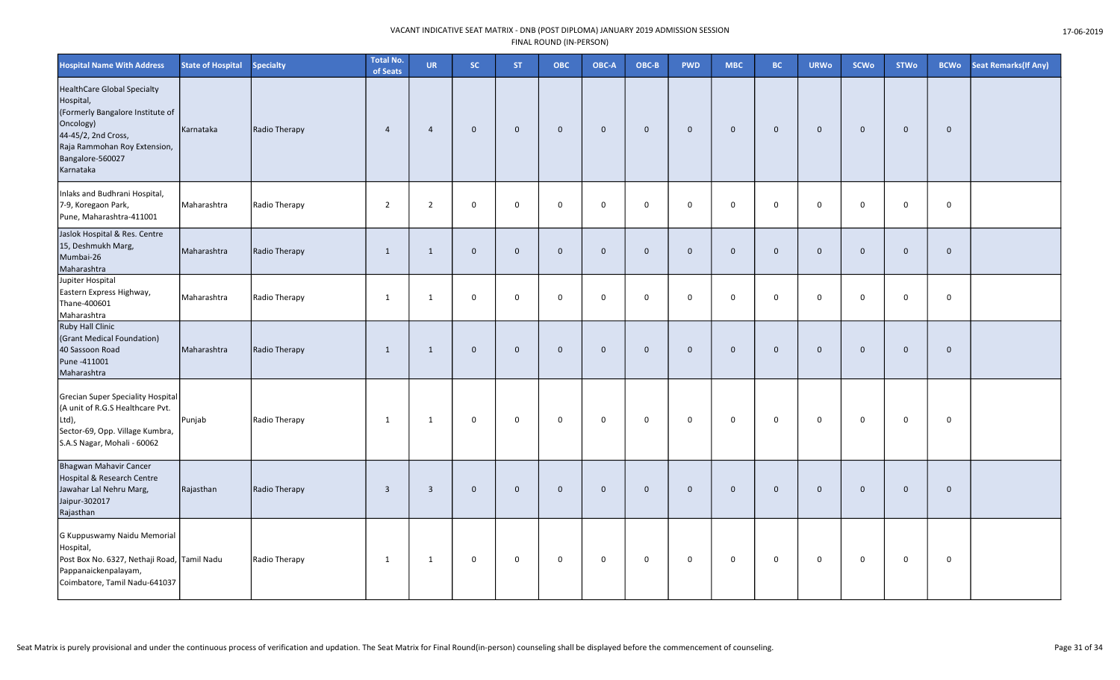| <b>Hospital Name With Address</b>                                                                                                                                                        | <b>State of Hospital</b> | Specialty     | <b>Total No.</b><br>of Seats | <b>UR</b>               | SC.          | <b>ST</b>      | <b>OBC</b>  | OBC-A        | OBC-B        | <b>PWD</b>   | <b>MBC</b>  | <b>BC</b>   | <b>URWo</b> | <b>SCWo</b> | <b>STWo</b>  | <b>BCWo</b>    | <b>Seat Remarks (If Any)</b> |
|------------------------------------------------------------------------------------------------------------------------------------------------------------------------------------------|--------------------------|---------------|------------------------------|-------------------------|--------------|----------------|-------------|--------------|--------------|--------------|-------------|-------------|-------------|-------------|--------------|----------------|------------------------------|
| <b>HealthCare Global Specialty</b><br>Hospital,<br>(Formerly Bangalore Institute of<br>Oncology)<br>44-45/2, 2nd Cross,<br>Raja Rammohan Roy Extension,<br>Bangalore-560027<br>Karnataka | Karnataka                | Radio Therapy | $\overline{4}$               | $\overline{4}$          | $\mathbf{0}$ | $\mathbf 0$    | $\mathbf 0$ | $\mathbf 0$  | $\mathbf 0$  | $\mathbf{0}$ | $\mathbf 0$ | $\mathbf 0$ | $\mathbf 0$ | $\mathbf 0$ | $\mathbf 0$  | $\mathbf 0$    |                              |
| Inlaks and Budhrani Hospital,<br>7-9, Koregaon Park,<br>Pune, Maharashtra-411001                                                                                                         | Maharashtra              | Radio Therapy | $\overline{2}$               | $\overline{2}$          | $\mathbf 0$  | $\mathbf 0$    | $\mathbf 0$ | $\mathsf 0$  | $\mathbf 0$  | 0            | $\mathbf 0$ | $\mathbf 0$ | $\mathbf 0$ | $\mathbf 0$ | $\mathbf 0$  | $\mathbf 0$    |                              |
| Jaslok Hospital & Res. Centre<br>15, Deshmukh Marg,<br>Mumbai-26<br>Maharashtra                                                                                                          | Maharashtra              | Radio Therapy | $\mathbf{1}$                 | $\mathbf{1}$            | $\mathbf 0$  | $\mathbf 0$    | $\mathbf 0$ | $\mathbf 0$  | $\mathbf{0}$ | $\mathbf{0}$ | $\mathbf 0$ | $\mathbf 0$ | $\mathbf 0$ | $\mathbf 0$ | $\mathbf{0}$ | $\mathbf 0$    |                              |
| Jupiter Hospital<br>Eastern Express Highway,<br>Thane-400601<br>Maharashtra                                                                                                              | Maharashtra              | Radio Therapy | 1                            | $\mathbf{1}$            | 0            | $\overline{0}$ | $\mathbf 0$ | $\mathsf{O}$ | $\mathbf 0$  | 0            | $\mathbf 0$ | $\mathbf 0$ | $\mathbf 0$ | $\mathbf 0$ | $\mathbf 0$  | $\mathbf 0$    |                              |
| Ruby Hall Clinic<br>(Grant Medical Foundation)<br>40 Sassoon Road<br>Pune -411001<br>Maharashtra                                                                                         | Maharashtra              | Radio Therapy | $\mathbf{1}$                 | $\overline{1}$          | $\mathbf 0$  | $\overline{0}$ | $\mathbf 0$ | $\mathbf 0$  | $\mathbf 0$  | $\mathbf{0}$ | $\mathbf 0$ | $\mathbf 0$ | $\mathbf 0$ | $\mathbf 0$ | $\mathbf 0$  | $\overline{0}$ |                              |
| Grecian Super Speciality Hospital<br>(A unit of R.G.S Healthcare Pvt.<br>Ltd),<br>Sector-69, Opp. Village Kumbra,<br>S.A.S Nagar, Mohali - 60062                                         | Punjab                   | Radio Therapy | $\mathbf{1}$                 | $\mathbf{1}$            | $\mathbf 0$  | $\mathbf 0$    | $\mathbf 0$ | 0            | $\mathbf 0$  | 0            | $\mathsf 0$ | $\mathbf 0$ | $\mathbf 0$ | $\mathbf 0$ | 0            | $\mathsf 0$    |                              |
| Bhagwan Mahavir Cancer<br>Hospital & Research Centre<br>Jawahar Lal Nehru Marg,<br>Jaipur-302017<br>Rajasthan                                                                            | Rajasthan                | Radio Therapy | $\overline{3}$               | $\overline{\mathbf{3}}$ | $\mathbf 0$  | $\mathbf 0$    | $\mathbf 0$ | $\mathbf 0$  | $\mathbf 0$  | $\mathbf{0}$ | $\mathbf 0$ | $\mathbf 0$ | $\mathbf 0$ | $\mathbf 0$ | $\mathbf{0}$ | $\mathbf 0$    |                              |
| G Kuppuswamy Naidu Memorial<br>Hospital,<br>Post Box No. 6327, Nethaji Road, Tamil Nadu<br>Pappanaickenpalayam,<br>Coimbatore, Tamil Nadu-641037                                         |                          | Radio Therapy | 1                            | 1                       | $\mathbf 0$  | $\mathbf 0$    | $\mathbf 0$ | $\mathsf{O}$ | $\mathbf 0$  | 0            | $\mathbf 0$ | $\mathbf 0$ | 0           | 0           | 0            | $\mathbf 0$    |                              |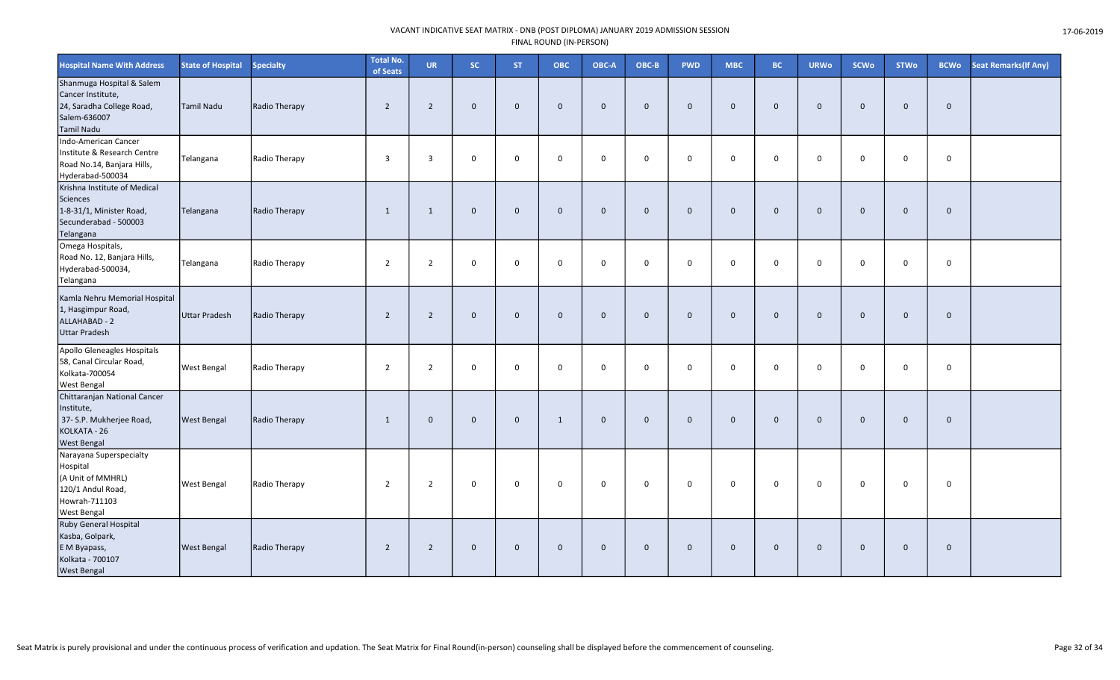| <b>Hospital Name With Address</b>                                                                                    | <b>State of Hospital</b> | <b>Specialty</b> | <b>Total No.</b><br>of Seats | <b>UR</b>      | <b>SC</b>    | <b>ST</b>   | <b>OBC</b>   | OBC-A          | OBC-B        | <b>PWD</b>   | <b>MBC</b>   | <b>BC</b>    | <b>URWo</b>    | <b>SCWo</b>  | <b>STWo</b>  | <b>BCWo</b>  | Seat Remarks(If Any) |
|----------------------------------------------------------------------------------------------------------------------|--------------------------|------------------|------------------------------|----------------|--------------|-------------|--------------|----------------|--------------|--------------|--------------|--------------|----------------|--------------|--------------|--------------|----------------------|
| Shanmuga Hospital & Salem<br>Cancer Institute,<br>24, Saradha College Road,<br>Salem-636007<br><b>Tamil Nadu</b>     | Tamil Nadu               | Radio Therapy    | $\overline{2}$               | $\overline{2}$ | $\mathbf{0}$ | $\mathbf 0$ | $\mathbf{0}$ | $\overline{0}$ | $\mathbf{0}$ | $\mathbf 0$  | $\mathbf 0$  | $\mathbf{0}$ | $\overline{0}$ | $\mathbf{0}$ | $\mathbf 0$  | $\mathbf 0$  |                      |
| Indo-American Cancer<br>Institute & Research Centre<br>Road No.14, Banjara Hills,<br>Hyderabad-500034                | Telangana                | Radio Therapy    | $\overline{3}$               | $\overline{3}$ | $\mathbf{0}$ | $\Omega$    | $\mathbf 0$  | $\mathbf 0$    | $\Omega$     | $\mathbf 0$  | $\mathbf 0$  | $\mathbf 0$  | $\mathbf 0$    | $\Omega$     | $\Omega$     | $\mathbf 0$  |                      |
| Krishna Institute of Medical<br><b>Sciences</b><br>1-8-31/1, Minister Road,<br>Secunderabad - 500003<br>Telangana    | Telangana                | Radio Therapy    | 1                            | 1              | $\mathbf 0$  | $\Omega$    | $\mathbf{0}$ | $\mathbf{0}$   | $\Omega$     | $\mathbf{0}$ | $\mathbf{0}$ | $\mathbf{0}$ | $\overline{0}$ | $\Omega$     | $\mathbf{0}$ | $\mathbf{0}$ |                      |
| Omega Hospitals,<br>Road No. 12, Banjara Hills,<br>Hyderabad-500034,<br>Telangana                                    | Telangana                | Radio Therapy    | $\overline{2}$               | $\overline{2}$ | $\mathsf{O}$ | $\mathbf 0$ | $\mathbf 0$  | $\overline{0}$ | $\mathbf 0$  | $\mathsf{O}$ | 0            | 0            | $\mathbf 0$    | $\mathbf 0$  | $\mathbf 0$  | 0            |                      |
| Kamla Nehru Memorial Hospital<br>1, Hasgimpur Road,<br>ALLAHABAD - 2<br><b>Uttar Pradesh</b>                         | Uttar Pradesh            | Radio Therapy    | 2                            | 2              | $\mathbf 0$  | $\mathbf 0$ | $\mathbf{0}$ | $\mathbf 0$    | $\mathbf{0}$ | $\mathbf 0$  | $\mathbf{0}$ | $\mathbf{0}$ | $\overline{0}$ | $\mathbf{0}$ | $\mathbf{0}$ | $\mathbf 0$  |                      |
| Apollo Gleneagles Hospitals<br>58, Canal Circular Road,<br>Kolkata-700054<br><b>West Bengal</b>                      | <b>West Bengal</b>       | Radio Therapy    | 2                            | 2              | $\mathbf 0$  | $\Omega$    | $\mathbf 0$  | $\Omega$       | $\Omega$     | $\mathbf 0$  | 0            | 0            | $\mathbf 0$    | $\Omega$     | $\Omega$     | 0            |                      |
| Chittaranjan National Cancer<br>Institute,<br>37- S.P. Mukherjee Road,<br>KOLKATA - 26<br><b>West Bengal</b>         | <b>West Bengal</b>       | Radio Therapy    | 1                            | $\mathbf{0}$   | $\mathbf 0$  | $\Omega$    | $\mathbf{1}$ | $\mathbf{0}$   | $\Omega$     | $\mathbf{0}$ | $\Omega$     | $\Omega$     | $\overline{0}$ | $\Omega$     | $\mathbf{0}$ | $\mathbf{0}$ |                      |
| Narayana Superspecialty<br>Hospital<br>(A Unit of MMHRL)<br>120/1 Andul Road,<br>Howrah-711103<br><b>West Bengal</b> | <b>West Bengal</b>       | Radio Therapy    | 2                            | 2              | $\mathbf 0$  | $\mathbf 0$ | $\mathbf 0$  | $\overline{0}$ | $\Omega$     | $\mathbf 0$  | $\mathbf 0$  | $\mathbf 0$  | $\overline{0}$ | $\mathbf 0$  | $\Omega$     | $\mathbf 0$  |                      |
| Ruby General Hospital<br>Kasba, Golpark,<br>E M Byapass,<br>Kolkata - 700107<br><b>West Bengal</b>                   | <b>West Bengal</b>       | Radio Therapy    | $\overline{2}$               | 2              | $\mathbf{0}$ | $\Omega$    | $\mathbf{0}$ | $\overline{0}$ | $\mathbf{0}$ | $\mathbf{0}$ | $\mathbf{0}$ | $\Omega$     | $\overline{0}$ | $\mathbf{0}$ | $\mathbf{0}$ | $\mathbf{0}$ |                      |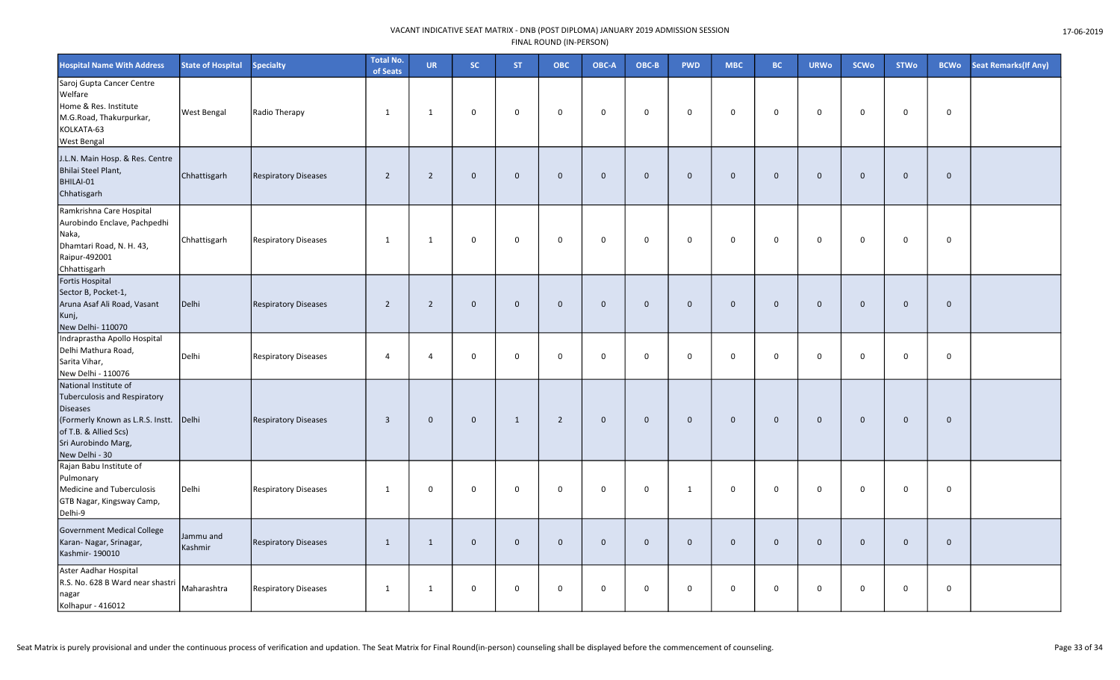| <b>Hospital Name With Address</b>                                                                                                                                                     | <b>State of Hospital</b> | <b>Specialty</b>            | <b>Total No.</b><br>of Seats | <b>UR</b>      | <b>SC</b>    | <b>ST</b>    | <b>OBC</b>     | OBC-A          | OBC-B        | <b>PWD</b>   | <b>MBC</b>  | <b>BC</b>    | <b>URWo</b>    | <b>SCWo</b>  | <b>STWo</b>  | <b>BCWo</b>  | Seat Remarks(If Any) |
|---------------------------------------------------------------------------------------------------------------------------------------------------------------------------------------|--------------------------|-----------------------------|------------------------------|----------------|--------------|--------------|----------------|----------------|--------------|--------------|-------------|--------------|----------------|--------------|--------------|--------------|----------------------|
| Saroj Gupta Cancer Centre<br>Welfare<br>Home & Res. Institute<br>M.G.Road, Thakurpurkar,<br>KOLKATA-63<br><b>West Bengal</b>                                                          | West Bengal              | Radio Therapy               | 1                            | $\mathbf{1}$   | $\mathbf 0$  | $\mathbf 0$  | $\mathbf 0$    | $\mathbf 0$    | $\mathbf 0$  | $\mathsf{O}$ | 0           | $\mathbf 0$  | $\mathbf 0$    | $\mathbf 0$  | $\mathbf 0$  | 0            |                      |
| J.L.N. Main Hosp. & Res. Centre<br>Bhilai Steel Plant,<br>BHILAI-01<br>Chhatisgarh                                                                                                    | Chhattisgarh             | <b>Respiratory Diseases</b> | $\overline{2}$               | $\overline{2}$ | $\mathbf 0$  | $\Omega$     | $\mathbf{0}$   | $\mathbf 0$    | $\mathbf{0}$ | $\mathbf 0$  | $\mathbf 0$ | $\mathbf{0}$ | $\mathbf{0}$   | $\Omega$     | $\mathbf{0}$ | $\mathbf{0}$ |                      |
| Ramkrishna Care Hospital<br>Aurobindo Enclave, Pachpedhi<br>Naka,<br>Dhamtari Road, N. H. 43,<br>Raipur-492001<br>Chhattisgarh                                                        | Chhattisgarh             | <b>Respiratory Diseases</b> | 1                            | 1              | $\mathbf 0$  | $\mathbf 0$  | 0              | $\mathbf 0$    | $\mathbf 0$  | $\mathbf 0$  | 0           | 0            | $\mathbf 0$    | 0            | $\mathbf 0$  | $\mathbf 0$  |                      |
| Fortis Hospital<br>Sector B, Pocket-1,<br>Aruna Asaf Ali Road, Vasant<br>Kunj,<br>New Delhi-110070                                                                                    | Delhi                    | <b>Respiratory Diseases</b> | $\overline{2}$               | $\overline{2}$ | $\mathbf 0$  | $\mathbf{0}$ | $\mathbf 0$    | $\overline{0}$ | $\mathbf{0}$ | $\mathbf 0$  | $\mathbf 0$ | $\mathbf 0$  | $\overline{0}$ | $\mathbf{0}$ | $\mathbf 0$  | $\mathbf 0$  |                      |
| Indraprastha Apollo Hospital<br>Delhi Mathura Road,<br>Sarita Vihar,<br>New Delhi - 110076                                                                                            | Delhi                    | <b>Respiratory Diseases</b> | $\overline{4}$               | $\overline{4}$ | 0            | $\mathbf 0$  | 0              | $\overline{0}$ | $\mathbf 0$  | $\mathsf{O}$ | 0           | $\mathbf 0$  | $\mathbf 0$    | $\mathbf 0$  | $\mathbf 0$  | 0            |                      |
| National Institute of<br><b>Tuberculosis and Respiratory</b><br><b>Diseases</b><br>(Formerly Known as L.R.S. Instt.<br>of T.B. & Allied Scs)<br>Sri Aurobindo Marg,<br>New Delhi - 30 | Delhi                    | <b>Respiratory Diseases</b> | $\overline{3}$               | $\mathbf{0}$   | $\mathbf 0$  | 1            | $\overline{2}$ | $\mathbf 0$    | $\mathbf{0}$ | $\mathbf 0$  | $\mathbf 0$ | $\mathbf{0}$ | $\overline{0}$ | $\mathbf 0$  | $\mathbf 0$  | $\mathbf 0$  |                      |
| Rajan Babu Institute of<br>Pulmonary<br>Medicine and Tuberculosis<br>GTB Nagar, Kingsway Camp,<br>Delhi-9                                                                             | Delhi                    | <b>Respiratory Diseases</b> | $\mathbf{1}$                 | $\mathbf 0$    | $\mathsf{O}$ | $\mathbf 0$  | 0              | $\mathbf 0$    | $\mathbf 0$  | $\mathbf{1}$ | 0           | 0            | $\mathbf 0$    | $\mathbf 0$  | $\mathbf 0$  | 0            |                      |
| <b>Government Medical College</b><br>Karan- Nagar, Srinagar,<br>Kashmir-190010                                                                                                        | Jammu and<br>Kashmir     | <b>Respiratory Diseases</b> | 1                            | 1              | $\mathbf 0$  | $\mathbf 0$  | $\mathbf{0}$   | $\overline{0}$ | $\mathbf{0}$ | $\mathbf 0$  | $\mathbf 0$ | $\mathbf{0}$ | $\overline{0}$ | $\mathbf 0$  | $\mathbf 0$  | $\mathbf 0$  |                      |
| Aster Aadhar Hospital<br>R.S. No. 628 B Ward near shastri<br>nagar<br>Kolhapur - 416012                                                                                               | Maharashtra              | <b>Respiratory Diseases</b> | 1                            | 1              | $\mathsf{O}$ | $\mathbf 0$  | 0              | $\mathbf 0$    | $\mathbf 0$  | $\mathsf{O}$ | 0           | 0            | $\mathbf 0$    | $\mathbf 0$  | $\mathbf 0$  | $\mathsf{O}$ |                      |